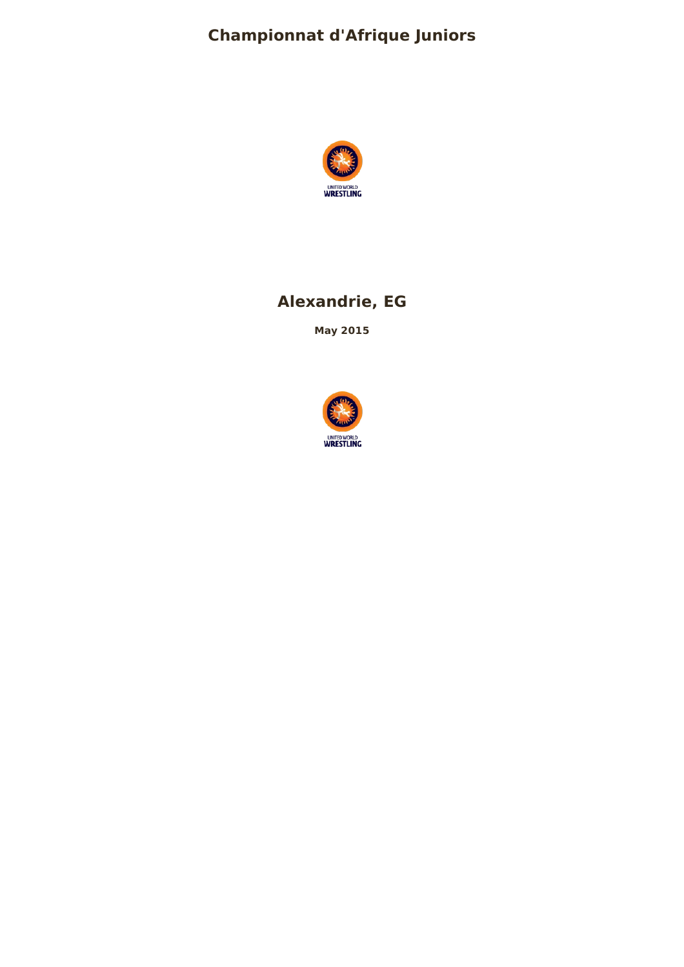# **Championnat d'Afrique Juniors**



# **Alexandrie, EG**

**May 2015**

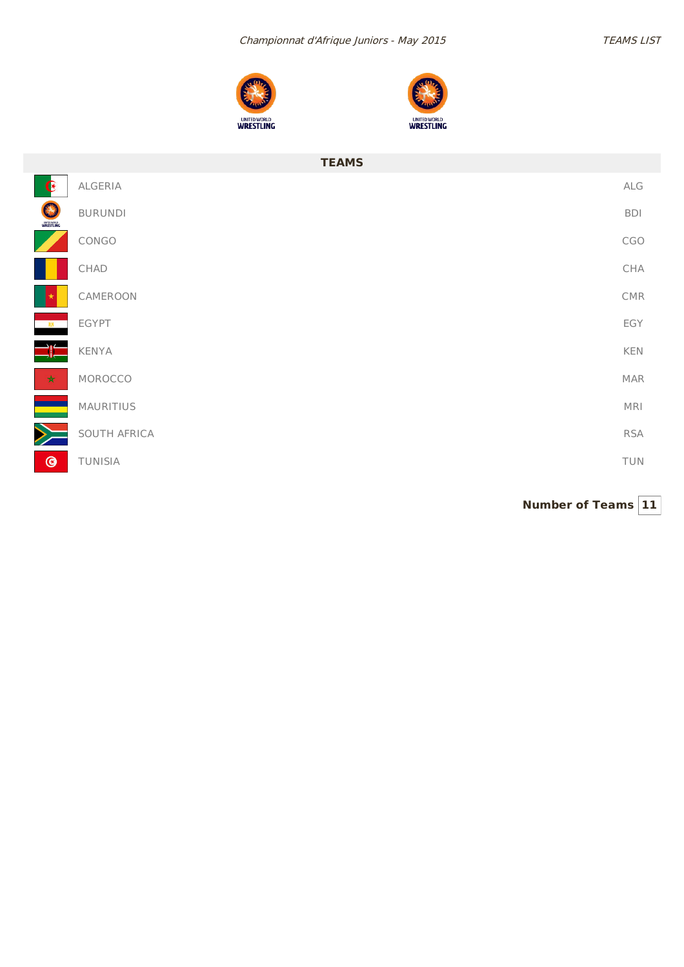



|                                 | <b>TEAMS</b>    |                       |  |  |  |  |  |  |  |  |  |
|---------------------------------|-----------------|-----------------------|--|--|--|--|--|--|--|--|--|
| $\mathbf G$                     | ALGERIA         | $\mathsf{ALG}\xspace$ |  |  |  |  |  |  |  |  |  |
| <b>UNTED WORLD</b><br>WRESTLING | <b>BURUNDI</b>  | <b>BDI</b>            |  |  |  |  |  |  |  |  |  |
|                                 | CONGO           | $CGO$                 |  |  |  |  |  |  |  |  |  |
|                                 | $\mathsf{CHAD}$ | CHA                   |  |  |  |  |  |  |  |  |  |
|                                 | CAMEROON        | <b>CMR</b>            |  |  |  |  |  |  |  |  |  |
| $-100$                          | EGYPT           | EGY                   |  |  |  |  |  |  |  |  |  |
|                                 | KENYA           | KEN                   |  |  |  |  |  |  |  |  |  |
| $\bigstar$                      | MOROCCO         | <b>MAR</b>            |  |  |  |  |  |  |  |  |  |
|                                 | MAURITIUS       | MRI                   |  |  |  |  |  |  |  |  |  |
|                                 | SOUTH AFRICA    | <b>RSA</b>            |  |  |  |  |  |  |  |  |  |
| $\odot$                         | TUNISIA         | TUN                   |  |  |  |  |  |  |  |  |  |
|                                 |                 |                       |  |  |  |  |  |  |  |  |  |

**Number of Teams 11**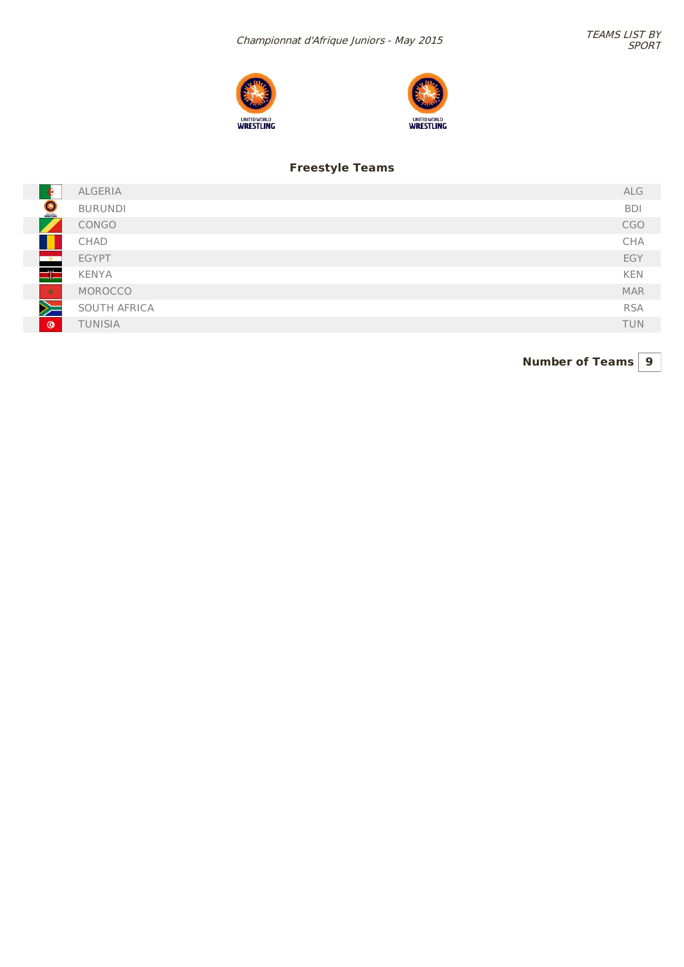



### **Freestyle Teams**

|                                        | ALGERIA        | <b>ALG</b> |
|----------------------------------------|----------------|------------|
| $\bigcirc$                             | <b>BURUNDI</b> | <b>BDI</b> |
|                                        | CONGO          | <b>CGO</b> |
|                                        | CHAD           | CHA        |
| $\frac{1}{2}$                          | EGYPT          | EGY        |
| $\equiv$                               | KENYA          | <b>KEN</b> |
| $\left  \frac{1}{\mathcal{M}} \right $ | MOROCCO        | <b>MAR</b> |
| $\geqslant$                            | SOUTH AFRICA   | <b>RSA</b> |
| $\circ$                                | <b>TUNISIA</b> | <b>TUN</b> |
|                                        |                |            |

# **Number of Teams 9**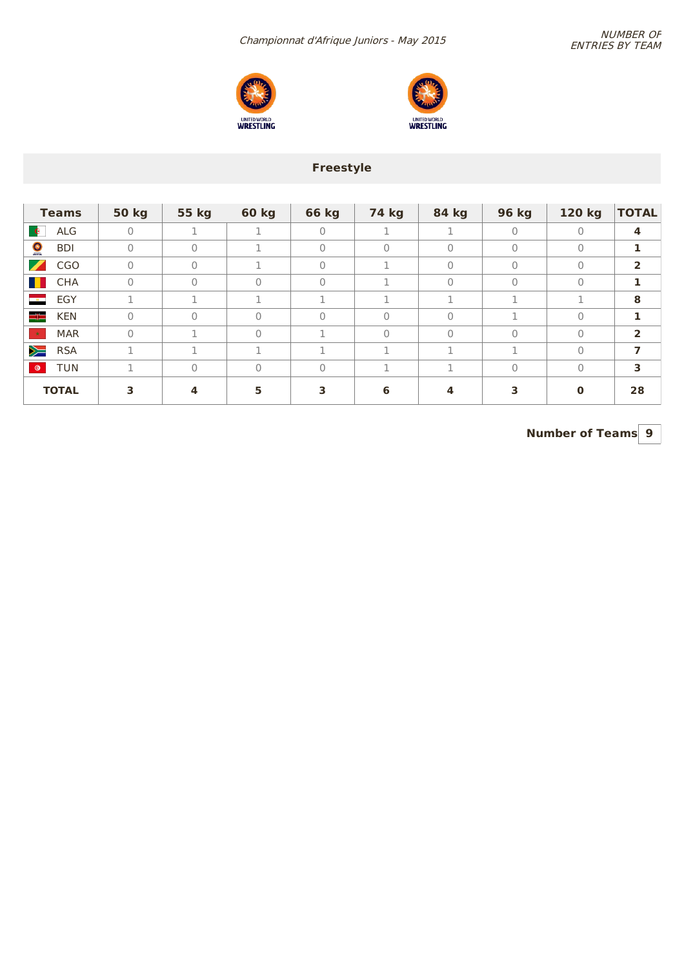NUMBER OF<br>Numbionnat d'Afrique Juniors - May 2015





# **Freestyle**

| <b>Teams</b>                                    | <b>50 kg</b> | 55 kg | <b>60 kg</b> | <b>66 kg</b> | <b>74 kg</b> | 84 kg          | <b>96 kg</b> | 120 kg       | <b>TOTAL</b>   |
|-------------------------------------------------|--------------|-------|--------------|--------------|--------------|----------------|--------------|--------------|----------------|
| <b>ALG</b><br>$\mathbf{e}$                      | $\mathbf{0}$ |       |              |              |              |                | $\mathbf{0}$ |              | 4              |
| $\bullet$<br><b>BDI</b>                         | $\mathbf{0}$ | 0     |              |              |              | $\overline{0}$ | $\Omega$     |              | 1              |
| <b>A</b><br>CGO                                 | $\mathbf{0}$ | 0     | ×.           |              |              | $\Omega$       | $\Omega$     |              | $\overline{2}$ |
| П<br>CHA                                        | $\mathbf{0}$ | 0     | $\Omega$     | $\Omega$     |              | $\overline{0}$ | $\mathbf{0}$ | $\Omega$     | 1              |
| EGY<br>$-8$                                     |              |       |              |              |              | п.             |              |              | 8              |
| $=$ $=$<br><b>KEN</b>                           | $\Omega$     | 0     | $\Omega$     |              | $\Omega$     | $\overline{0}$ | n.           |              | 1              |
| <b>MAR</b><br>$\langle \rangle \rangle \rangle$ | $\Omega$     | п.    | $\Omega$     |              | $\bigcap$    | $\overline{0}$ | $\bigcap$    |              | $\overline{2}$ |
| $\geq$<br><b>RSA</b>                            |              |       | n.           |              |              |                |              |              | 7              |
| $\bullet$<br>TUN                                |              | 0     | $\Omega$     |              |              | п.             | $\Omega$     | $\Omega$     | 3              |
| <b>TOTAL</b>                                    | 3            | 4     | 5            | 3            | 6            | 4              | 3            | $\mathbf{o}$ | 28             |

**Number of Teams 9**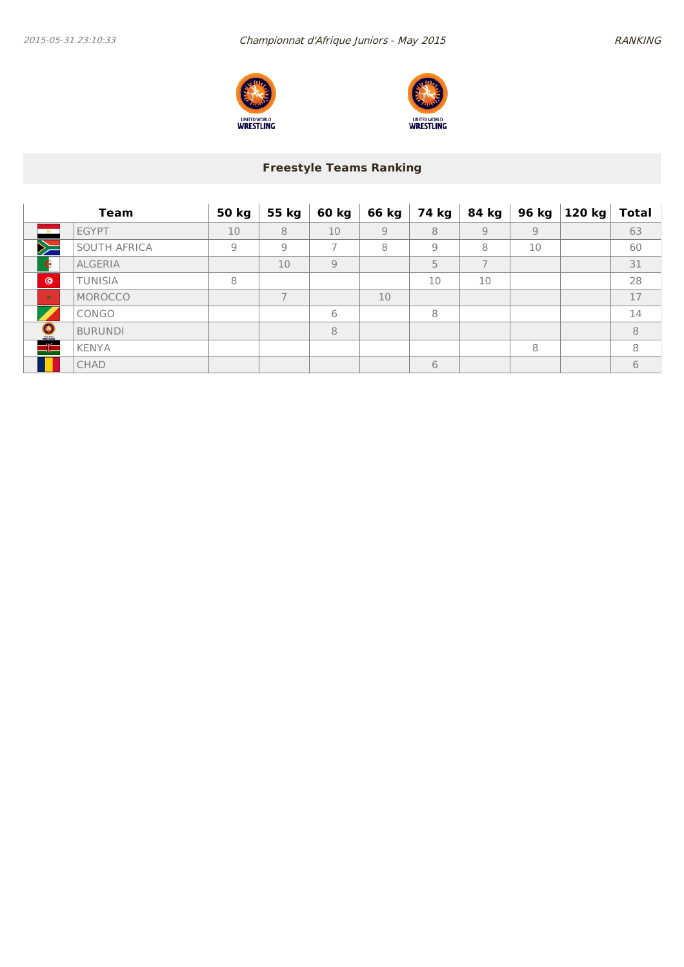



# **Freestyle Teams Ranking**

|                | Team           | <b>50 kg</b> | 55 kg                    | 60 kg | 66 kg          | 74 kg | 84 kg          | 96 kg          | 120 kg | <b>Total</b> |
|----------------|----------------|--------------|--------------------------|-------|----------------|-------|----------------|----------------|--------|--------------|
| $-88$          | <b>EGYPT</b>   | 10           | 8                        | 10    | $\overline{9}$ | 8     | 9              | $\overline{9}$ |        | 63           |
| ╳═             | SOUTH AFRICA   | 9            | 9                        |       | 8              | 9     | 8              | 10             |        | 60           |
| $\bullet$      | <b>ALGERIA</b> |              | 10                       | 9     |                | 5     | $\overline{7}$ |                |        | 31           |
| $\circledcirc$ | <b>TUNISIA</b> | 8            |                          |       |                | 10    | 10             |                |        | 28           |
| 女              | MOROCCO        |              | $\overline{\phantom{0}}$ |       | 10             |       |                |                |        | 17           |
|                | CONGO          |              |                          | 6     |                | 8     |                |                |        | 14           |
| $\bullet$      | <b>BURUNDI</b> |              |                          | 8     |                |       |                |                |        | 8            |
| <u> UL</u>     | <b>KENYA</b>   |              |                          |       |                |       |                | 8              |        | 8            |
|                | <b>CHAD</b>    |              |                          |       |                | 6     |                |                |        | 6            |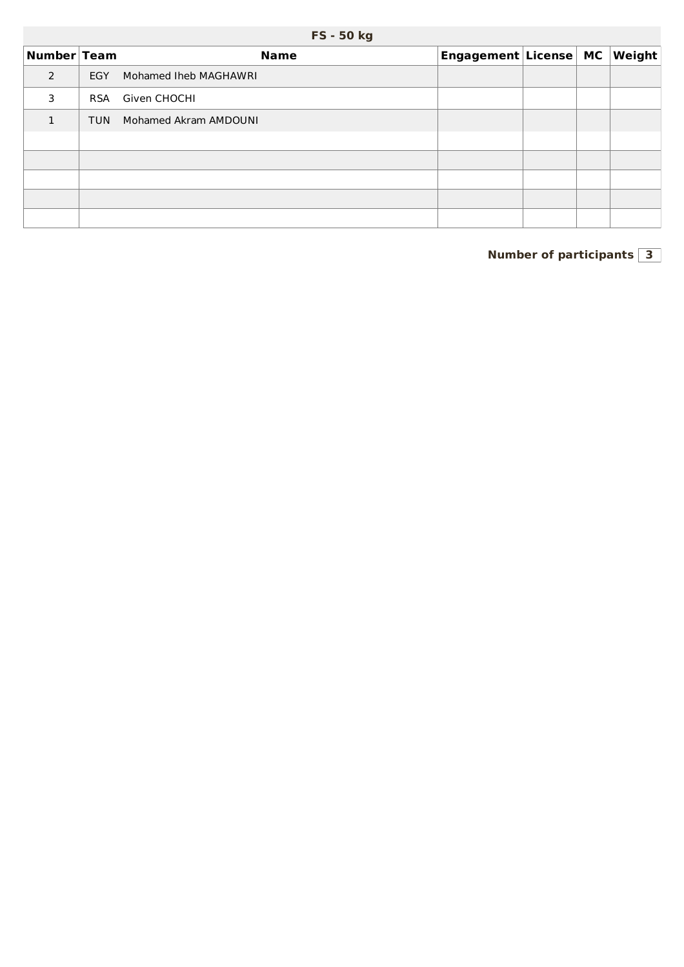# **FS - 50 kg**

| Number Team |            | <b>Name</b>           | Engagement License MC |  | $ \bm{\mathsf{Weight}} $ |
|-------------|------------|-----------------------|-----------------------|--|--------------------------|
| 2           | <b>EGY</b> | Mohamed Iheb MAGHAWRI |                       |  |                          |
| 3           | <b>RSA</b> | Given CHOCHI          |                       |  |                          |
| 1           | <b>TUN</b> | Mohamed Akram AMDOUNI |                       |  |                          |
|             |            |                       |                       |  |                          |
|             |            |                       |                       |  |                          |
|             |            |                       |                       |  |                          |
|             |            |                       |                       |  |                          |
|             |            |                       |                       |  |                          |

**Number of participants 3**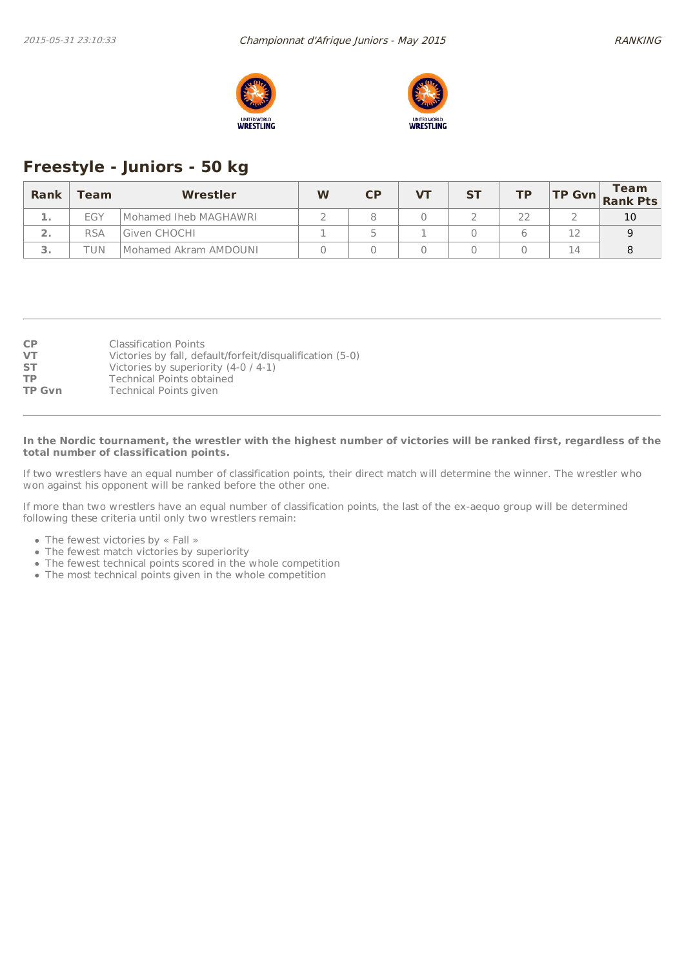



# **Freestyle - Juniors - 50 kg**

| <b>Rank</b> | Team       | Wrestler              | W |  | <b>ST</b> | <b>TP</b> |    | $T$ P Gvn Rank Pts |
|-------------|------------|-----------------------|---|--|-----------|-----------|----|--------------------|
| a 100 m     | EGY        | Mohamed Theb MAGHAWRI |   |  |           |           |    | 10                 |
| . .         | <b>RSA</b> | Given CHOCHI          |   |  |           |           |    |                    |
| з.          | UN.        | Mohamed Akram AMDOUNI |   |  |           |           | 14 |                    |

| <b>CP</b><br>VT | <b>Classification Points</b><br>Victories by fall, default/forfeit/disqualification (5-0) |
|-----------------|-------------------------------------------------------------------------------------------|
| <b>ST</b>       | Victories by superiority $(4-0/4-1)$                                                      |
| ТP              | <b>Technical Points obtained</b>                                                          |
| <b>TP Gvn</b>   | <b>Technical Points given</b>                                                             |

#### In the Nordic tournament, the wrestler with the highest number of victories will be ranked first, regardless of the **total number of classification points.**

If two wrestlers have an equal number of classification points, their direct match will determine the winner. The wrestler who won against his opponent will be ranked before the other one.

If more than two wrestlers have an equal number of classification points, the last of the ex-aequo group will be determined following these criteria until only two wrestlers remain:

- The fewest victories by « Fall »
- The fewest match victories by superiority
- The fewest technical points scored in the whole competition
- The most technical points given in the whole competition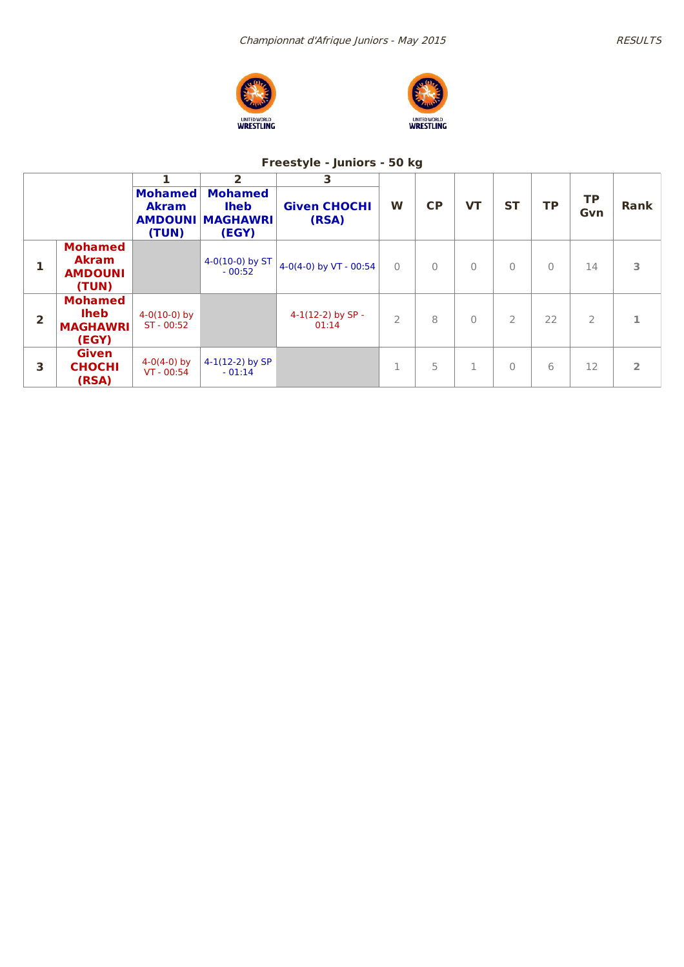





# **Freestyle - Juniors - 50 kg**

|                |                                                           |                                                           | $\overline{2}$                                            | 3                            |                |           |           |                |           |                  |                |
|----------------|-----------------------------------------------------------|-----------------------------------------------------------|-----------------------------------------------------------|------------------------------|----------------|-----------|-----------|----------------|-----------|------------------|----------------|
|                |                                                           | <b>Mohamed</b><br><b>Akram</b><br><b>AMDOUNI</b><br>(TUN) | <b>Mohamed</b><br><b>Iheb</b><br><b>MAGHAWRI</b><br>(EGY) | <b>Given CHOCHI</b><br>(RSA) | W              | <b>CP</b> | <b>VT</b> | <b>ST</b>      | <b>TP</b> | <b>TP</b><br>Gvn | <b>Rank</b>    |
| ı              | <b>Mohamed</b><br><b>Akram</b><br><b>AMDOUNI</b><br>(TUN) |                                                           | 4-0(10-0) by ST<br>$-00:52$                               | 4-0(4-0) by VT - 00:54       | $\Omega$       | $\Omega$  | $\Omega$  | $\Omega$       | $\Omega$  | 14               | 3              |
| $\overline{2}$ | <b>Mohamed</b><br><b>Iheb</b><br><b>MAGHAWRI</b><br>(EGY) | $4-0(10-0)$ by<br>ST - 00:52                              |                                                           | $4-1(12-2)$ by SP -<br>01:14 | $\overline{2}$ | 8         | $\Omega$  | $\overline{2}$ | 22        | $\overline{2}$   |                |
| 3              | Given<br><b>CHOCHI</b><br>(RSA)                           | $4-0(4-0)$ by<br>$VT - 00:54$                             | $4-1(12-2)$ by SP<br>$-01:14$                             |                              | 1              | 5         |           | $\Omega$       | 6         | 12               | $\overline{2}$ |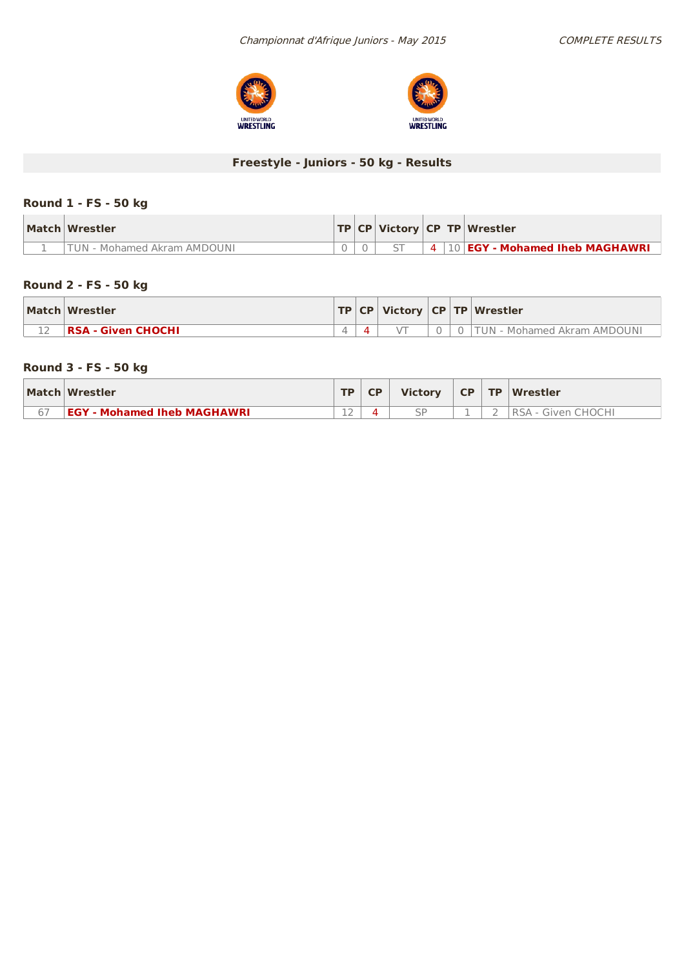



# **Freestyle - Juniors - 50 kg - Results**

### **Round 1 - FS - 50 kg**

| Match Wrestler              |  |              | $ TP CP $ Victory $ CP TP $ Wrestler |
|-----------------------------|--|--------------|--------------------------------------|
| TUN - Mohamed Akram AMDOUNI |  | $\mathbf{A}$ | 10   EGY - Mohamed Iheb MAGHAWRI     |

### **Round 2 - FS - 50 kg**

|        | Match Wrestler            |  |  | TP   CP   Victory   CP   TP   Wrestler |
|--------|---------------------------|--|--|----------------------------------------|
| $\sim$ | <b>RSA - Given CHOCHI</b> |  |  | TUN - Mohamed Akram AMDOUNI            |

### **Round 3 - FS - 50 kg**

| Match Wrestler                     | TD.                  | <b>CP</b> | <b>Victory</b> | <b>CP</b> | TP Wrestler        |
|------------------------------------|----------------------|-----------|----------------|-----------|--------------------|
| <b>EGY - Mohamed Iheb MAGHAWRI</b> | 1 <sub>2</sub><br>-- |           |                |           | RSA - Given CHOCHI |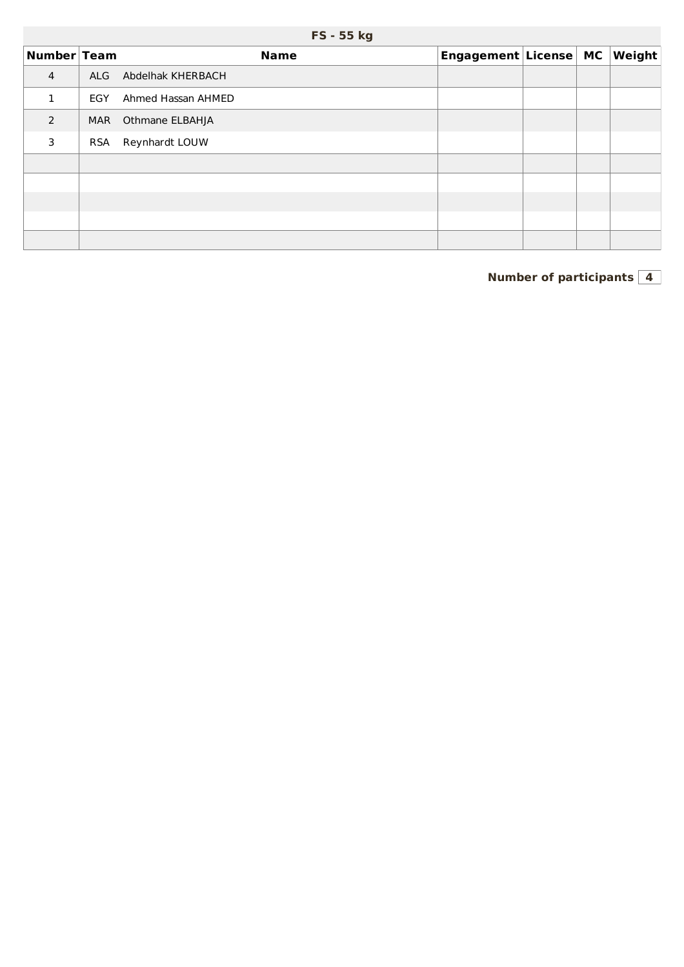|                | . . <i>.</i> |                    |                       |  |  |                        |  |  |  |  |  |  |  |  |
|----------------|--------------|--------------------|-----------------------|--|--|------------------------|--|--|--|--|--|--|--|--|
| Number Team    |              | <b>Name</b>        | Engagement License MC |  |  | $\vert$ Weight $\vert$ |  |  |  |  |  |  |  |  |
| $\overline{4}$ | <b>ALG</b>   | Abdelhak KHERBACH  |                       |  |  |                        |  |  |  |  |  |  |  |  |
| 1              | EGY          | Ahmed Hassan AHMED |                       |  |  |                        |  |  |  |  |  |  |  |  |
| 2              | MAR          | Othmane ELBAHJA    |                       |  |  |                        |  |  |  |  |  |  |  |  |
| 3              | <b>RSA</b>   | Reynhardt LOUW     |                       |  |  |                        |  |  |  |  |  |  |  |  |
|                |              |                    |                       |  |  |                        |  |  |  |  |  |  |  |  |
|                |              |                    |                       |  |  |                        |  |  |  |  |  |  |  |  |
|                |              |                    |                       |  |  |                        |  |  |  |  |  |  |  |  |
|                |              |                    |                       |  |  |                        |  |  |  |  |  |  |  |  |
|                |              |                    |                       |  |  |                        |  |  |  |  |  |  |  |  |

# **FS - 55 kg**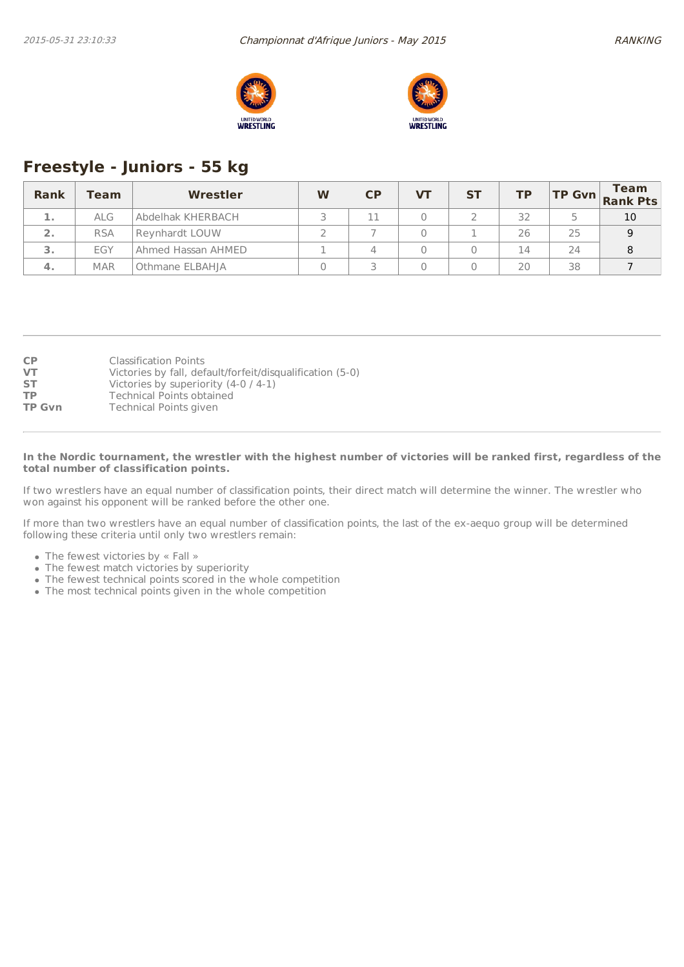



# **Freestyle - Juniors - 55 kg**

| Rank         | Team       | Wrestler           | W | <b>CP</b> | <b>VT</b> | <b>ST</b> | TP |    | <b>TP Gvn</b> Team |
|--------------|------------|--------------------|---|-----------|-----------|-----------|----|----|--------------------|
| ı.           | <b>ALG</b> | Abdelhak KHERBACH  |   |           |           |           | 32 |    | 10                 |
| $\mathbf{2}$ | <b>RSA</b> | Reynhardt LOUW     |   |           |           |           | 26 | 25 |                    |
| 3.           | EGY        | Ahmed Hassan AHMED |   |           |           |           | 14 | 24 |                    |
| 4.           | <b>MAR</b> | Othmane ELBAHJA    |   |           |           |           | 20 | 38 |                    |

| <b>CP</b><br>VT | <b>Classification Points</b><br>Victories by fall, default/forfeit/disqualification (5-0) |
|-----------------|-------------------------------------------------------------------------------------------|
| <b>ST</b>       | Victories by superiority $(4-0/4-1)$                                                      |
| <b>TP</b>       | <b>Technical Points obtained</b>                                                          |
| <b>TP Gvn</b>   | Technical Points given                                                                    |

#### In the Nordic tournament, the wrestler with the highest number of victories will be ranked first, regardless of the **total number of classification points.**

If two wrestlers have an equal number of classification points, their direct match will determine the winner. The wrestler who won against his opponent will be ranked before the other one.

If more than two wrestlers have an equal number of classification points, the last of the ex-aequo group will be determined following these criteria until only two wrestlers remain:

- The fewest victories by « Fall »
- The fewest match victories by superiority
- The fewest technical points scored in the whole competition
- The most technical points given in the whole competition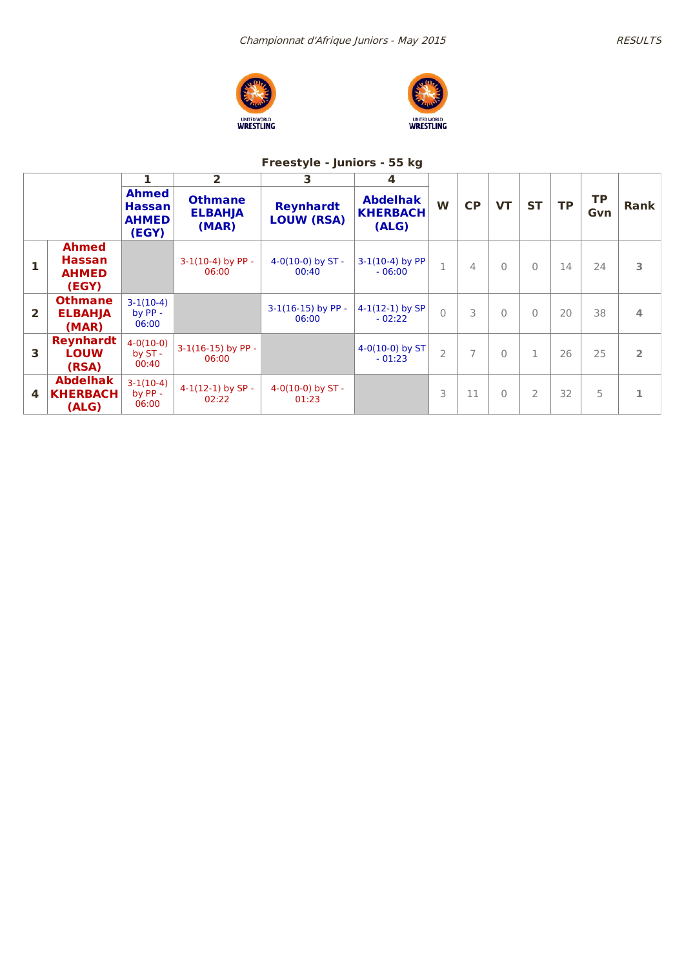



# **Freestyle - Juniors - 55 kg**

|                |                                                 | 1                                                      | $\overline{2}$                            | 3                                     | 4                                           |                |                |           |                |           |                  |                |
|----------------|-------------------------------------------------|--------------------------------------------------------|-------------------------------------------|---------------------------------------|---------------------------------------------|----------------|----------------|-----------|----------------|-----------|------------------|----------------|
|                |                                                 | <b>Ahmed</b><br><b>Hassan</b><br><b>AHMED</b><br>(EGY) | <b>Othmane</b><br><b>ELBAHJA</b><br>(MAR) | <b>Reynhardt</b><br><b>LOUW (RSA)</b> | <b>Abdelhak</b><br><b>KHERBACH</b><br>(ALG) | W              | CP             | <b>VT</b> | <b>ST</b>      | <b>TP</b> | <b>TP</b><br>Gvn | Rank           |
|                | <b>Ahmed</b><br>Hassan<br><b>AHMED</b><br>(EGY) |                                                        | $3-1(10-4)$ by PP -<br>06:00              | $4-0(10-0)$ by ST -<br>00:40          | $3-1(10-4)$ by PP<br>$-06:00$               | 1              | $\overline{4}$ | $\Omega$  | $\Omega$       | 14        | 24               | 3              |
| $\overline{2}$ | <b>Othmane</b><br><b>ELBAHJA</b><br>(MAR)       | $3-1(10-4)$<br>by PP -<br>06:00                        |                                           | $3-1(16-15)$ by PP -<br>06:00         | $4-1(12-1)$ by SP<br>$-02:22$               | $\bigcap$      | 3              | $\Omega$  | $\Omega$       | 20        | 38               | 4              |
| 3              | <b>Reynhardt</b><br><b>LOUW</b><br>(RSA)        | $4-0(10-0)$<br>by ST -<br>00:40                        | $3-1(16-15)$ by PP -<br>06:00             |                                       | $4-0(10-0)$ by ST<br>$-01:23$               | $\overline{2}$ | 7              | $\Omega$  | $\mathbf{1}$   | 26        | 25               | $\overline{2}$ |
| 4              | <b>Abdelhak</b><br><b>KHERBACH</b><br>(ALG)     | $3-1(10-4)$<br>$by PP -$<br>06:00                      | 4-1(12-1) by SP -<br>02:22                | $4-0(10-0)$ by ST -<br>01:23          |                                             | 3              | 11             | $\Omega$  | $\overline{2}$ | 32        | 5                |                |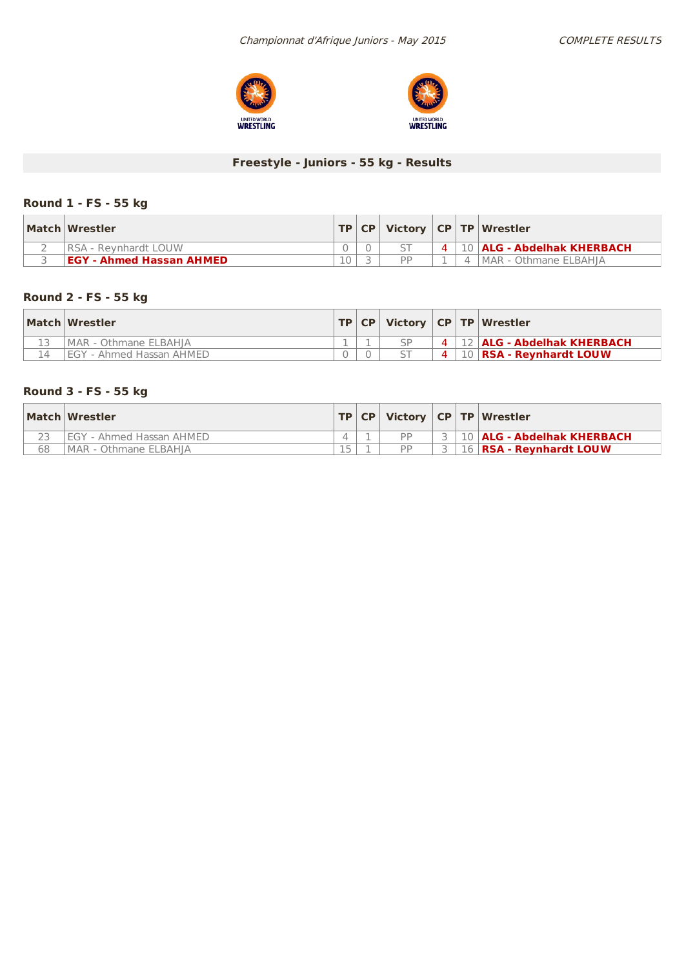



# **Freestyle - Juniors - 55 kg - Results**

### **Round 1 - FS - 55 kg**

| Match Wrestler                  |    |  |  | TP   CP   Victory   CP   TP   Wrestler |
|---------------------------------|----|--|--|----------------------------------------|
| IRSA - Revnhardt LOUW           |    |  |  | 4   10   ALG - Abdelhak KHERBACH       |
| <b>EGY - Ahmed Hassan AHMED</b> | 10 |  |  | IMAR - Othmane ELBAHIA                 |

### **Round 2 - FS - 55 kg**

| Match Wrestler           |  |  | TP CP   Victory   CP   TP   Wrestler |
|--------------------------|--|--|--------------------------------------|
| I MAR - Othmane ELBAHIA  |  |  | 4   12   ALG - Abdelhak KHERBACH     |
| EGY - Ahmed Hassan AHMED |  |  | 10   RSA - Reynhardt LOUW            |

# **Round 3 - FS - 55 kg**

|    | Match Wrestler                   |  |           |  | TP   CP   Victory   CP   TP   Wrestler |
|----|----------------------------------|--|-----------|--|----------------------------------------|
|    | <b>IEGY - Ahmed Hassan AHMED</b> |  | <b>DD</b> |  | 10   ALG - Abdelhak KHERBACH           |
| 68 | <b>IMAR - Othmane ELBAHIA</b>    |  | <b>DD</b> |  | 16   RSA - Revnhardt LOUW              |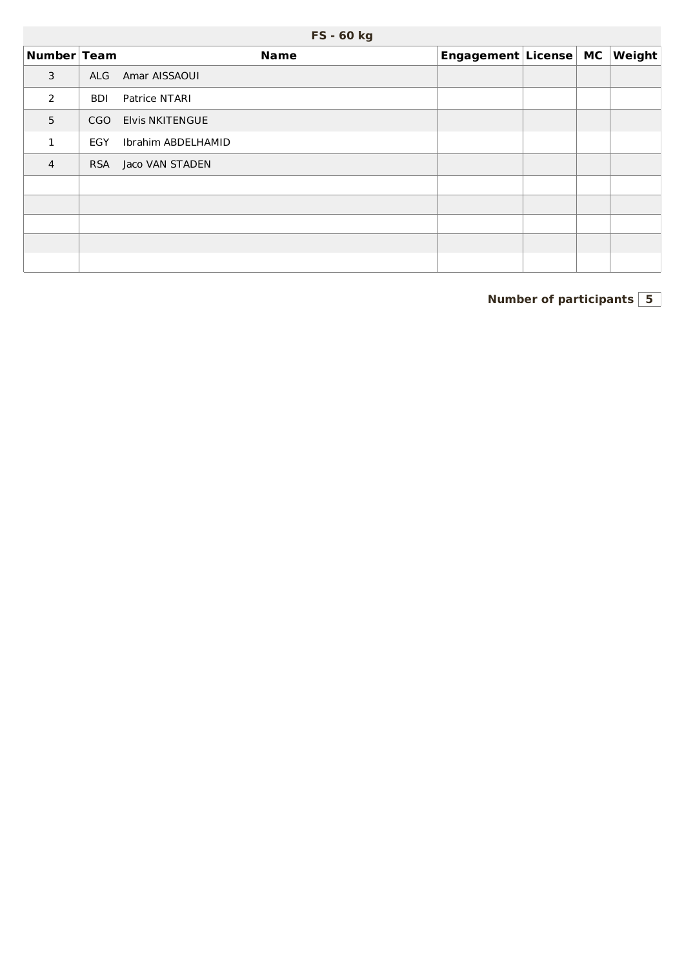|                |            | гэ - оо ку         |                       |  |                          |
|----------------|------------|--------------------|-----------------------|--|--------------------------|
| Number Team    |            | <b>Name</b>        | Engagement License MC |  | $ \bm{\mathsf{Weight}} $ |
| 3              | <b>ALG</b> | Amar AISSAOUI      |                       |  |                          |
| 2              | <b>BDI</b> | Patrice NTARI      |                       |  |                          |
| 5              | CGO        | Elvis NKITENGUE    |                       |  |                          |
| $\mathbf{1}$   | EGY        | Ibrahim ABDELHAMID |                       |  |                          |
| $\overline{4}$ | <b>RSA</b> | Jaco VAN STADEN    |                       |  |                          |
|                |            |                    |                       |  |                          |
|                |            |                    |                       |  |                          |
|                |            |                    |                       |  |                          |
|                |            |                    |                       |  |                          |
|                |            |                    |                       |  |                          |

# **FS - 60 kg**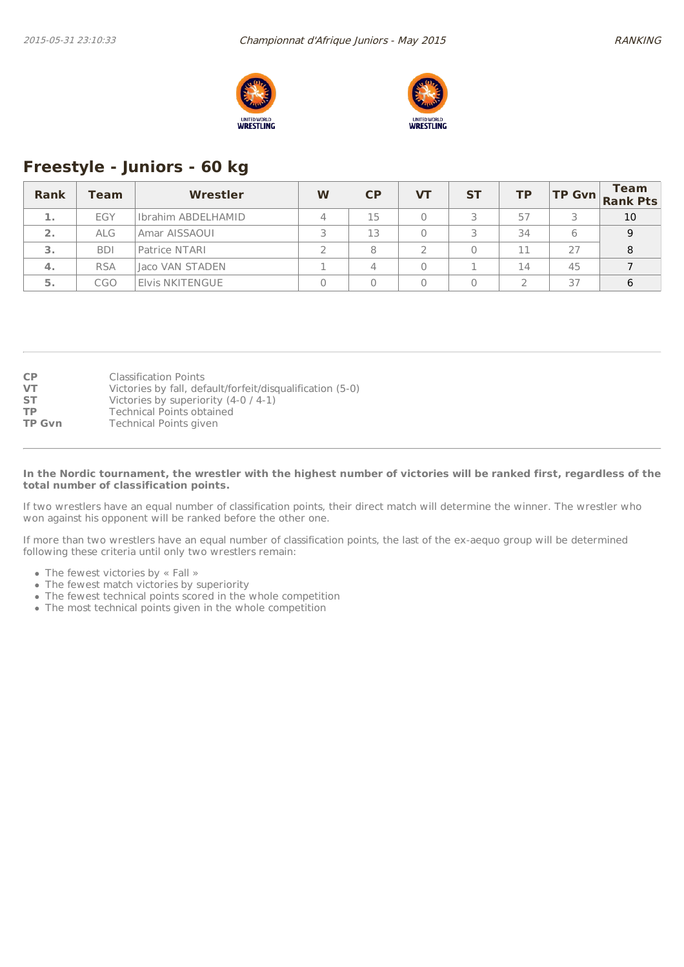



# **Freestyle - Juniors - 60 kg**

| Rank | <b>Team</b> | Wrestler           | W | <b>CP</b> | VТ | <b>ST</b> | <b>TP</b> |    | <b>Team</b><br>$\begin{vmatrix} \mathsf{TP} & \mathsf{Gvn} \\ \mathsf{Rank} & \mathsf{Pts} \end{vmatrix}$ |
|------|-------------|--------------------|---|-----------|----|-----------|-----------|----|-----------------------------------------------------------------------------------------------------------|
| 1.   | EGY         | Ibrahim ABDELHAMID |   | 15        |    |           | 57        |    | 10                                                                                                        |
| 2.   | <b>ALG</b>  | Amar AISSAOUI      |   | 13        |    |           | 34        | 6  | 9                                                                                                         |
| з.   | <b>BDI</b>  | Patrice NTARI      |   |           |    |           | 11        | 27 | 8                                                                                                         |
| 4.   | <b>RSA</b>  | Jaco VAN STADEN    |   |           |    |           | 14        | 45 |                                                                                                           |
| 5.   | <b>CGO</b>  | Elvis NKITENGUE    |   |           |    |           |           | 37 | 6                                                                                                         |

| <b>CP</b>     | <b>Classification Points</b>                              |
|---------------|-----------------------------------------------------------|
| <b>VT</b>     | Victories by fall, default/forfeit/disqualification (5-0) |
| <b>ST</b>     | Victories by superiority $(4-0/4-1)$                      |
| <b>TP</b>     | <b>Technical Points obtained</b>                          |
| <b>TP Gvn</b> | <b>Technical Points given</b>                             |

#### In the Nordic tournament, the wrestler with the highest number of victories will be ranked first, regardless of the **total number of classification points.**

If two wrestlers have an equal number of classification points, their direct match will determine the winner. The wrestler who won against his opponent will be ranked before the other one.

If more than two wrestlers have an equal number of classification points, the last of the ex-aequo group will be determined following these criteria until only two wrestlers remain:

- The fewest victories by « Fall »
- The fewest match victories by superiority
- The fewest technical points scored in the whole competition
- The most technical points given in the whole competition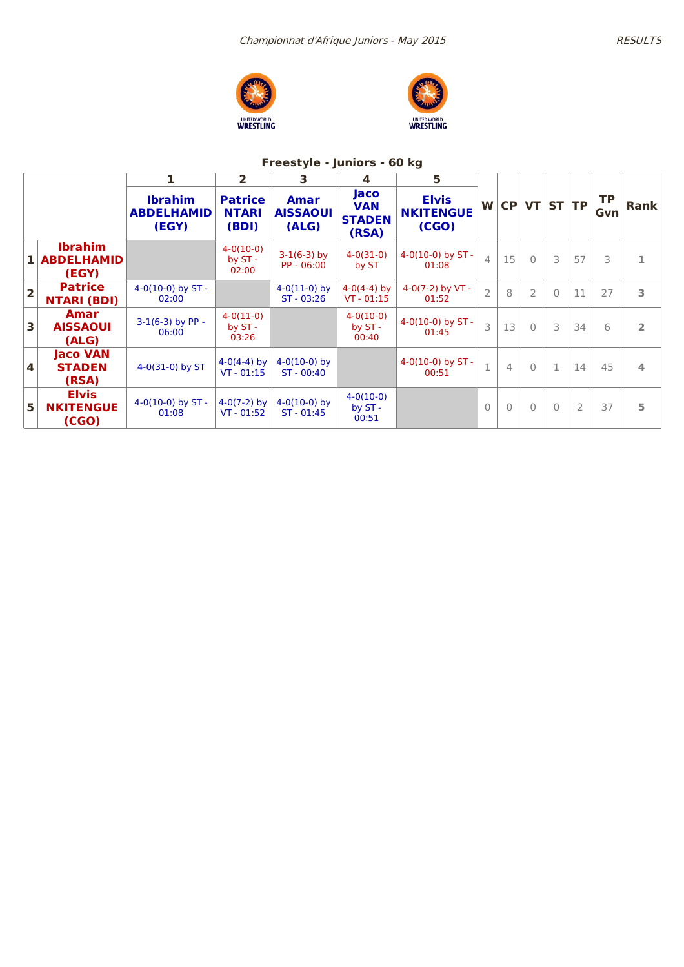



# **Freestyle - Juniors - 60 kg**

|                         |                                              |                                              | $\overline{2}$                          | 3                                | 4                                            | 5                                         |                |                |                |              |           |                  |                |
|-------------------------|----------------------------------------------|----------------------------------------------|-----------------------------------------|----------------------------------|----------------------------------------------|-------------------------------------------|----------------|----------------|----------------|--------------|-----------|------------------|----------------|
|                         |                                              | <b>Ibrahim</b><br><b>ABDELHAMID</b><br>(EGY) | <b>Patrice</b><br><b>NTARI</b><br>(BDI) | Amar<br><b>AISSAOUI</b><br>(ALG) | Jaco<br><b>VAN</b><br><b>STADEN</b><br>(RSA) | <b>Elvis</b><br><b>NKITENGUE</b><br>(CGO) | W              | CP             |                | VT ST        | <b>TP</b> | <b>TP</b><br>Gvn | <b>Rank</b>    |
| 1                       | <b>Ibrahim</b><br><b>ABDELHAMID</b><br>(EGY) |                                              | $4-0(10-0)$<br>by ST -<br>02:00         | $3-1(6-3)$ by<br>$PP - 06:00$    | $4 - 0(31 - 0)$<br>by ST                     | $4-0(10-0)$ by ST -<br>01:08              | $\overline{4}$ | 15             | $\Omega$       | 3            | 57        | 3                | 1              |
| $\overline{\mathbf{2}}$ | <b>Patrice</b><br><b>NTARI (BDI)</b>         | 4-0(10-0) by ST -<br>02:00                   |                                         | $4-0(11-0)$ by<br>$ST - 03:26$   | $4-0(4-4)$ by<br>$VT - 01:15$                | $4-0(7-2)$ by VT -<br>01:52               | $\overline{2}$ | 8              | $\overline{2}$ | $\Omega$     | 11        | 27               | 3              |
| $\mathbf{3}$            | Amar<br><b>AISSAOUI</b><br>(ALG)             | $3-1(6-3)$ by PP -<br>06:00                  | $4-0(11-0)$<br>by ST -<br>03:26         |                                  | $4-0(10-0)$<br>by $ST -$<br>00:40            | $4-0(10-0)$ by ST -<br>01:45              | 3              | 13             | $\Omega$       | 3            | 34        | 6                | $\overline{2}$ |
| $\overline{\mathbf{4}}$ | <b>Jaco VAN</b><br><b>STADEN</b><br>(RSA)    | $4-0(31-0)$ by ST                            | $4-0(4-4)$ by<br>$VT - 01:15$           | $4-0(10-0)$ by<br>$ST - 00:40$   |                                              | $4-0(10-0)$ by ST -<br>00:51              | $\mathbf 1$    | $\overline{4}$ | $\Omega$       | $\mathbf{1}$ | 14        | 45               | 4              |
| 5                       | <b>Elvis</b><br><b>NKITENGUE</b><br>(CGO)    | 4-0(10-0) by ST -<br>01:08                   | $4-0(7-2)$ by<br>$VT - 01:52$           | $4-0(10-0)$ by<br>$ST - 01:45$   | $4-0(10-0)$<br>by $ST -$<br>00:51            |                                           | $\Omega$       | $\Omega$       | $\Omega$       | $\Omega$     | 2         | 37               | 5              |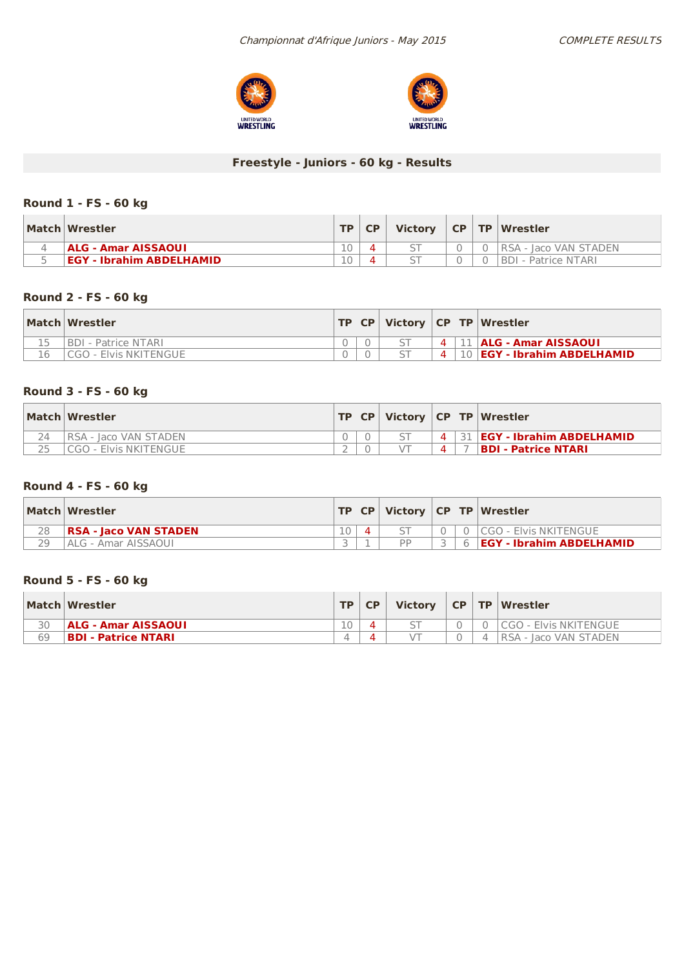



# **Freestyle - Juniors - 60 kg - Results**

### **Round 1 - FS - 60 kg**

| Match Wrestler                  | TD. | <b>Victory</b> |  | CP   TP   Wrestler         |
|---------------------------------|-----|----------------|--|----------------------------|
| ALG - Amar AISSAOUI             |     |                |  | RSA - Iaco VAN STADEN      |
| <b>EGY - Ibrahim ABDELHAMID</b> |     |                |  | <b>BDI - Patrice NTARI</b> |

### **Round 2 - FS - 60 kg**

|    | Match Wrestler        |  |  | TP   CP   Victory   CP   TP   Wrestler   |
|----|-----------------------|--|--|------------------------------------------|
|    | I BDI - Patrice NTARI |  |  | $4$   11   ALG - Amar AISSAOUI           |
| 16 | CGO - Elvis NKITENGUE |  |  | 4   10   <b>EGY - Ibrahim ABDELHAMID</b> |

### **Round 3 - FS - 60 kg**

| Match Wrestler               |  |              | TP   CP   Victory   CP   TP   Wrestler |
|------------------------------|--|--------------|----------------------------------------|
| IRSA - Iaco VAN STADEN       |  | $\mathbf{A}$ | <b>31   EGY - Ibrahim ABDELHAMID</b>   |
| <b>CGO - Elvis NKITENGUE</b> |  | Δ            | <b>BDI - Patrice NTARI</b>             |

### **Round 4 - FS - 60 kg**

|    | Match Wrestler               |                 |    |  | TP   CP   Victory   CP   TP   Wrestler |
|----|------------------------------|-----------------|----|--|----------------------------------------|
| 28 | <b>RSA - Jaco VAN STADEN</b> | 10 <sup>1</sup> |    |  | ICGO - Elvis NKITENGUE                 |
| 29 | ALG - Amar AISSAOUI          |                 | DD |  | <b>EGY - Ibrahim ABDELHAMID</b>        |

### **Round 5 - FS - 60 kg**

|    | Match Wrestler      | TD. | <b>CP</b> | <b>Victory</b> |   | CP   TP   Wrestler      |
|----|---------------------|-----|-----------|----------------|---|-------------------------|
| 30 | ALG - Amar AISSAOUI | 10  |           |                |   | CGO - Elvis NKITENGUE   |
| 69 | BDI - Patrice NTARI |     |           |                | ⊥ | I RSA - Iaco VAN STADEN |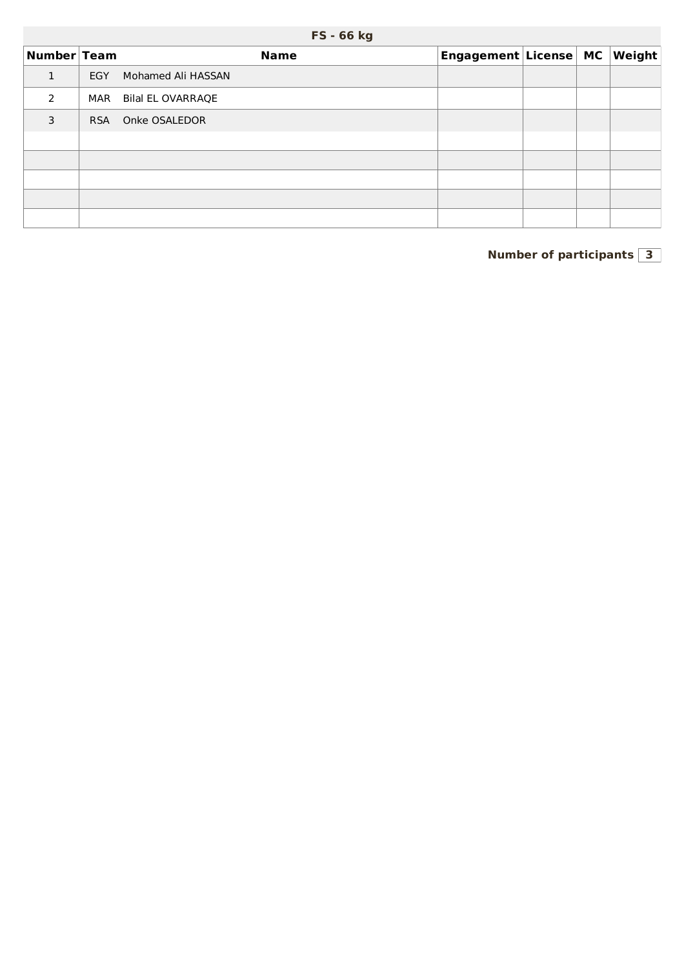|                                     |            | $-0000$                  |                              |  |  |
|-------------------------------------|------------|--------------------------|------------------------------|--|--|
| $\vert$ Number $\vert$ Team $\vert$ |            | <b>Name</b>              | Engagement License MC Weight |  |  |
|                                     | <b>EGY</b> | Mohamed Ali HASSAN       |                              |  |  |
| $\mathcal{P}$                       | MAR        | <b>Bilal EL OVARRAQE</b> |                              |  |  |
| 3                                   | <b>RSA</b> | Onke OSALEDOR            |                              |  |  |
|                                     |            |                          |                              |  |  |
|                                     |            |                          |                              |  |  |
|                                     |            |                          |                              |  |  |
|                                     |            |                          |                              |  |  |
|                                     |            |                          |                              |  |  |

# **FS - 66 kg**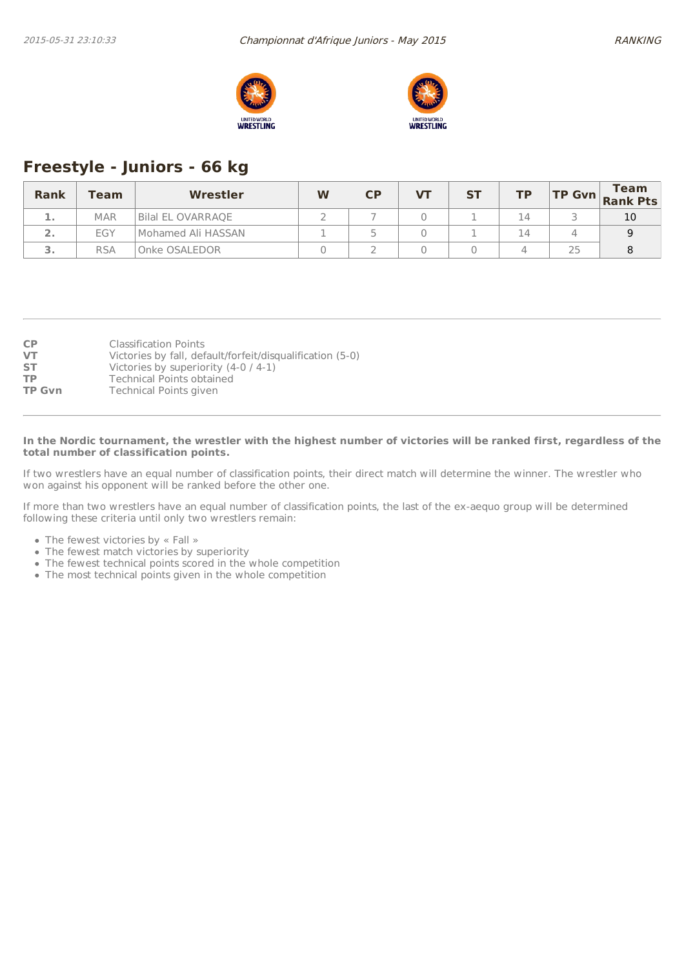



# **Freestyle - Juniors - 66 kg**

| <b>Rank</b> | Team       | Wrestler                 | W | $\mathsf{C}\mathsf{P}$ | VT | <b>ST</b> | <b>TP</b> | $T$ P Gvn Rank Pts |
|-------------|------------|--------------------------|---|------------------------|----|-----------|-----------|--------------------|
| alle su     | <b>MAR</b> | <b>Bilal EL OVARRAQE</b> |   |                        |    |           | 14        | 10                 |
| ے ۔         | EGY        | Mohamed Ali HASSAN       |   |                        |    |           | 14        |                    |
| -           | <b>RSA</b> | Onke OSALEDOR            |   |                        |    |           |           |                    |

| <b>CP</b><br>VT | <b>Classification Points</b><br>Victories by fall, default/forfeit/disqualification (5-0) |
|-----------------|-------------------------------------------------------------------------------------------|
| <b>ST</b>       | Victories by superiority $(4-0/4-1)$                                                      |
| <b>TP</b>       | <b>Technical Points obtained</b>                                                          |
| <b>TP Gvn</b>   | <b>Technical Points given</b>                                                             |

#### In the Nordic tournament, the wrestler with the highest number of victories will be ranked first, regardless of the **total number of classification points.**

If two wrestlers have an equal number of classification points, their direct match will determine the winner. The wrestler who won against his opponent will be ranked before the other one.

If more than two wrestlers have an equal number of classification points, the last of the ex-aequo group will be determined following these criteria until only two wrestlers remain:

- The fewest victories by « Fall »
- The fewest match victories by superiority
- The fewest technical points scored in the whole competition
- The most technical points given in the whole competition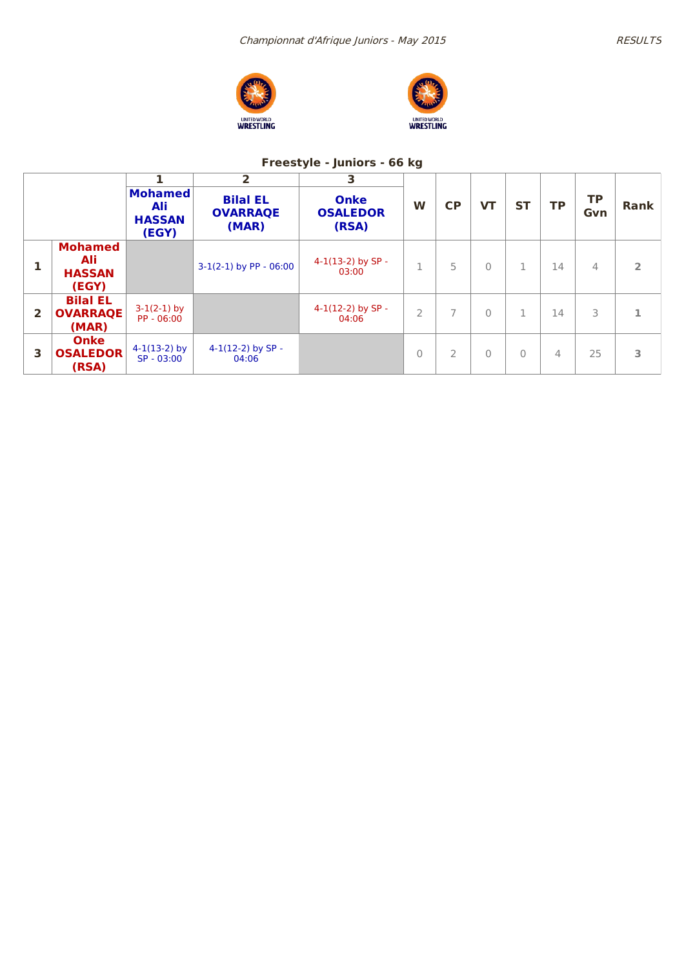





# **Freestyle - Juniors - 66 kg**

|   |                                                 |                                                 | 2                                           | 3                                       |                |                |           |           |           |                  |                |
|---|-------------------------------------------------|-------------------------------------------------|---------------------------------------------|-----------------------------------------|----------------|----------------|-----------|-----------|-----------|------------------|----------------|
|   |                                                 | <b>Mohamed</b><br>Ali<br><b>HASSAN</b><br>(EGY) | <b>Bilal EL</b><br><b>OVARRAQE</b><br>(MAR) | <b>Onke</b><br><b>OSALEDOR</b><br>(RSA) | W              | CP             | <b>VT</b> | <b>ST</b> | <b>TP</b> | <b>TP</b><br>Gvn | Rank           |
| 1 | <b>Mohamed</b><br>Ali<br><b>HASSAN</b><br>(EGY) |                                                 | $3-1(2-1)$ by PP - 06:00                    | 4-1(13-2) by SP -<br>03:00              | 1<br>÷.        | 5              | $\Omega$  | п         | 14        | 4                | $\overline{2}$ |
| 2 | <b>Bilal EL</b><br><b>OVARRAQE</b><br>(MAR)     | $3-1(2-1)$ by<br>PP - 06:00                     |                                             | $4-1(12-2)$ by SP -<br>04:06            | $\overline{2}$ | $\overline{ }$ | $\Omega$  | 1         | 14        | 3                |                |
| 3 | <b>Onke</b><br><b>OSALEDOR</b><br>(RSA)         | $4-1(13-2)$ by<br>$SP - 03:00$                  | $4-1(12-2)$ by SP -<br>04:06                |                                         | $\overline{0}$ | $\overline{2}$ | $\Omega$  | $\Omega$  | 4         | 25               | 3              |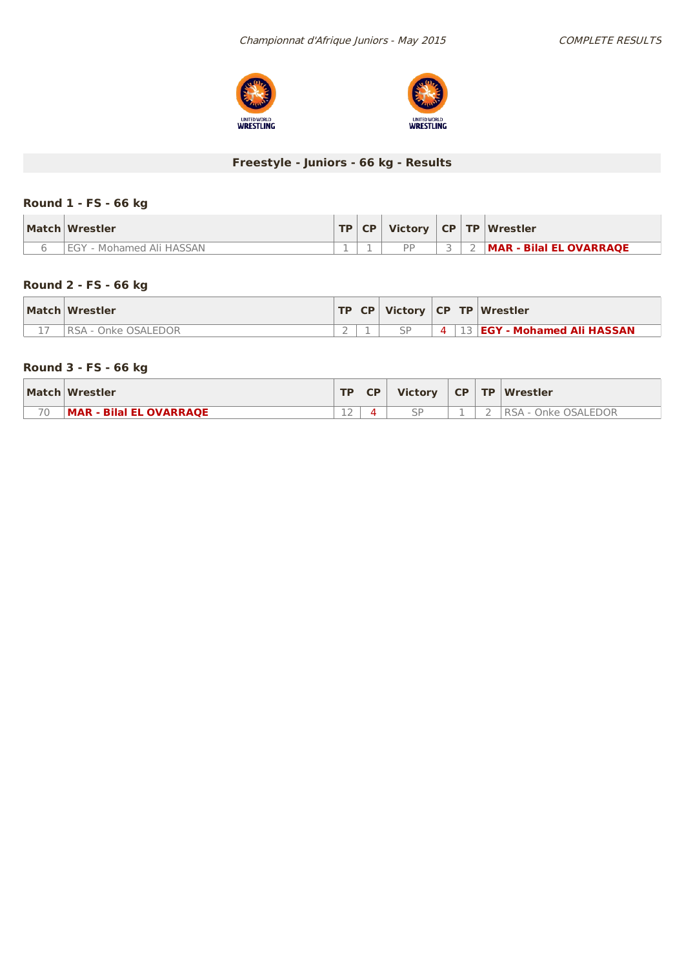



# **Freestyle - Juniors - 66 kg - Results**

### **Round 1 - FS - 66 kg**

| Match Wrestler           | <b>TP CP</b> |    |  | Victory   CP   TP   Wrestler |
|--------------------------|--------------|----|--|------------------------------|
| EGY - Mohamed Ali HASSAN |              | DD |  | MAR - Bilal EL OVARRAOE      |

### **Round 2 - FS - 66 kg**

| Match Wrestler       |  |  | $ TP CP $ Victory $ CP TP $ Wrestler |
|----------------------|--|--|--------------------------------------|
| IRSA - Onke OSALEDOR |  |  | 4   13   EGY - Mohamed Ali HASSAN    |

### **Round 3 - FS - 66 kg**

|    | Match Wrestler          | TD.          | <b>CP</b> | <b>Victory</b> |   | CP TP Wrestler             |
|----|-------------------------|--------------|-----------|----------------|---|----------------------------|
| 70 | MAR - Bilal EL OVARRAQE | $\sim$<br>-- |           |                | - | Onke OSALEDOR<br>' RSA - ( |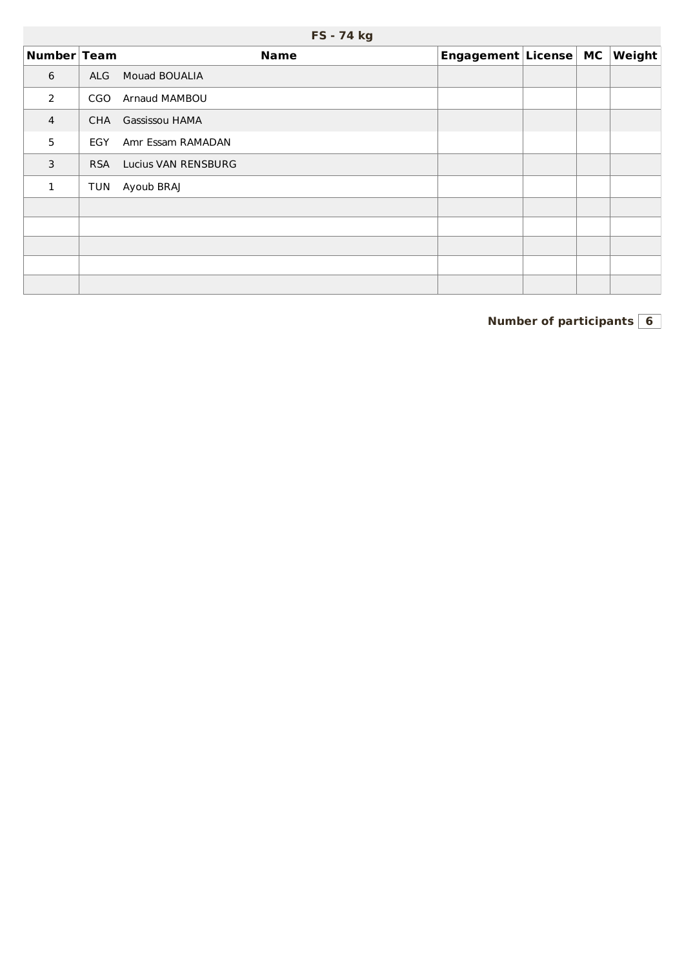| Number Team    |            | <b>Name</b>         | Engagement License MC |  | $\vert$ Weight $\vert$ |
|----------------|------------|---------------------|-----------------------|--|------------------------|
| 6              | <b>ALG</b> | Mouad BOUALIA       |                       |  |                        |
| 2              | CGO        | Arnaud MAMBOU       |                       |  |                        |
| $\overline{a}$ | <b>CHA</b> | Gassissou HAMA      |                       |  |                        |
| 5              | EGY        | Amr Essam RAMADAN   |                       |  |                        |
| 3              | <b>RSA</b> | Lucius VAN RENSBURG |                       |  |                        |
| $\mathbf{1}$   | <b>TUN</b> | Ayoub BRAJ          |                       |  |                        |
|                |            |                     |                       |  |                        |
|                |            |                     |                       |  |                        |
|                |            |                     |                       |  |                        |
|                |            |                     |                       |  |                        |
|                |            |                     |                       |  |                        |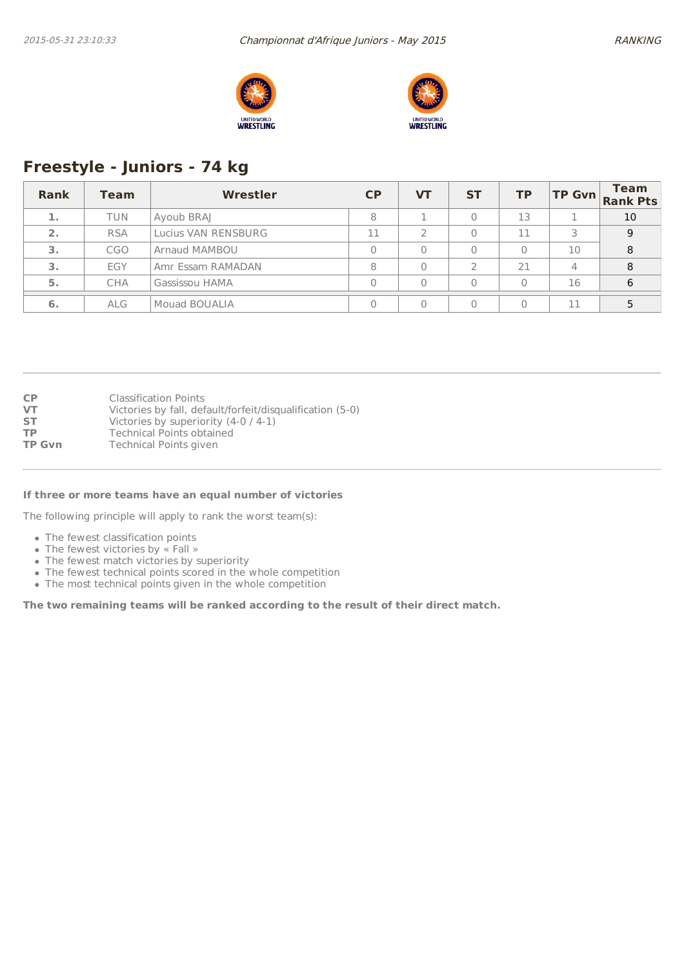



# **Freestyle - Juniors - 74 kg**

| Rank  | <b>Team</b> | Wrestler            | <b>CP</b> | VТ | <b>ST</b> | <b>TP</b> | <b>TP Gvn</b> | <b>Team</b><br><b>Rank Pts</b> |
|-------|-------------|---------------------|-----------|----|-----------|-----------|---------------|--------------------------------|
| dia s | <b>TUN</b>  | Ayoub BRAJ          |           |    |           | 13        |               | 10                             |
| 2.    | <b>RSA</b>  | Lucius VAN RENSBURG | 11        |    |           | 11        | C             | 9                              |
| з.    | CGO         | Arnaud MAMBOU       |           |    |           | 0         | 10            | 8                              |
| 3.    | EGY         | Amr Essam RAMADAN   |           |    |           | 21        | 4             | 8                              |
| 5.    | CHA         | Gassissou HAMA      |           |    | C         | 0         | 16            | 6                              |
| 6.    | <b>ALG</b>  | Mouad BOUALIA       |           |    |           |           | 11            |                                |

| <b>CP</b>     | <b>Classification Points</b>                              |
|---------------|-----------------------------------------------------------|
| VT            | Victories by fall, default/forfeit/disqualification (5-0) |
| <b>ST</b>     | Victories by superiority $(4-0/4-1)$                      |
| <b>TP</b>     | <b>Technical Points obtained</b>                          |
| <b>TP Gvn</b> | <b>Technical Points given</b>                             |
|               |                                                           |

#### **If three or more teams have an equal number of victories**

The following principle will apply to rank the worst team(s):

- The fewest classification points
- The fewest victories by « Fall »
- The fewest match victories by superiority
- The fewest technical points scored in the whole competition
- The most technical points given in the whole competition

**The two remaining teams will be ranked according to the result of their direct match.**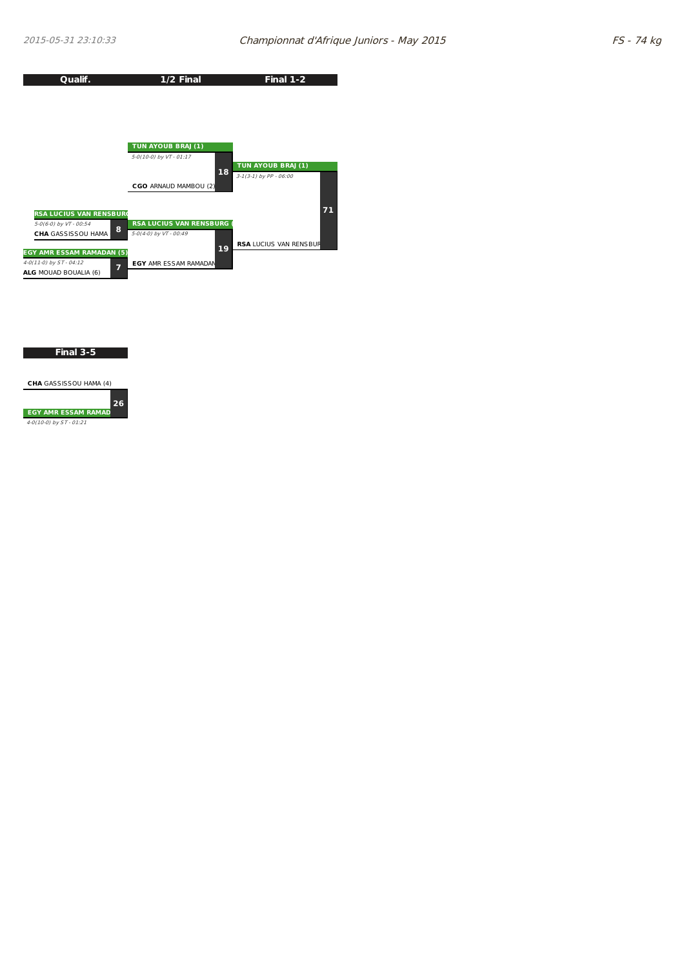

#### **Final 3-5**

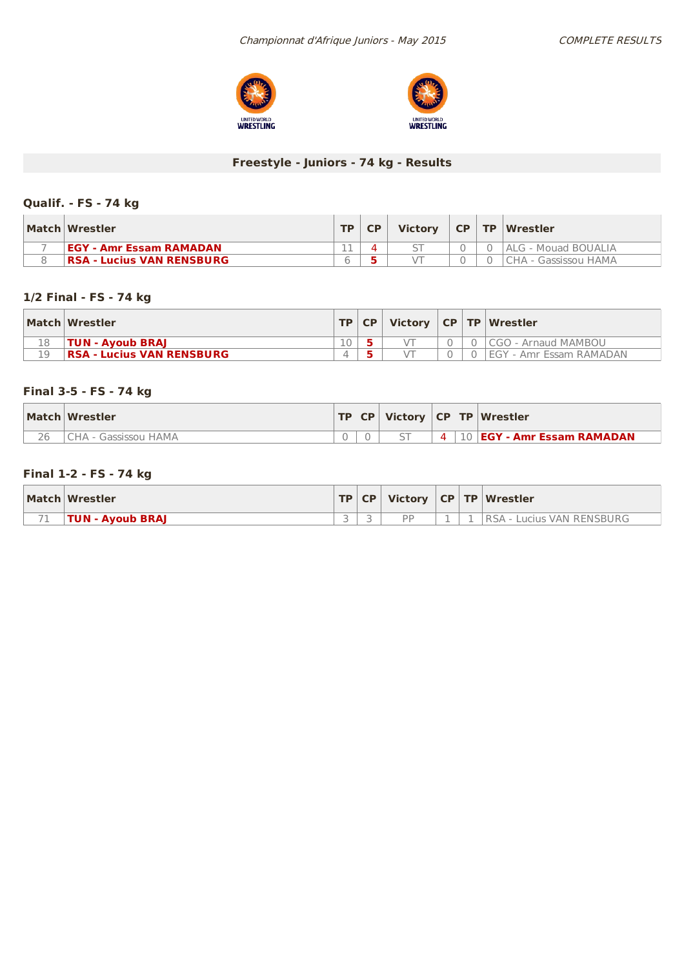



# **Freestyle - Juniors - 74 kg - Results**

### **Qualif. - FS - 74 kg**

| Match Wrestler                  | <b>TD</b> | <b>Victory</b> |  | CP TP Wrestler       |
|---------------------------------|-----------|----------------|--|----------------------|
| <b>IEGY - Amr Essam RAMADAN</b> |           |                |  | ALG - Mouad BOUALIA  |
| RSA - Lucius VAN RENSBURG       |           |                |  | CHA - Gassissou HAMA |

### **1/2 Final - FS - 74 kg**

|    | Match Wrestler                   | <b>TP</b> | CP. |  | Victory $ CP TP Wrestler $ |
|----|----------------------------------|-----------|-----|--|----------------------------|
| 18 | TUN - Avoub BRAJ                 | 10        |     |  | CGO - Arnaud MAMBOU        |
| 19 | <b>RSA - Lucius VAN RENSBURG</b> |           |     |  | I EGY - Amr Essam RAMADAN  |

### **Final 3-5 - FS - 74 kg**

|    | Match Wrestler           |  |     |           | TP   CP   Victory   CP   TP   Wrestler |
|----|--------------------------|--|-----|-----------|----------------------------------------|
| 26 | . - Gassissou HAMA<br>НΔ |  | $-$ | $\Lambda$ | <b>EGY - Amr Essam RAMADAN</b>         |

### **Final 1-2 - FS - 74 kg**

|    | Match Wrestler          |  |    |  | TP CP Victory CP TP Wrestler |
|----|-------------------------|--|----|--|------------------------------|
| 71 | <b>TUN - Avoub BRAI</b> |  | חת |  | IRSA - Lucius VAN RENSBURG   |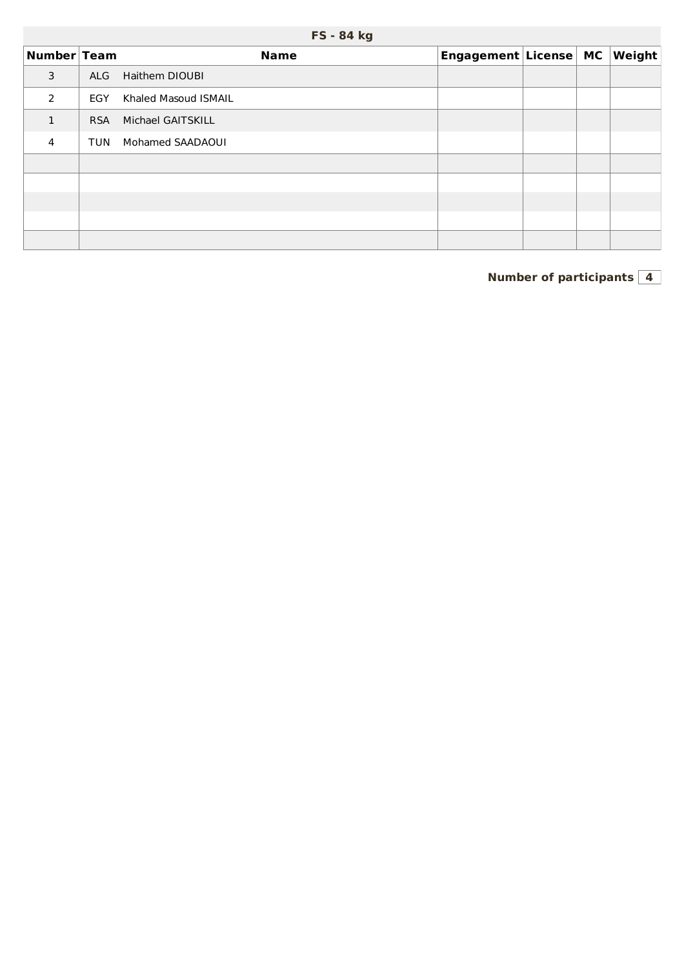|                |            | פיי די ט             |                       |  |                     |
|----------------|------------|----------------------|-----------------------|--|---------------------|
| Number Team    |            | <b>Name</b>          | Engagement License MC |  | $ \textsf{Weight} $ |
| 3              | <b>ALG</b> | Haithem DIOUBI       |                       |  |                     |
| 2              | EGY        | Khaled Masoud ISMAIL |                       |  |                     |
| 1              | <b>RSA</b> | Michael GAITSKILL    |                       |  |                     |
| $\overline{4}$ | <b>TUN</b> | Mohamed SAADAOUI     |                       |  |                     |
|                |            |                      |                       |  |                     |
|                |            |                      |                       |  |                     |
|                |            |                      |                       |  |                     |
|                |            |                      |                       |  |                     |
|                |            |                      |                       |  |                     |

# **FS - 84 kg**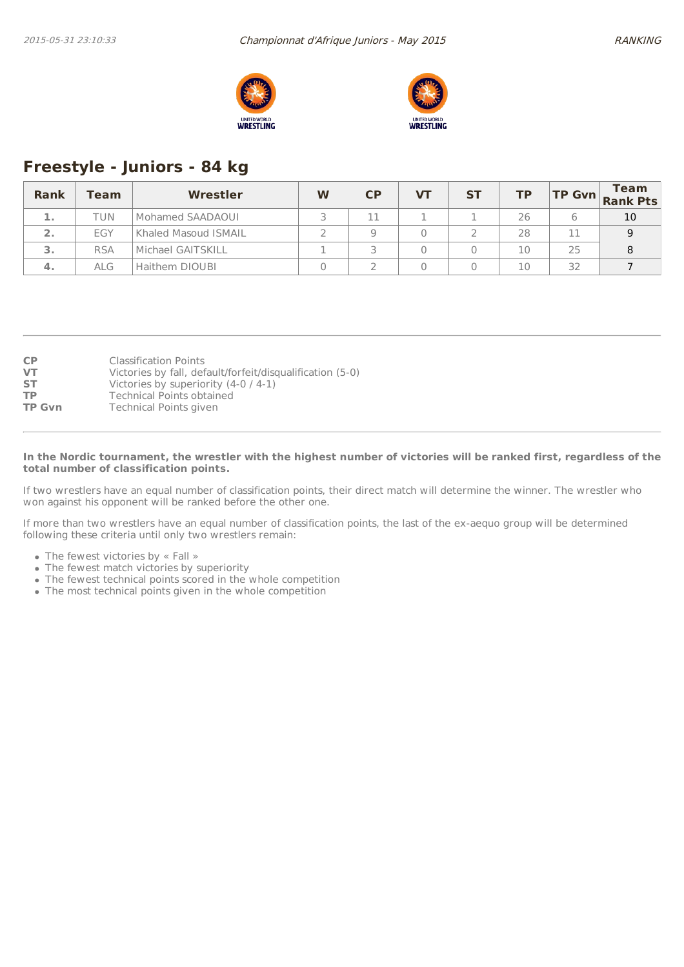



# **Freestyle - Juniors - 84 kg**

| Rank | Team       | Wrestler             | W | <b>CP</b> | VТ | <b>ST</b> | TP |    | <b>TP Gvn</b> Team |
|------|------------|----------------------|---|-----------|----|-----------|----|----|--------------------|
| 1.   | TUN        | Mohamed SAADAOUI     |   |           |    |           | 26 | h  | 10                 |
| 2.   | EGY        | Khaled Masoud ISMAIL |   |           |    |           | 28 | 11 |                    |
| 3.   | <b>RSA</b> | Michael GAITSKILL    |   |           |    |           | 10 | 25 |                    |
| 4.   | <b>ALG</b> | Haithem DIOUBI       |   |           |    |           | 10 | 32 |                    |

| <b>CP</b><br>VT | <b>Classification Points</b><br>Victories by fall, default/forfeit/disqualification (5-0) |
|-----------------|-------------------------------------------------------------------------------------------|
| <b>ST</b>       | Victories by superiority $(4-0/4-1)$                                                      |
| <b>TP</b>       | <b>Technical Points obtained</b>                                                          |
| <b>TP Gvn</b>   | Technical Points given                                                                    |

#### In the Nordic tournament, the wrestler with the highest number of victories will be ranked first, regardless of the **total number of classification points.**

If two wrestlers have an equal number of classification points, their direct match will determine the winner. The wrestler who won against his opponent will be ranked before the other one.

If more than two wrestlers have an equal number of classification points, the last of the ex-aequo group will be determined following these criteria until only two wrestlers remain:

- The fewest victories by « Fall »
- The fewest match victories by superiority
- The fewest technical points scored in the whole competition
- The most technical points given in the whole competition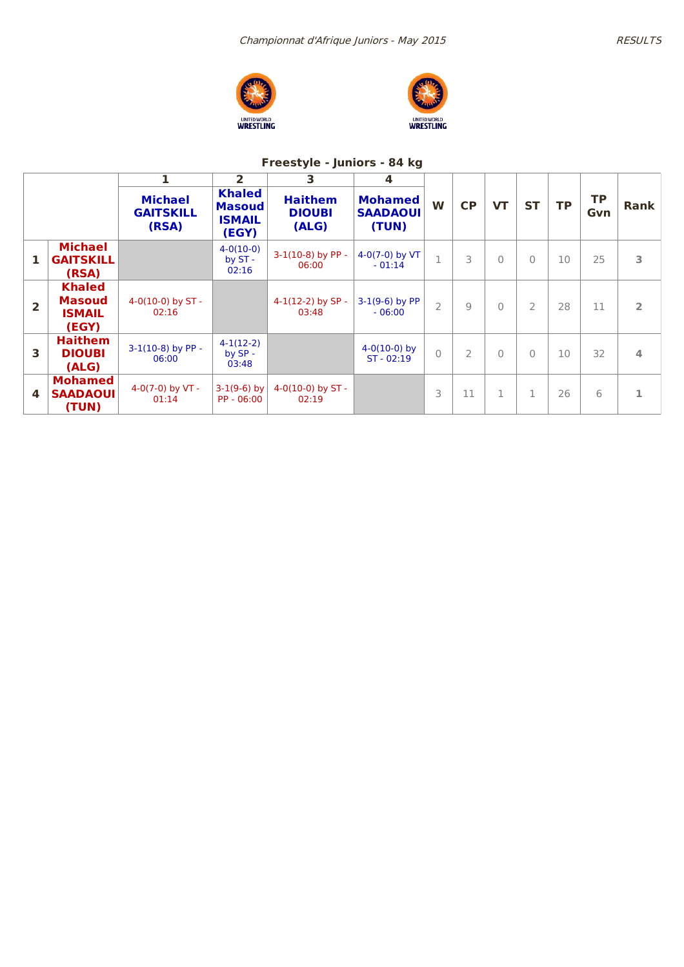





# **Freestyle - Juniors - 84 kg**

|                         |                                                          | 1                                           | $\overline{2}$                                           | 3                                        | 4                                          |                |                |           |                |     |                  | Rank |
|-------------------------|----------------------------------------------------------|---------------------------------------------|----------------------------------------------------------|------------------------------------------|--------------------------------------------|----------------|----------------|-----------|----------------|-----|------------------|------|
|                         |                                                          | <b>Michael</b><br><b>GAITSKILL</b><br>(RSA) | <b>Khaled</b><br><b>Masoud</b><br><b>ISMAIL</b><br>(EGY) | <b>Haithem</b><br><b>DIOUBI</b><br>(ALG) | <b>Mohamed</b><br><b>SAADAOUI</b><br>(TUN) | W              | CP             | <b>VT</b> | <b>ST</b>      | TP. | <b>TP</b><br>Gvn |      |
| 1                       | <b>Michael</b><br><b>GAITSKILL</b><br>(RSA)              |                                             | $4 - 0(10 - 0)$<br>by $ST -$<br>02:16                    | $3-1(10-8)$ by PP -<br>06:00             | 4-0(7-0) by $VT$<br>$-01:14$               | $\mathbf 1$    | 3              | $\Omega$  | $\Omega$       | 10  | 25               | 3    |
| $\overline{2}$          | <b>Khaled</b><br><b>Masoud</b><br><b>ISMAIL</b><br>(EGY) | 4-0(10-0) by $ST -$<br>02:16                |                                                          | $4-1(12-2)$ by SP -<br>03:48             | $3-1(9-6)$ by PP<br>$-06:00$               | $\overline{2}$ | 9              | $\Omega$  | $\overline{2}$ | 28  | 11               | 2    |
| 3                       | <b>Haithem</b><br><b>DIOUBI</b><br>(ALG)                 | $3-1(10-8)$ by PP -<br>06:00                | $4-1(12-2)$<br>by SP -<br>03:48                          |                                          | $4-0(10-0)$ by<br>$ST - 02:19$             | $\Omega$       | $\overline{2}$ | $\Omega$  | $\Omega$       | 10  | 32               | 4    |
| $\overline{\mathbf{4}}$ | <b>Mohamed</b><br><b>SAADAOUI</b><br>(TUN)               | 4-0(7-0) by $VT -$<br>01:14                 | $3-1(9-6)$ by<br>$PP - 06:00$                            | $4-0(10-0)$ by ST -<br>02:19             |                                            | 3              | 11             | 1         | 1              | 26  | 6                | 1    |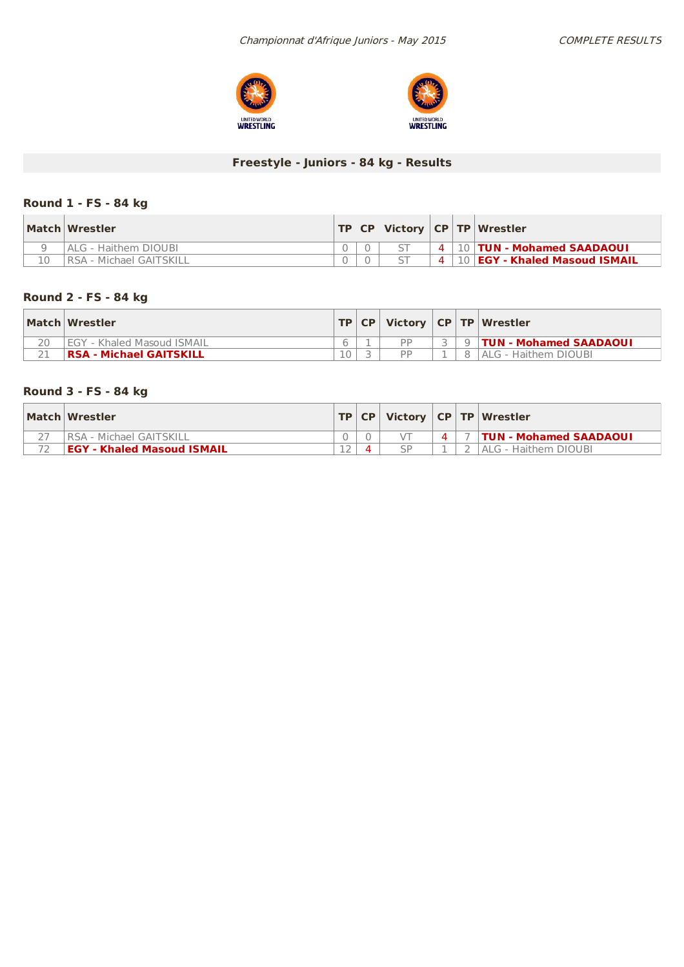



# **Freestyle - Juniors - 84 kg - Results**

### **Round 1 - FS - 84 kg**

| Match Wrestler               |  |  | TP   CP   Victory   CP   TP   Wrestler |
|------------------------------|--|--|----------------------------------------|
| <b>IALG - Haithem DIOUBI</b> |  |  | 4   10   TUN - Mohamed SAADAOUI        |
| IRSA - Michael GAITSKILL     |  |  | 4   10   EGY - Khaled Masoud ISMAIL    |

### **Round 2 - FS - 84 kg**

|                 | Match Wrestler                     |                 |           |  | TP   CP   Victory   CP   TP   Wrestler |
|-----------------|------------------------------------|-----------------|-----------|--|----------------------------------------|
|                 | <b>IEGY - Khaled Masoud ISMAIL</b> |                 | DD        |  | 9   TUN - Mohamed SAADAOUI             |
| $\lnot$ $\lnot$ | <b>RSA - Michael GAITSKILL</b>     | 10 <sup>1</sup> | <b>DD</b> |  | ALG - Haithem DIOUBI                   |

# **Round 3 - FS - 84 kg**

| Match Wrestler                    |  |  | $ TP CP $ Victory $ CP TP $ Wrestler |
|-----------------------------------|--|--|--------------------------------------|
| <b>IRSA - Michael GAITSKILL</b>   |  |  | <b>TUN - Mohamed SAADAOUI</b>        |
| <b>EGY - Khaled Masoud ISMAIL</b> |  |  | ALG - Haithem DIOUBI                 |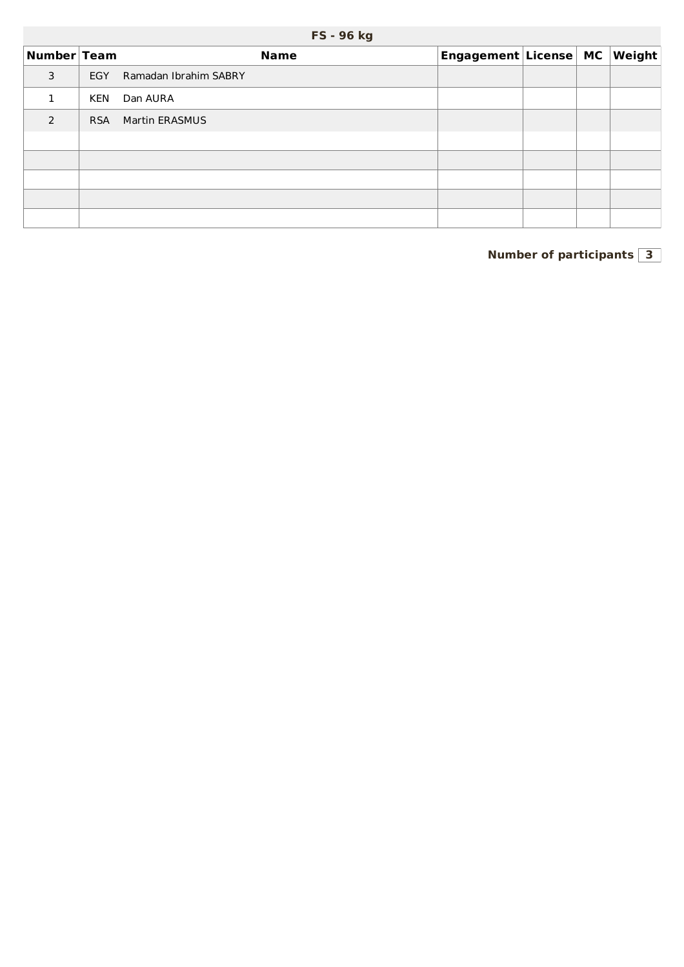| <b>FS - 96 kg</b> |  |  |
|-------------------|--|--|
|-------------------|--|--|

| $\vert$ Number $\vert$ Team $\vert$ |            | <b>Name</b>           | $\mid$ Engagement License $\mid$ MC $\mid$ Weight $\mid$ |  |  |
|-------------------------------------|------------|-----------------------|----------------------------------------------------------|--|--|
| 3                                   | EGY        | Ramadan Ibrahim SABRY |                                                          |  |  |
|                                     | <b>KEN</b> | Dan AURA              |                                                          |  |  |
| $\mathcal{P}$                       | <b>RSA</b> | Martin ERASMUS        |                                                          |  |  |
|                                     |            |                       |                                                          |  |  |
|                                     |            |                       |                                                          |  |  |
|                                     |            |                       |                                                          |  |  |
|                                     |            |                       |                                                          |  |  |
|                                     |            |                       |                                                          |  |  |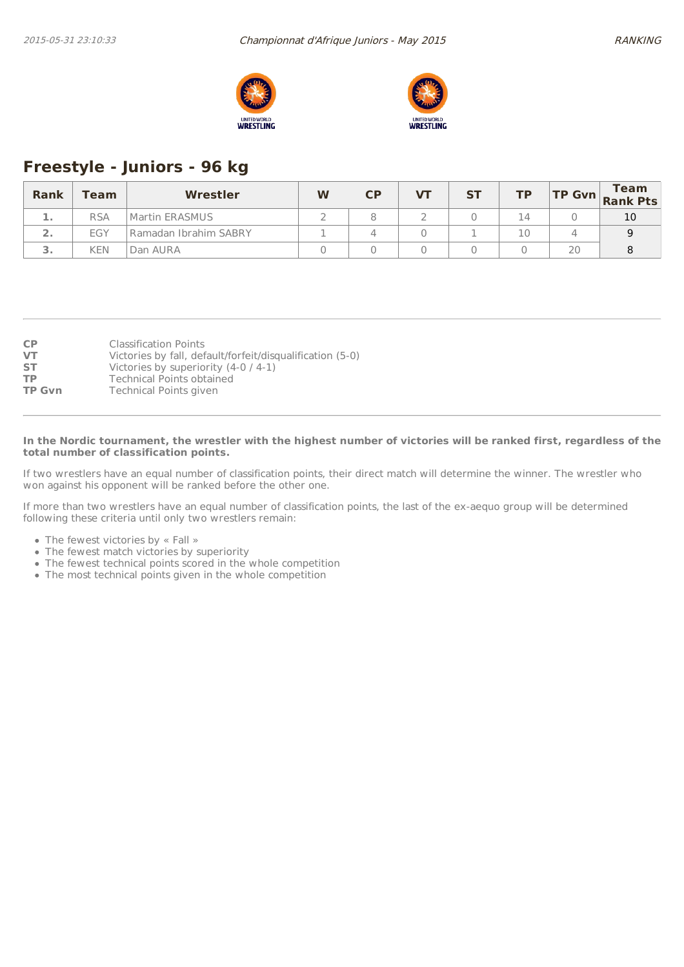



# **Freestyle - Juniors - 96 kg**

| <b>Rank</b> | <b>Team</b> | Wrestler              | W | СP | <b>ST</b> | <b>TP</b> |    | <b>TP Gvn</b> Team |
|-------------|-------------|-----------------------|---|----|-----------|-----------|----|--------------------|
| alle s      | <b>RSA</b>  | <b>Martin ERASMUS</b> |   |    |           | 14        |    | 10                 |
| ٠.          | EGY         | Ramadan Ibrahim SABRY |   |    |           | 10        |    |                    |
| . .         | <b>KEN</b>  | Dan AURA              |   |    |           |           | 20 |                    |

| <b>CP</b><br>VT | <b>Classification Points</b><br>Victories by fall, default/forfeit/disqualification (5-0) |
|-----------------|-------------------------------------------------------------------------------------------|
| <b>ST</b>       | Victories by superiority $(4-0/4-1)$                                                      |
| <b>TP</b>       | <b>Technical Points obtained</b>                                                          |
| <b>TP Gvn</b>   | <b>Technical Points given</b>                                                             |

#### In the Nordic tournament, the wrestler with the highest number of victories will be ranked first, regardless of the **total number of classification points.**

If two wrestlers have an equal number of classification points, their direct match will determine the winner. The wrestler who won against his opponent will be ranked before the other one.

If more than two wrestlers have an equal number of classification points, the last of the ex-aequo group will be determined following these criteria until only two wrestlers remain:

- The fewest victories by « Fall »
- The fewest match victories by superiority
- The fewest technical points scored in the whole competition
- The most technical points given in the whole competition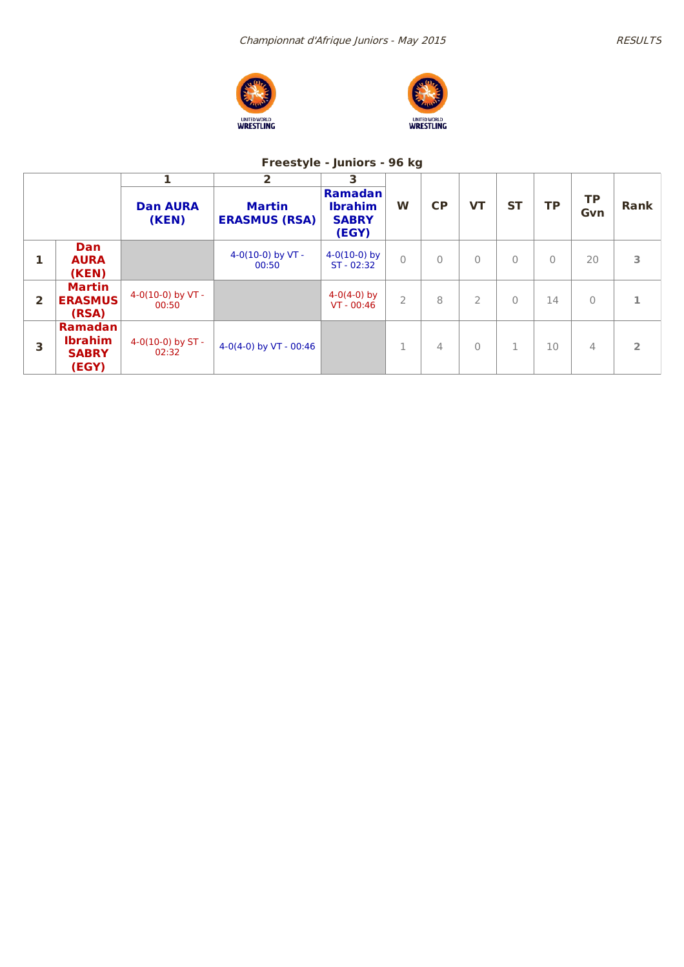





# **Freestyle - Juniors - 96 kg**

|                |                                                           | $\mathbf{1}$               | $\overline{2}$                        | 3                                                         |                |           |           |           |           |                  |                |
|----------------|-----------------------------------------------------------|----------------------------|---------------------------------------|-----------------------------------------------------------|----------------|-----------|-----------|-----------|-----------|------------------|----------------|
|                |                                                           | <b>Dan AURA</b><br>(KEN)   | <b>Martin</b><br><b>ERASMUS (RSA)</b> | <b>Ramadan</b><br><b>Ibrahim</b><br><b>SABRY</b><br>(EGY) | W              | <b>CP</b> | <b>VT</b> | <b>ST</b> | <b>TP</b> | <b>TP</b><br>Gvn | <b>Rank</b>    |
| ı              | <b>Dan</b><br><b>AURA</b><br>(KEN)                        |                            | 4-0(10-0) by VT -<br>00:50            | $4-0(10-0)$ by<br>$ST - 02:32$                            | $\Omega$       | $\Omega$  | $\bigcap$ | $\Omega$  | 0         | 20               | 3              |
| $\overline{2}$ | <b>Martin</b><br><b>ERASMUS</b><br>(RSA)                  | 4-0(10-0) by VT -<br>00:50 |                                       | $4-0(4-0)$ by<br>$VT - 00:46$                             | $\overline{2}$ | 8         | 2         | $\Omega$  | 14        | $\mathbf{0}$     |                |
| 3              | <b>Ramadan</b><br><b>Ibrahim</b><br><b>SABRY</b><br>(EGY) | 4-0(10-0) by ST -<br>02:32 | 4-0(4-0) by VT - 00:46                |                                                           | 1              | 4         | $\Omega$  | п         | 10        | 4                | $\overline{2}$ |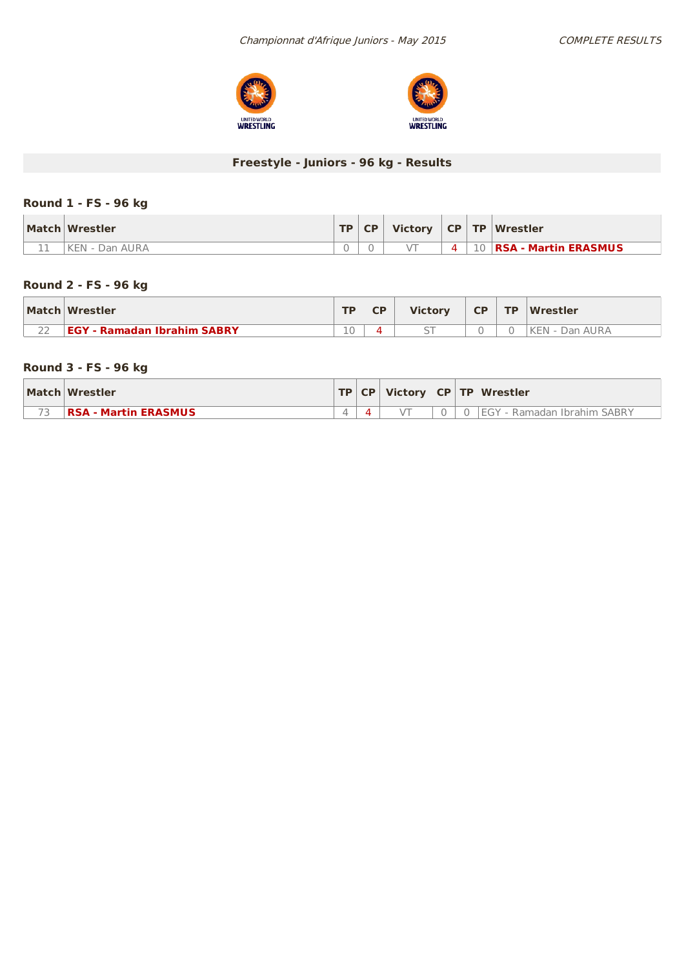



# **Freestyle - Juniors - 96 kg - Results**

### **Round 1 - FS - 96 kg**

|    | Match Wrestler | <b>TP</b> | CP |  | Victory $ CP TP Wrestler $ |
|----|----------------|-----------|----|--|----------------------------|
| -- | KEN - Dan AURA |           |    |  | 10   RSA - Martin ERASMUS  |

### **Round 2 - FS - 96 kg**

|        | Match Wrestler                     | <b>TD</b> | CP | <b>Victory</b> | CP | <b>TP</b> | Wrestler       |
|--------|------------------------------------|-----------|----|----------------|----|-----------|----------------|
| $\sim$ | <b>EGY - Ramadan Ibrahim SABRY</b> | 10        |    |                |    |           | KEN - Dan AURA |

### **Round 3 - FS - 96 kg**

| Match Wrestler              |  |  | $\vert$ TP $\vert$ CP $\vert$ Victory $\vert$ CP $\vert$ TP $\vert$ Wrestler . |
|-----------------------------|--|--|--------------------------------------------------------------------------------|
| <b>RSA - Martin ERASMUS</b> |  |  | EGY - Ramadan Ibrahim SABRY                                                    |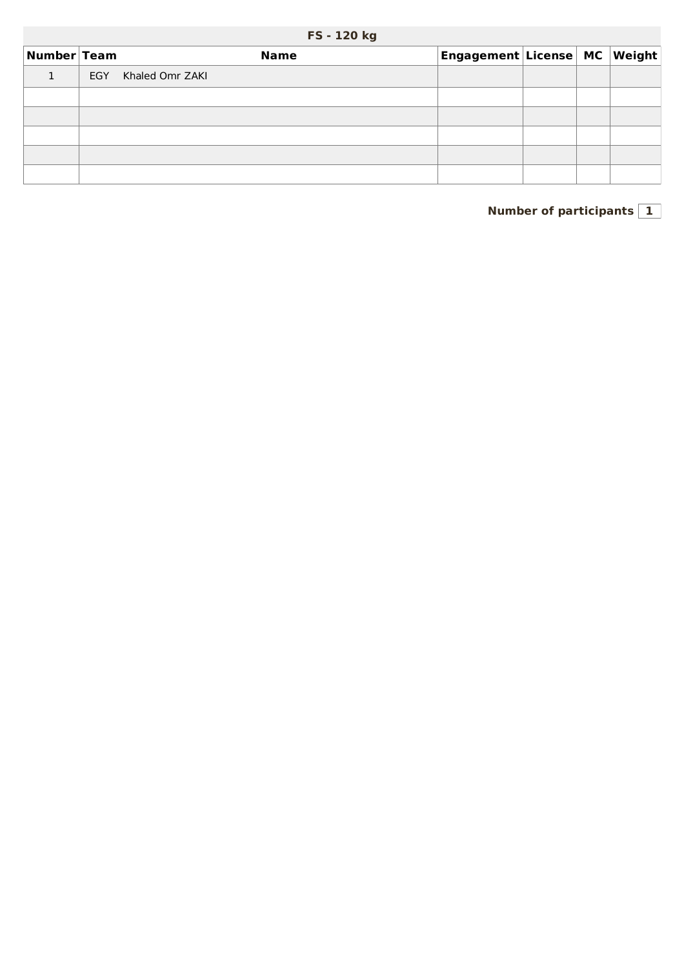| Number Team |            | <b>Name</b>     | Engagement License MC Weight |  |  |
|-------------|------------|-----------------|------------------------------|--|--|
|             | <b>EGY</b> | Khaled Omr ZAKI |                              |  |  |
|             |            |                 |                              |  |  |
|             |            |                 |                              |  |  |
|             |            |                 |                              |  |  |
|             |            |                 |                              |  |  |
|             |            |                 |                              |  |  |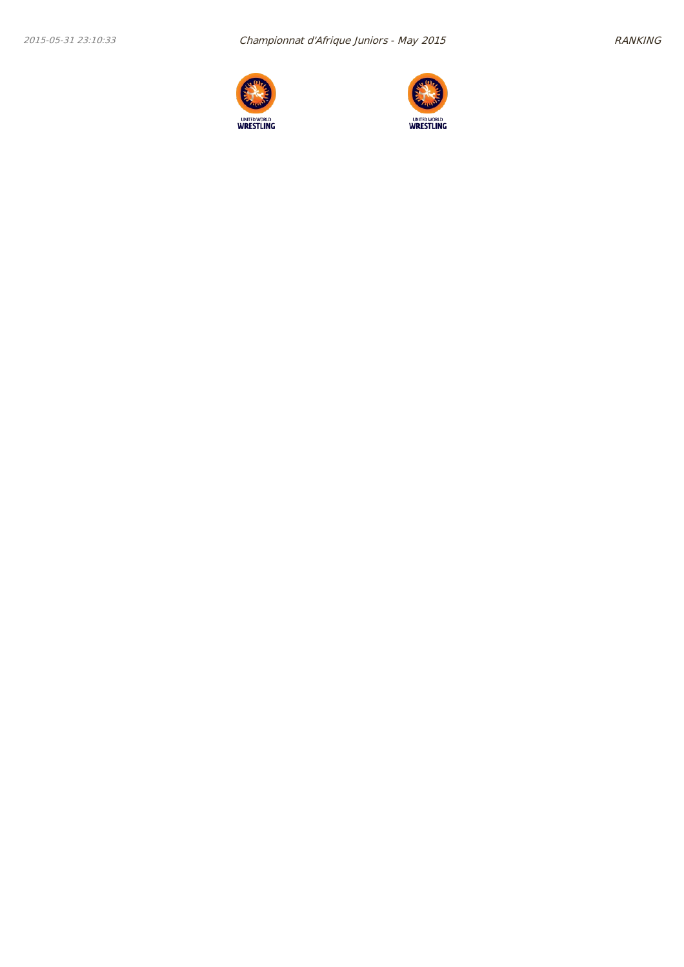

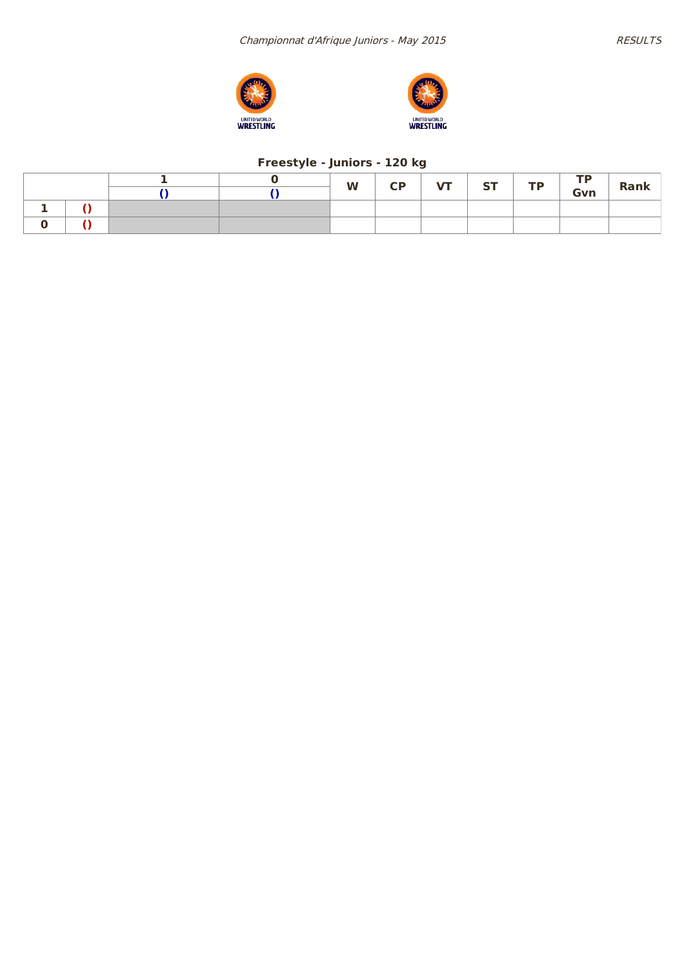



# **Freestyle - Juniors - 120 kg**

|  |  | W | <b>CD</b><br>-- | <b>VT</b> | <b>ST</b> | <b>TP</b><br>. . | TD<br>$\mathbf{u}$<br>Gvn | Rank |
|--|--|---|-----------------|-----------|-----------|------------------|---------------------------|------|
|  |  |   |                 |           |           |                  |                           |      |
|  |  |   |                 |           |           |                  |                           |      |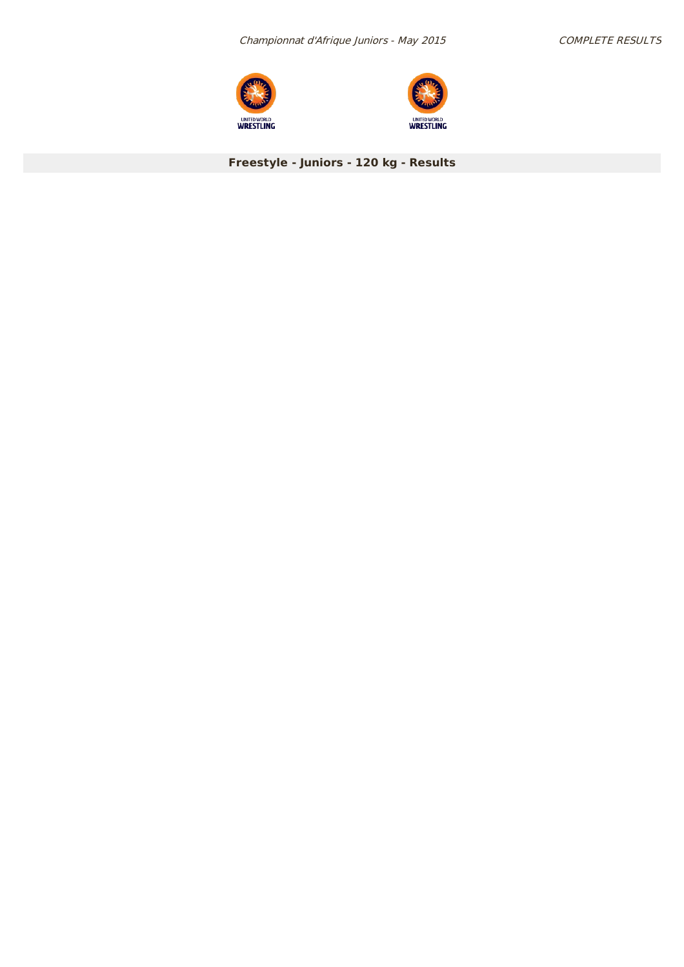Championnat d'Afrique Juniors - May 2015 COMPLETE RESULTS





**Freestyle - Juniors - 120 kg - Results**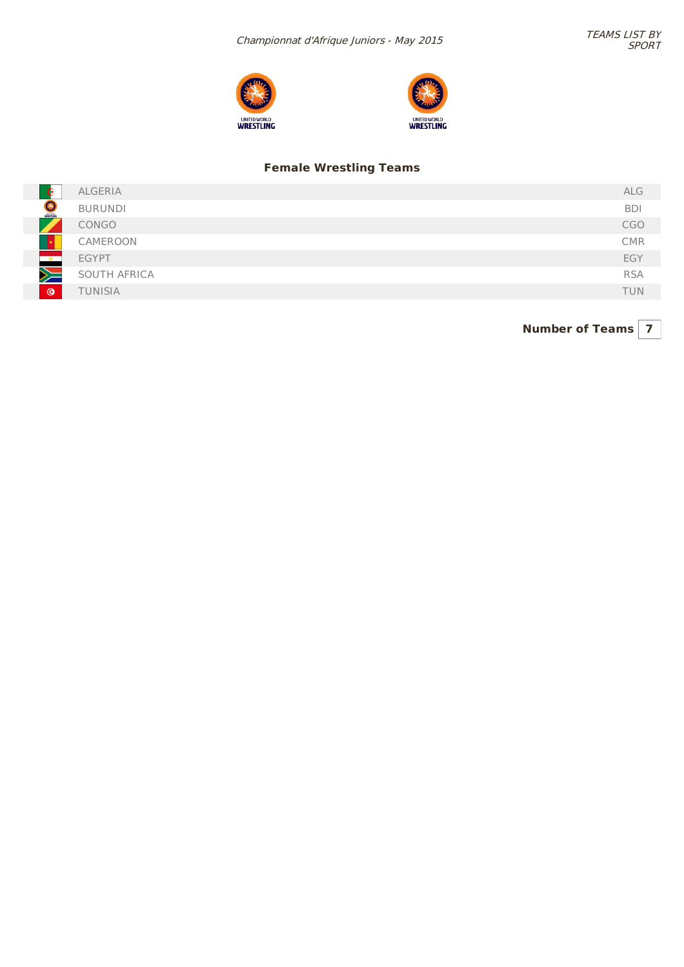



## **Female Wrestling Teams**

|                | <b>ALGERIA</b> | <b>ALG</b> |
|----------------|----------------|------------|
| $\odot$        | <b>BURUNDI</b> | <b>BDI</b> |
|                | CONGO          | <b>CGO</b> |
|                | CAMEROON       | <b>CMR</b> |
| $\frac{1}{2}$  | <b>EGYPT</b>   | EGY        |
| X              | SOUTH AFRICA   | <b>RSA</b> |
| $\circledcirc$ | <b>TUNISIA</b> | <b>TUN</b> |

**Number of Teams 7**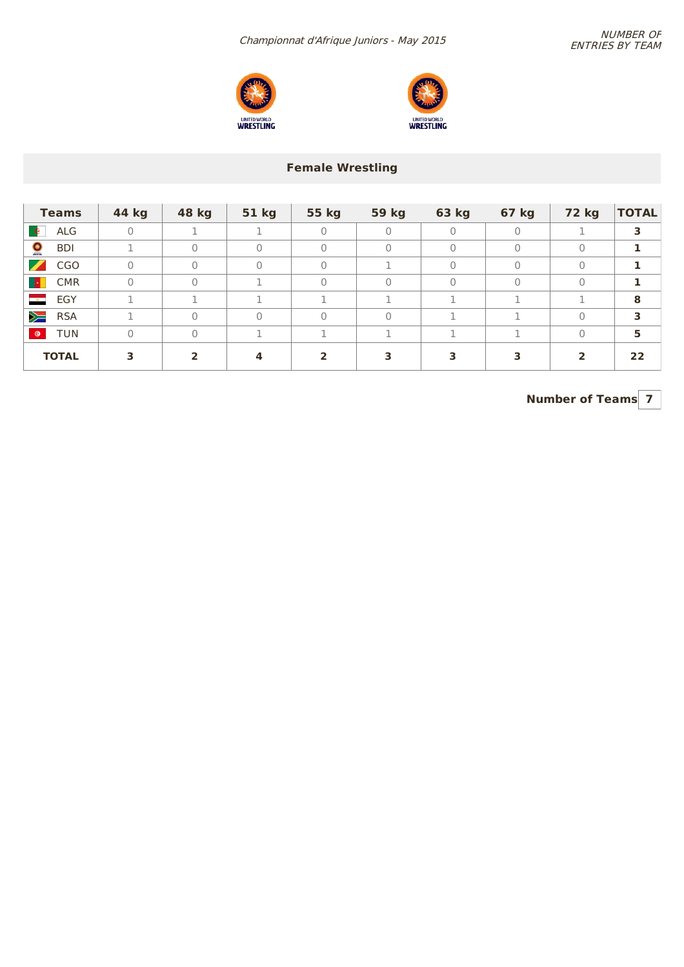NUMBER OF<br>Numbionnat d'Afrique Juniors - May 2015





## **Female Wrestling**

| <b>Teams</b>                            | 44 kg        | 48 kg    | <b>51 kg</b> | 55 kg | <b>59 kg</b> | 63 kg | 67 kg        | <b>72 kg</b> | <b>TOTAL</b> |
|-----------------------------------------|--------------|----------|--------------|-------|--------------|-------|--------------|--------------|--------------|
| $\bullet$<br>ALG                        | $\circ$      |          |              |       | $\Omega$     | 0     | $\mathbf{0}$ |              | 3            |
| $\bullet$<br><b>BDI</b>                 |              | 0        | 0            |       | $\Omega$     |       | 0            |              |              |
| $\sqrt{2}$<br><b>CGO</b>                | $\Omega$     | $\Omega$ | $\Omega$     | O     |              | O     | 0            |              |              |
| $\mathbb{R}^{\mathbb{Z}}$<br><b>CMR</b> | $\mathbf{0}$ | 0        |              |       |              |       | 0            |              |              |
| $\frac{1}{2}$<br>EGY                    |              |          |              |       |              |       |              |              | 8            |
| $\searrow$<br><b>RSA</b>                |              | U        | U            |       |              |       |              |              | 3            |
| $\bullet$<br><b>TUN</b>                 | $\Omega$     | 0        |              |       |              |       |              |              | 5            |
| <b>TOTAL</b>                            | 3            |          |              |       | 3            |       | 3            | $\mathbf{z}$ | 22           |

**Number of Teams 7**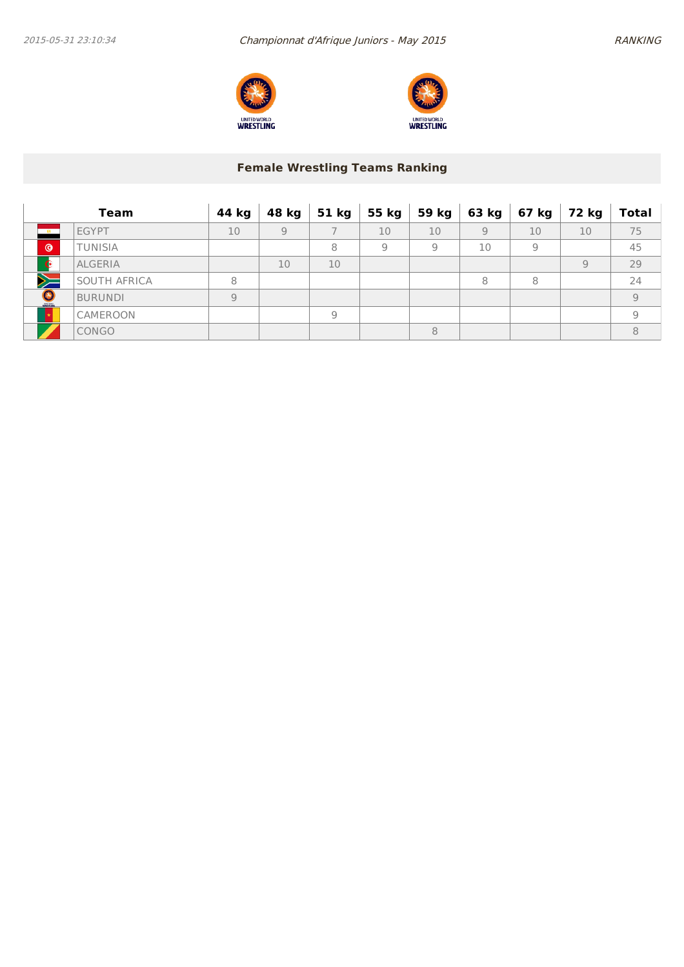



# **Female Wrestling Teams Ranking**

|                | Team           | 44 kg | 48 kg | 51 kg | 55 kg | 59 kg | $ 63 \text{ kg} $ | 67 kg | 72 kg | Total |
|----------------|----------------|-------|-------|-------|-------|-------|-------------------|-------|-------|-------|
|                | <b>EGYPT</b>   | 10    | 9     |       | 10    | 10    | 9                 | 10    | 10    | 75    |
| $\circledcirc$ | TUNISIA        |       |       | 8     | 9     | 9     | 10                | 9     |       | 45    |
| $\bullet$      | <b>ALGERIA</b> |       | 10    | 10    |       |       |                   |       | q     | 29    |
|                | SOUTH AFRICA   | 8     |       |       |       |       | 8                 | 8     |       | 24    |
| $\bullet$      | <b>BURUNDI</b> | 9     |       |       |       |       |                   |       |       | 9     |
|                | CAMEROON       |       |       | 9     |       |       |                   |       |       | q     |
|                | CONGO          |       |       |       |       | 8     |                   |       |       |       |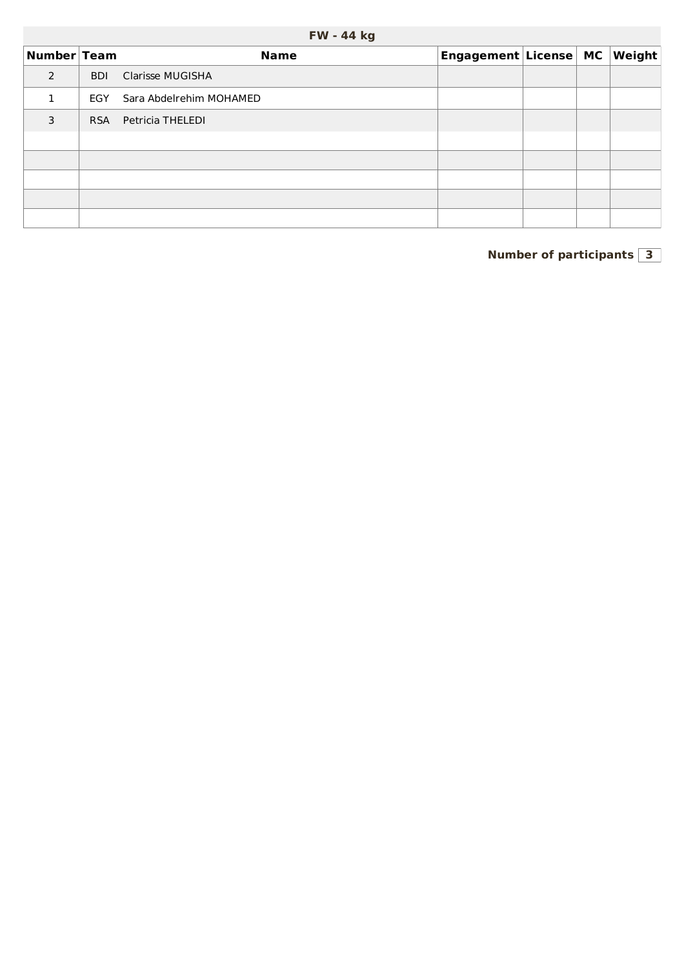| Number Team   |            | <b>Name</b>             | Engagement License MC Weight |  |  |
|---------------|------------|-------------------------|------------------------------|--|--|
| $\mathcal{P}$ | <b>BDI</b> | <b>Clarisse MUGISHA</b> |                              |  |  |
| 1             | <b>EGY</b> | Sara Abdelrehim MOHAMED |                              |  |  |
| 3             | <b>RSA</b> | Petricia THELEDI        |                              |  |  |
|               |            |                         |                              |  |  |
|               |            |                         |                              |  |  |
|               |            |                         |                              |  |  |
|               |            |                         |                              |  |  |
|               |            |                         |                              |  |  |

**Number of participants 3**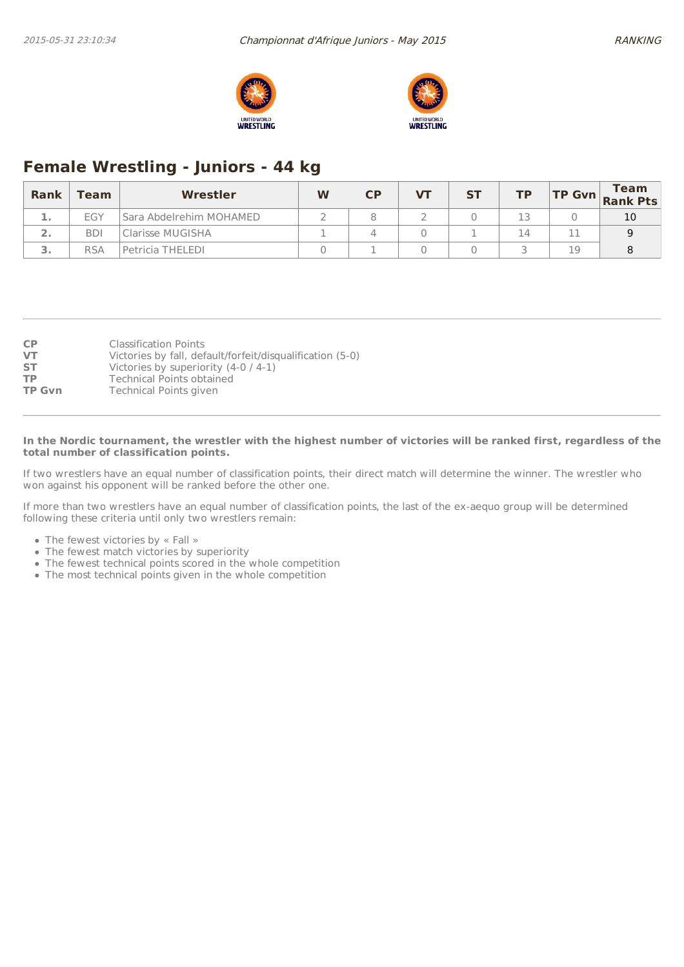



# **Female Wrestling - Juniors - 44 kg**

| <b>Rank</b> | <b>Team</b> | Wrestler                | W | СP | VT | <b>ST</b> | <b>TP</b> |    | <b>Team</b><br>$T$ P Gvn Rank Pts |
|-------------|-------------|-------------------------|---|----|----|-----------|-----------|----|-----------------------------------|
| --          | EGY         | Sara Abdelrehim MOHAMED |   |    |    |           |           |    | 10                                |
| <u>_</u>    | <b>BDI</b>  | Clarisse MUGISHA        |   |    |    |           | 14        |    |                                   |
|             | RSA         | Petricia THELEDI        |   |    |    |           |           | 19 |                                   |

| <b>CP</b><br><b>VT</b> | <b>Classification Points</b><br>Victories by fall, default/forfeit/disqualification (5-0) |
|------------------------|-------------------------------------------------------------------------------------------|
| <b>ST</b>              | Victories by superiority (4-0 / 4-1)                                                      |
| <b>TP</b>              | <b>Technical Points obtained</b>                                                          |
| <b>TP Gvn</b>          | Technical Points given                                                                    |

#### In the Nordic tournament, the wrestler with the highest number of victories will be ranked first, regardless of the **total number of classification points.**

If two wrestlers have an equal number of classification points, their direct match will determine the winner. The wrestler who won against his opponent will be ranked before the other one.

- The fewest victories by « Fall »
- The fewest match victories by superiority
- The fewest technical points scored in the whole competition
- The most technical points given in the whole competition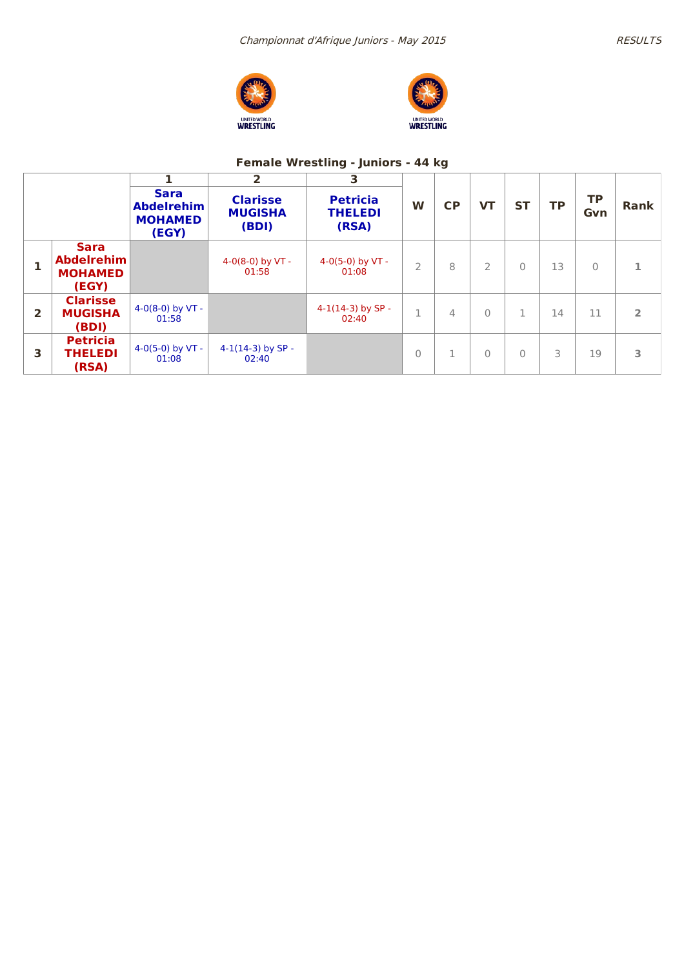



## **Female Wrestling - Juniors - 44 kg**

|                |                                                             |                                                             | $\overline{2}$                             | 3                                          |                |    |                |           |           |                  |      |
|----------------|-------------------------------------------------------------|-------------------------------------------------------------|--------------------------------------------|--------------------------------------------|----------------|----|----------------|-----------|-----------|------------------|------|
|                |                                                             | <b>Sara</b><br><b>Abdelrehim</b><br><b>MOHAMED</b><br>(EGY) | <b>Clarisse</b><br><b>MUGISHA</b><br>(BDI) | <b>Petricia</b><br><b>THELEDI</b><br>(RSA) | W              | CP | <b>VT</b>      | <b>ST</b> | <b>TP</b> | <b>TP</b><br>Gvn | Rank |
|                | <b>Sara</b><br><b>Abdelrehim</b><br><b>MOHAMED</b><br>(EGY) |                                                             | 4-0(8-0) by $VT -$<br>01:58                | 4-0(5-0) by VT -<br>01:08                  | $\overline{2}$ | 8  | $\overline{2}$ | $\Omega$  | 13        | $\Omega$         | 1    |
| $\overline{2}$ | <b>Clarisse</b><br><b>MUGISHA</b><br>(BDI)                  | 4-0(8-0) by $VT -$<br>01:58                                 |                                            | $4-1(14-3)$ by SP -<br>02:40               | 1              | 4  | $\Omega$       | 1         | 14        | 11               | 2    |
| 3              | <b>Petricia</b><br><b>THELEDI</b><br>(RSA)                  | 4-0(5-0) by $VT -$<br>01:08                                 | 4-1(14-3) by SP -<br>02:40                 |                                            | $\overline{0}$ | 1  | $\Omega$       | $\Omega$  | 3         | 19               | 3    |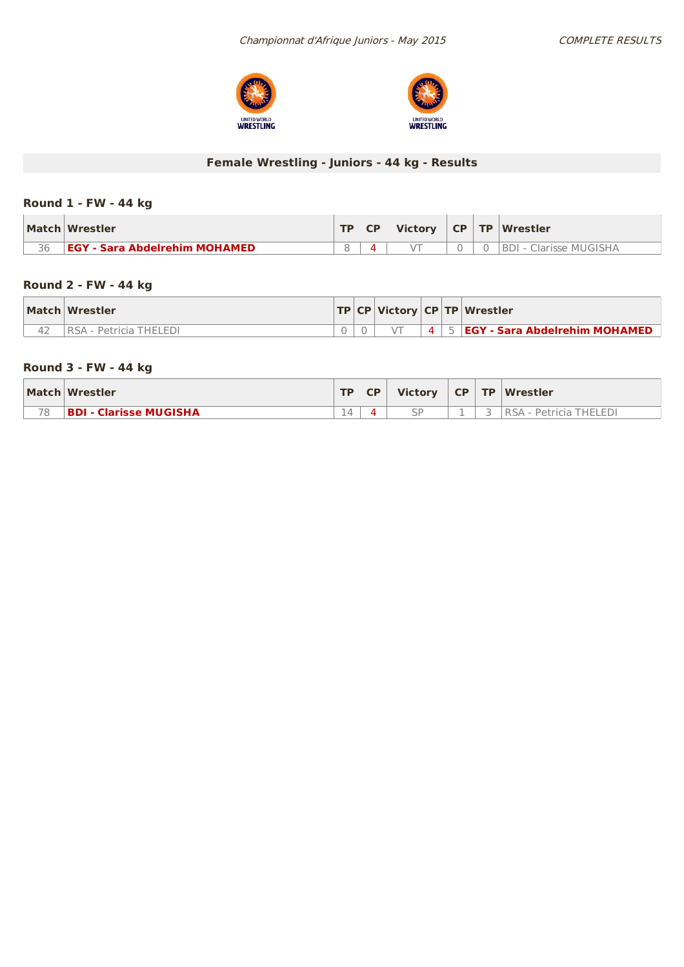



## **Female Wrestling - Juniors - 44 kg - Results**

### **Round 1 - FW - 44 kg**

|    | Match Wrestler                       | TD. | <b>CP</b> | <b>Victory</b> | $CP$ TP | Wrestler                      |
|----|--------------------------------------|-----|-----------|----------------|---------|-------------------------------|
| 36 | <b>EGY - Sara Abdelrehim MOHAMED</b> |     |           |                |         | Clarisse MUGISHA<br>' BDI - C |

### **Round 2 - FW - 44 kg**

| Match Wrestler         |  |     | TP CP Victory CP TP Wrestler                                |
|------------------------|--|-----|-------------------------------------------------------------|
| RSA - Petricia THELEDI |  | 4 I | $\blacksquare$ EGY - Sara Abdelrehim MOHAMED $\blacksquare$ |

### **Round 3 - FW - 44 kg**

|    | Match Wrestler                | TP      | <b>CP</b> | <b>Victory</b> |  | $CP$ TP Wrestler       |
|----|-------------------------------|---------|-----------|----------------|--|------------------------|
| 78 | <b>BDI - Clarisse MUGISHA</b> | 4<br>-- |           |                |  | RSA - Petricia THELEDI |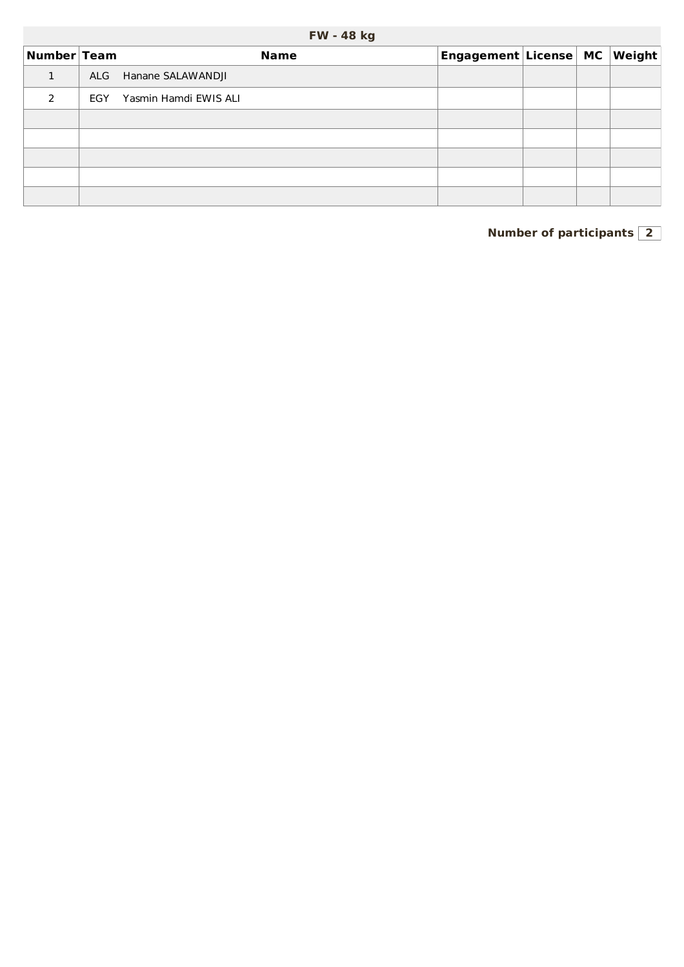# **FW - 48 kg**

| $\vert$ Number $\vert$ Team $\vert$ |     | <b>Name</b>           | Engagement License MC Weight |  |  |
|-------------------------------------|-----|-----------------------|------------------------------|--|--|
|                                     | ALG | Hanane SALAWANDJI     |                              |  |  |
| 2                                   | EGY | Yasmin Hamdi EWIS ALI |                              |  |  |
|                                     |     |                       |                              |  |  |
|                                     |     |                       |                              |  |  |
|                                     |     |                       |                              |  |  |
|                                     |     |                       |                              |  |  |
|                                     |     |                       |                              |  |  |

**Number of participants 2**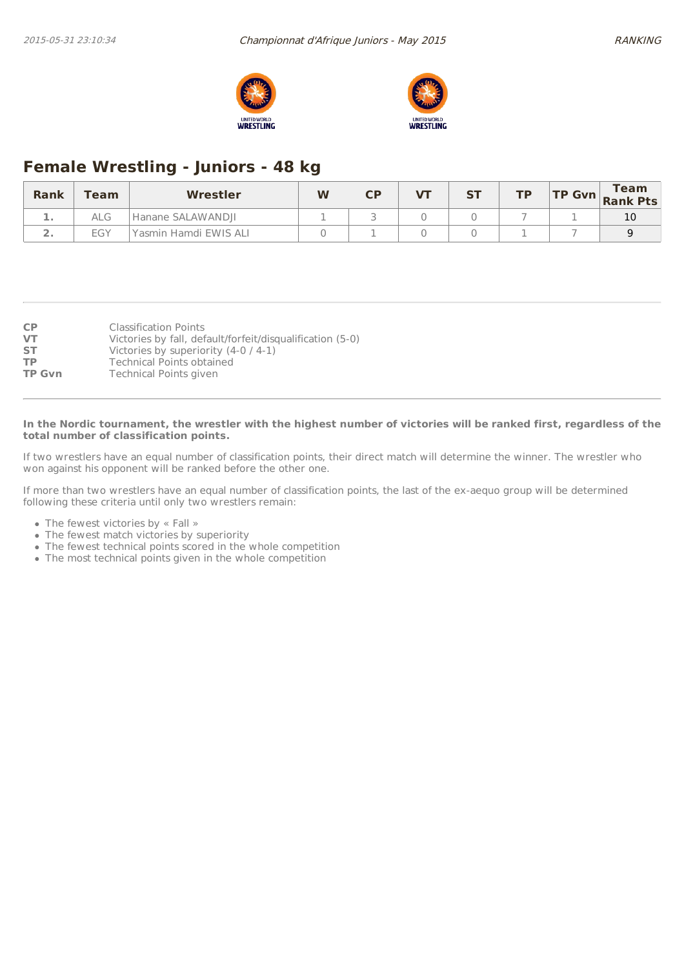



# **Female Wrestling - Juniors - 48 kg**

| <b>Rank</b> | <b>Team</b> | Wrestler              | W | <b>CD</b> | $\sqrt{ }$ | CT.<br>◡ | <b>TP</b> | TP Gvn | <b>Team</b><br><b>Rank Pts</b> |
|-------------|-------------|-----------------------|---|-----------|------------|----------|-----------|--------|--------------------------------|
| alle s      | <b>ALG</b>  | 'Hanane SALAWANDJI    |   |           |            |          |           |        | 10                             |
| --          | EGY         | 'asmin Hamdi EWIS ALI |   |           |            |          |           |        |                                |

| <b>CP</b>     | <b>Classification Points</b>                              |
|---------------|-----------------------------------------------------------|
| <b>VT</b>     | Victories by fall, default/forfeit/disqualification (5-0) |
| <b>ST</b>     | Victories by superiority $(4-0/4-1)$                      |
| <b>TP</b>     | <b>Technical Points obtained</b>                          |
| <b>TP Gvn</b> | Technical Points given                                    |

#### In the Nordic tournament, the wrestler with the highest number of victories will be ranked first, regardless of the **total number of classification points.**

If two wrestlers have an equal number of classification points, their direct match will determine the winner. The wrestler who won against his opponent will be ranked before the other one.

- The fewest victories by « Fall »
- The fewest match victories by superiority
- The fewest technical points scored in the whole competition
- The most technical points given in the whole competition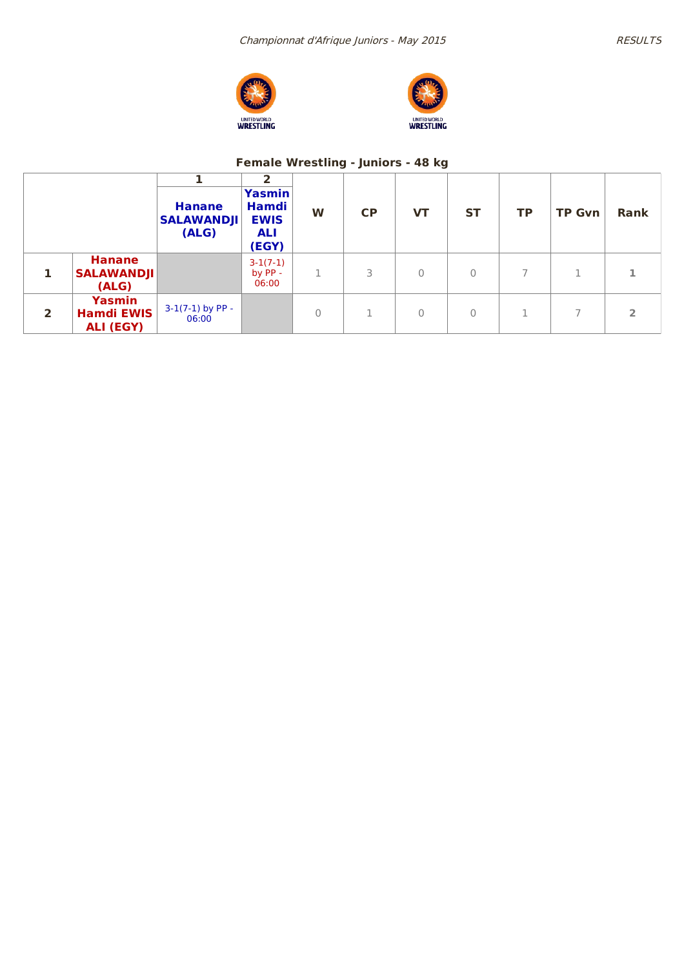



## **Female Wrestling - Juniors - 48 kg**

|                |                                                        | 1<br><b>Hanane</b><br><b>SALAWANDJI</b><br>(ALG) | $\overline{2}$<br>Yasmin<br><b>Hamdi</b><br><b>EWIS</b><br><b>ALI</b><br>(EGY) | W            | <b>CP</b> | <b>VT</b> | <b>ST</b> | <b>TP</b> | <b>TP Gvn</b> | Rank           |
|----------------|--------------------------------------------------------|--------------------------------------------------|--------------------------------------------------------------------------------|--------------|-----------|-----------|-----------|-----------|---------------|----------------|
|                | <b>Hanane</b><br><b>SALAWANDJI</b><br>(ALG)            |                                                  | $3-1(7-1)$<br>by PP -<br>06:00                                                 | 1            | 3         | $\Omega$  | $\Omega$  |           |               |                |
| $\overline{2}$ | <b>Yasmin</b><br><b>Hamdi EWIS</b><br><b>ALI (EGY)</b> | $3-1(7-1)$ by PP -<br>06:00                      |                                                                                | $\mathbf{0}$ | 1         | $\Omega$  | $\Omega$  |           |               | $\overline{2}$ |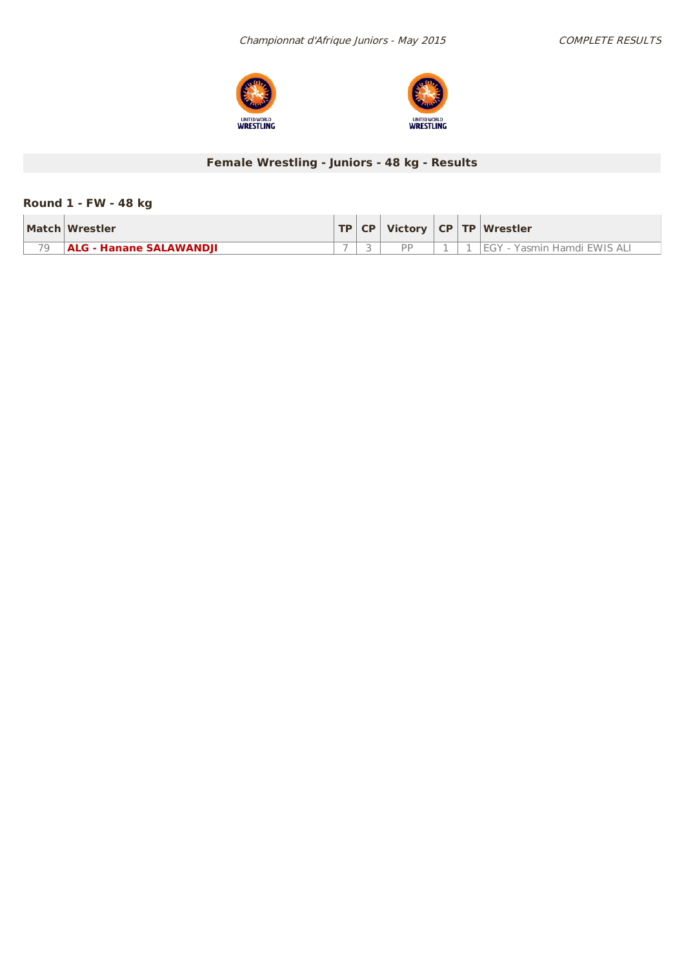



## **Female Wrestling - Juniors - 48 kg - Results**

### **Round 1 - FW - 48 kg**

|    | Match Wrestler                 |  |    |  | TP   CP   Victory   CP   TP   Wrestler |
|----|--------------------------------|--|----|--|----------------------------------------|
| 70 | <b>ALG - Hanane SALAWANDII</b> |  | DD |  | ' - Yasmin Hamdi EWIS ALI              |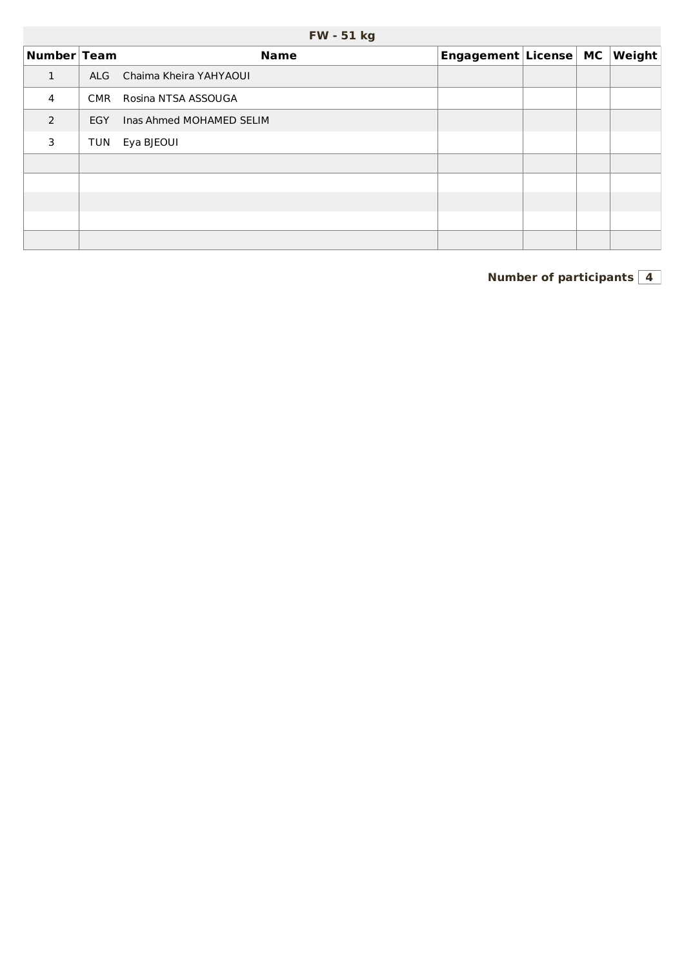|              |            | <b>FW - 51 kg</b>        |                       |  |               |
|--------------|------------|--------------------------|-----------------------|--|---------------|
| Number Team  |            | <b>Name</b>              | Engagement License MC |  | <b>Weight</b> |
| $\mathbf{1}$ | ALG        | Chaima Kheira YAHYAOUI   |                       |  |               |
| 4            | <b>CMR</b> | Rosina NTSA ASSOUGA      |                       |  |               |
| 2            | EGY        | Inas Ahmed MOHAMED SELIM |                       |  |               |
| 3            | <b>TUN</b> | Eya BJEOUI               |                       |  |               |
|              |            |                          |                       |  |               |
|              |            |                          |                       |  |               |
|              |            |                          |                       |  |               |
|              |            |                          |                       |  |               |
|              |            |                          |                       |  |               |

# **Number of participants 4**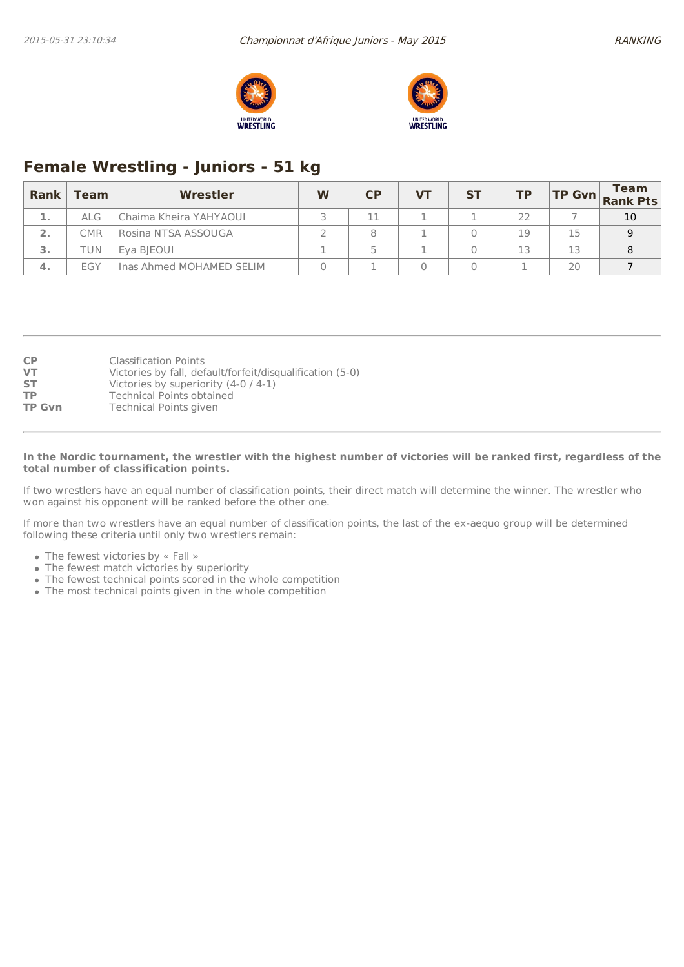



# **Female Wrestling - Juniors - 51 kg**

| Rank | <b>Team</b> | Wrestler                 | W | CP | VТ | <b>ST</b> | ТP |    | <b>Team</b><br>$\begin{vmatrix} \mathsf{TP} & \mathsf{Gvn} \\ \mathsf{Rank} & \mathsf{Pts} \end{vmatrix}$ |
|------|-------------|--------------------------|---|----|----|-----------|----|----|-----------------------------------------------------------------------------------------------------------|
| 1.   | <b>ALG</b>  | Chaima Kheira YAHYAOUI   |   |    |    |           | 22 |    | 10                                                                                                        |
| 2.   | CMR         | Rosina NTSA ASSOUGA      |   |    |    |           | 19 | 15 |                                                                                                           |
| з.   | TUN         | Eya BJEOUI               |   |    |    |           | 13 |    |                                                                                                           |
| 4.   | EGY         | Inas Ahmed MOHAMED SELIM |   |    |    |           |    | 20 |                                                                                                           |

| <b>CP</b>     | <b>Classification Points</b>                              |
|---------------|-----------------------------------------------------------|
| VT            | Victories by fall, default/forfeit/disqualification (5-0) |
| <b>ST</b>     | Victories by superiority $(4-0/4-1)$                      |
| ТP            | <b>Technical Points obtained</b>                          |
| <b>TP Gvn</b> | Technical Points given                                    |

#### In the Nordic tournament, the wrestler with the highest number of victories will be ranked first, regardless of the **total number of classification points.**

If two wrestlers have an equal number of classification points, their direct match will determine the winner. The wrestler who won against his opponent will be ranked before the other one.

- The fewest victories by « Fall »
- The fewest match victories by superiority
- The fewest technical points scored in the whole competition
- The most technical points given in the whole competition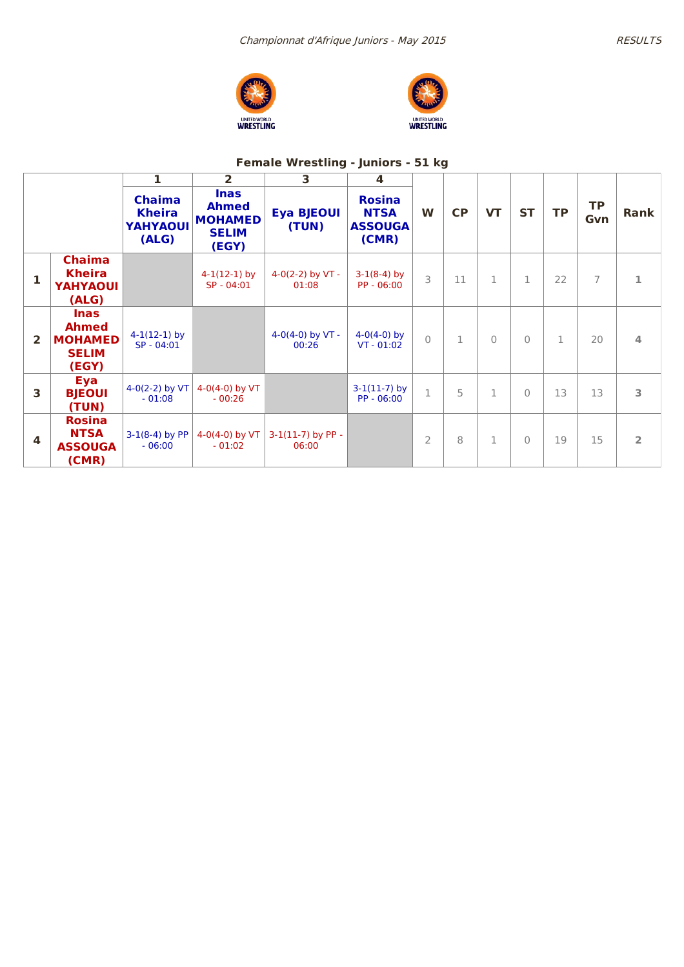



## **Female Wrestling - Juniors - 51 kg**

|                  |                                                                        | 1                                                   | $\overline{2}$                                                         | 3                            | 4                                                       |                |    |           |           |           |                  |                |
|------------------|------------------------------------------------------------------------|-----------------------------------------------------|------------------------------------------------------------------------|------------------------------|---------------------------------------------------------|----------------|----|-----------|-----------|-----------|------------------|----------------|
|                  |                                                                        | <b>Chaima</b><br><b>Kheira</b><br>YAHYAOUI<br>(ALG) | <b>Inas</b><br><b>Ahmed</b><br><b>MOHAMED</b><br><b>SELIM</b><br>(EGY) | <b>Eya BJEOUI</b><br>(TUN)   | <b>Rosina</b><br><b>NTSA</b><br><b>ASSOUGA</b><br>(CMR) | W              | CP | <b>VT</b> | <b>ST</b> | <b>TP</b> | <b>TP</b><br>Gvn | <b>Rank</b>    |
| 1                | <b>Chaima</b><br><b>Kheira</b><br><b>YAHYAOUI</b><br>(ALG)             |                                                     | $4-1(12-1)$ by<br>$SP - 04:01$                                         | $4-0(2-2)$ by VT -<br>01:08  | $3-1(8-4)$ by<br>$PP - 06:00$                           | 3              | 11 |           | 1         | 22        | 7                | 1              |
| $\overline{2}$   | <b>Inas</b><br><b>Ahmed</b><br><b>MOHAMED</b><br><b>SELIM</b><br>(EGY) | $4-1(12-1)$ by<br>$SP - 04:01$                      |                                                                        | $4-0(4-0)$ by VT -<br>00:26  | $4-0(4-0)$ by<br>$VT - 01:02$                           | $\bigcap$      | 1  | 0         | $\Omega$  | 1         | 20               | 4              |
| 3                | <b>Eya</b><br><b>BJEOUI</b><br>(TUN)                                   | 4-0(2-2) by $VT$<br>$-01:08$                        | 4-0(4-0) by $VT$<br>$-00:26$                                           |                              | $3-1(11-7)$ by<br>PP - 06:00                            | $\mathbf{1}$   | 5  |           | $\bigcap$ | 13        | 13               | 3              |
| $\boldsymbol{4}$ | <b>Rosina</b><br><b>NTSA</b><br><b>ASSOUGA</b><br>(CMR)                | $3-1(8-4)$ by PP<br>$-06:00$                        | 4-0(4-0) by $VT$<br>$-01:02$                                           | $3-1(11-7)$ by PP -<br>06:00 |                                                         | $\overline{2}$ | 8  |           | $\Omega$  | 19        | 15               | $\overline{2}$ |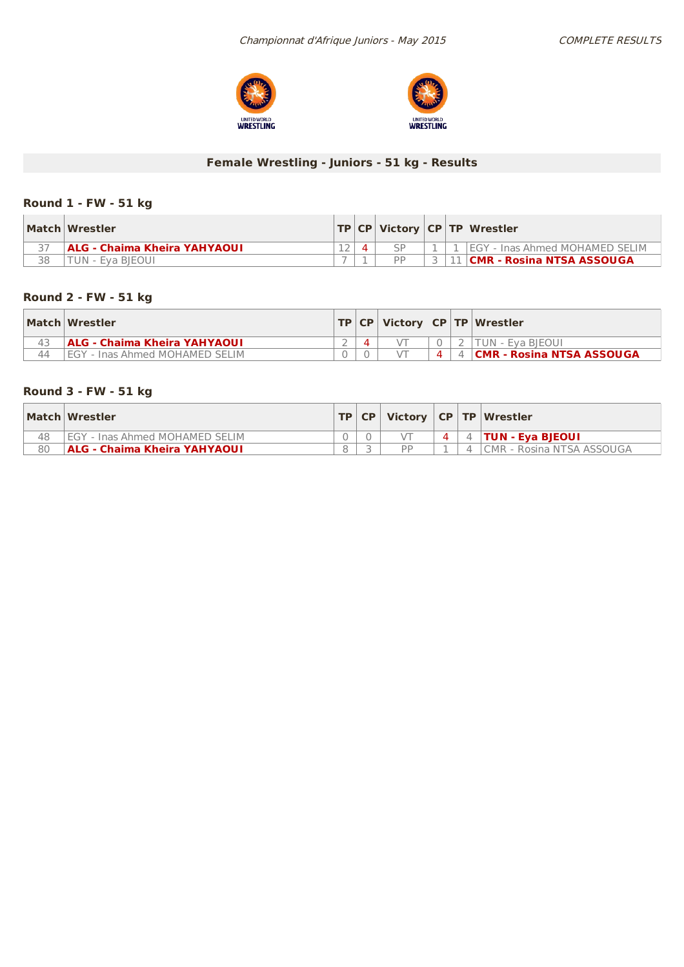



## **Female Wrestling - Juniors - 51 kg - Results**

### **Round 1 - FW - 51 kg**

|    | Match Wrestler               |  |  | <b>TP CP Victory CP TP Wrestler</b> |
|----|------------------------------|--|--|-------------------------------------|
|    | ALG - Chaima Kheira YAHYAOUI |  |  | . I EGY - Inas Ahmed MOHAMED SELIM  |
| 38 | TUN - Eva BIEOUI             |  |  | 11   CMR - Rosina NTSA ASSOUGA      |

### **Round 2 - FW - 51 kg**

|    | Match Wrestler                      |  |                   | TP   CP   Victory   CP   TP   Wrestler |
|----|-------------------------------------|--|-------------------|----------------------------------------|
|    | <b>ALG - Chaima Kheira YAHYAOUI</b> |  |                   | TUN - Eva BIEOUI                       |
| 44 | EGY - Inas Ahmed MOHAMED SELIM      |  | $\vert$ 4 $\vert$ | ∣ 4 ∣CMR - Rosina NTSA ASSOUGA I       |

### **Round 3 - FW - 51 kg**

|    | Match Wrestler                         | TP   CP |           |  | Victory   CP   TP   Wrestler |
|----|----------------------------------------|---------|-----------|--|------------------------------|
| 48 | <b>IEGY - Inas Ahmed MOHAMED SELIM</b> |         |           |  | <b>TUN - Eva BIEOUI</b>      |
| 80 | ALG - Chaima Kheira YAHYAOUI           |         | <b>DD</b> |  | ICMR - Rosina NTSA ASSOUGA   |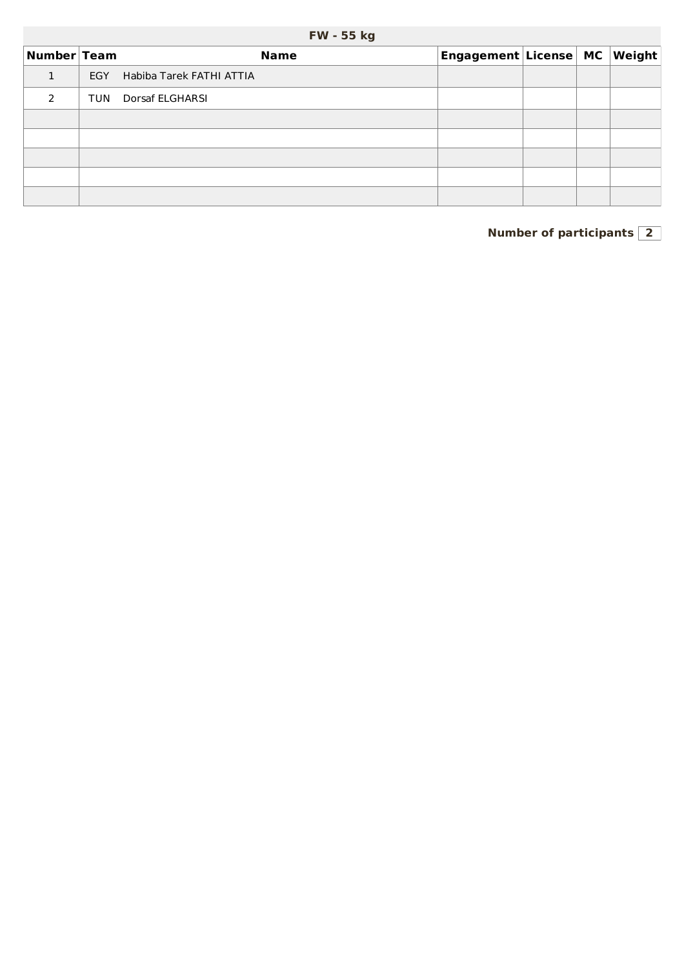**FW - 55 kg**

| $\vert$ Number $\vert$ Team $\vert$ |            | <b>Name</b>              | Engagement License MC Weight |  |  |
|-------------------------------------|------------|--------------------------|------------------------------|--|--|
|                                     | <b>EGY</b> | Habiba Tarek FATHI ATTIA |                              |  |  |
| $\mathcal{P}$                       | TUN        | Dorsaf ELGHARSI          |                              |  |  |
|                                     |            |                          |                              |  |  |
|                                     |            |                          |                              |  |  |
|                                     |            |                          |                              |  |  |
|                                     |            |                          |                              |  |  |
|                                     |            |                          |                              |  |  |

**Number of participants 2**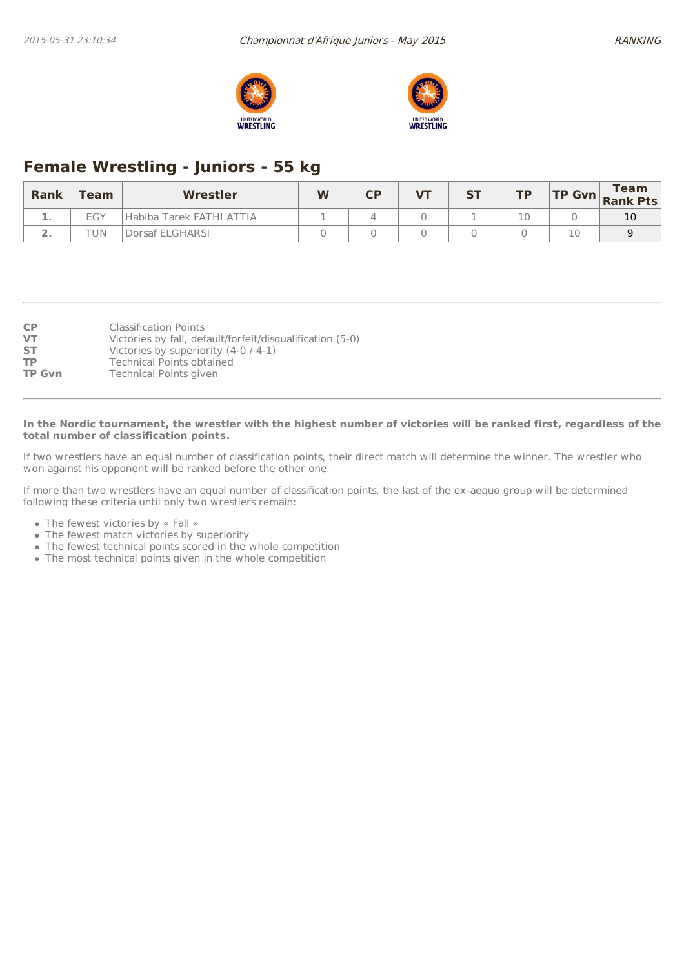



# **Female Wrestling - Juniors - 55 kg**

| <b>Rank</b> | <b>Team</b> | Wrestler                  | W | rг | <b>ST</b> | ТP | <b>TP Gvn</b> | <b>Team</b><br><b>Rank Pts</b> |
|-------------|-------------|---------------------------|---|----|-----------|----|---------------|--------------------------------|
| --          | EGY         | 'Habiba Tarek FATHI ATTIA |   |    |           | 10 |               | 10                             |
| . .         | UN.         | Dorsaf ELGHARSI           |   |    |           |    | 10            |                                |

| <b>CP</b>     | <b>Classification Points</b>                              |
|---------------|-----------------------------------------------------------|
| <b>VT</b>     | Victories by fall, default/forfeit/disqualification (5-0) |
| <b>ST</b>     | Victories by superiority (4-0 / 4-1)                      |
| <b>TP</b>     | Technical Points obtained                                 |
| <b>TP Gvn</b> | <b>Technical Points given</b>                             |

#### In the Nordic tournament, the wrestler with the highest number of victories will be ranked first, regardless of the **total number of classification points.**

If two wrestlers have an equal number of classification points, their direct match will determine the winner. The wrestler who won against his opponent will be ranked before the other one.

- The fewest victories by « Fall »
- The fewest match victories by superiority
- The fewest technical points scored in the whole competition
- The most technical points given in the whole competition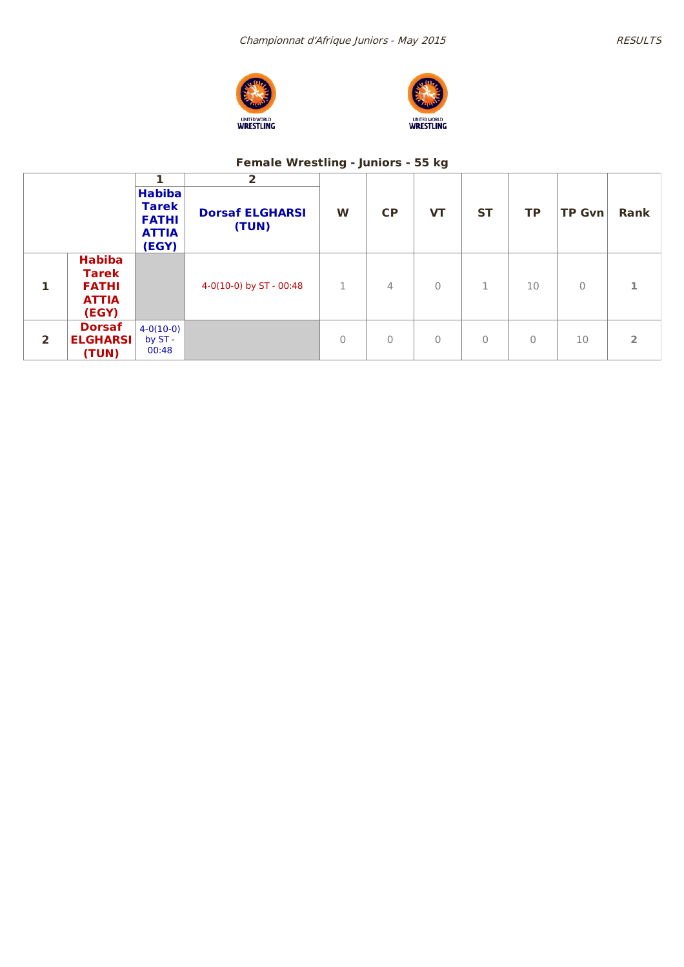



## **Female Wrestling - Juniors - 55 kg**

|                |                                                                        |                                                                        | $\overline{2}$                  |          |           |           |              |           |         |      |
|----------------|------------------------------------------------------------------------|------------------------------------------------------------------------|---------------------------------|----------|-----------|-----------|--------------|-----------|---------|------|
|                |                                                                        | <b>Habiba</b><br><b>Tarek</b><br><b>FATHI</b><br><b>ATTIA</b><br>(EGY) | <b>Dorsaf ELGHARSI</b><br>(TUN) | W        | <b>CP</b> | <b>VT</b> | <b>ST</b>    | <b>TP</b> | TP Gvn  | Rank |
| 1              | <b>Habiba</b><br><b>Tarek</b><br><b>FATHI</b><br><b>ATTIA</b><br>(EGY) |                                                                        | 4-0(10-0) by ST - 00:48         | 1        | 4         | 0         | 1            | 10        | $\circ$ |      |
| $\overline{2}$ | <b>Dorsaf</b><br><b>ELGHARSI</b><br>(TUN)                              | $4-0(10-0)$<br>by ST -<br>00:48                                        |                                 | $\Omega$ | $\Omega$  | $\Omega$  | $\mathbf{0}$ | $\Omega$  | 10      |      |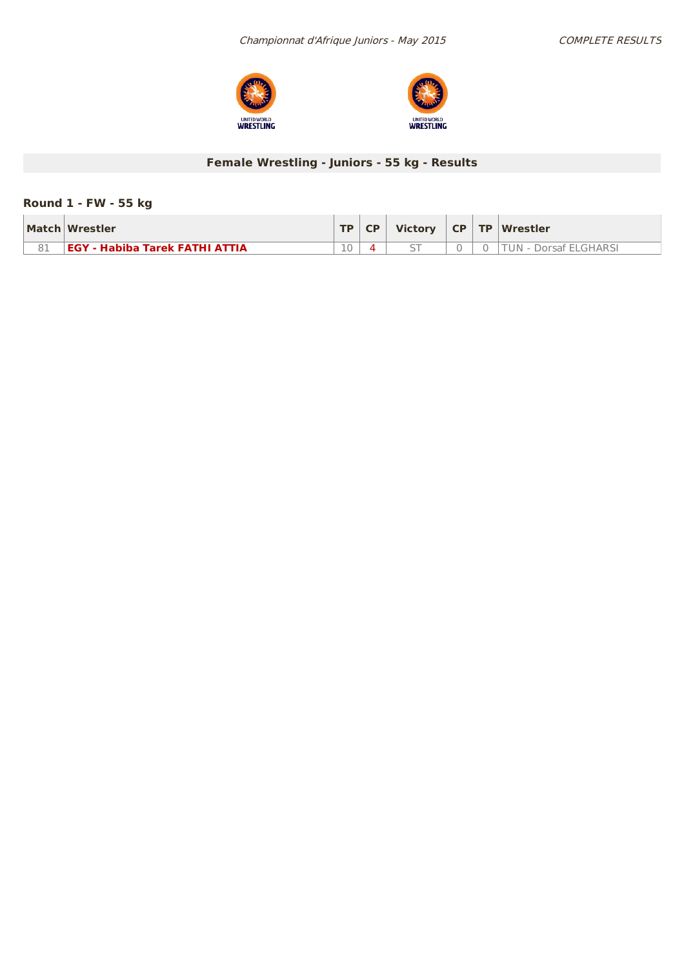



## **Female Wrestling - Juniors - 55 kg - Results**

### **Round 1 - FW - 55 kg**

|    | Match Wrestler                        | TD. | <b>CP</b> | <b>Victory</b>           | CP TP | Wrestler                          |
|----|---------------------------------------|-----|-----------|--------------------------|-------|-----------------------------------|
| 81 | <b>EGY - Habiba Tarek FATHI ATTIA</b> | 10  |           | $\overline{\phantom{0}}$ |       | <b>L</b> - Dorsaf ELGHARSI<br>'UN |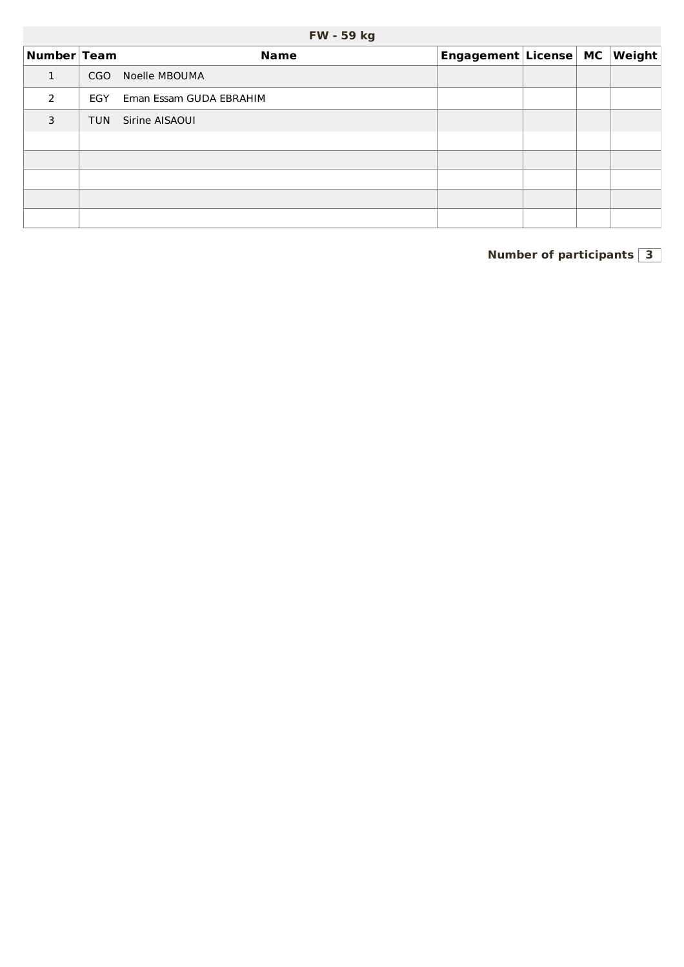| Number Team   |            | <b>Name</b>             | Engagement License MC Weight |  |  |
|---------------|------------|-------------------------|------------------------------|--|--|
|               | CGO        | Noelle MBOUMA           |                              |  |  |
| $\mathcal{P}$ | EGY        | Eman Essam GUDA EBRAHIM |                              |  |  |
| 3             | <b>TUN</b> | Sirine AISAOUI          |                              |  |  |
|               |            |                         |                              |  |  |
|               |            |                         |                              |  |  |
|               |            |                         |                              |  |  |
|               |            |                         |                              |  |  |
|               |            |                         |                              |  |  |

**Number of participants 3**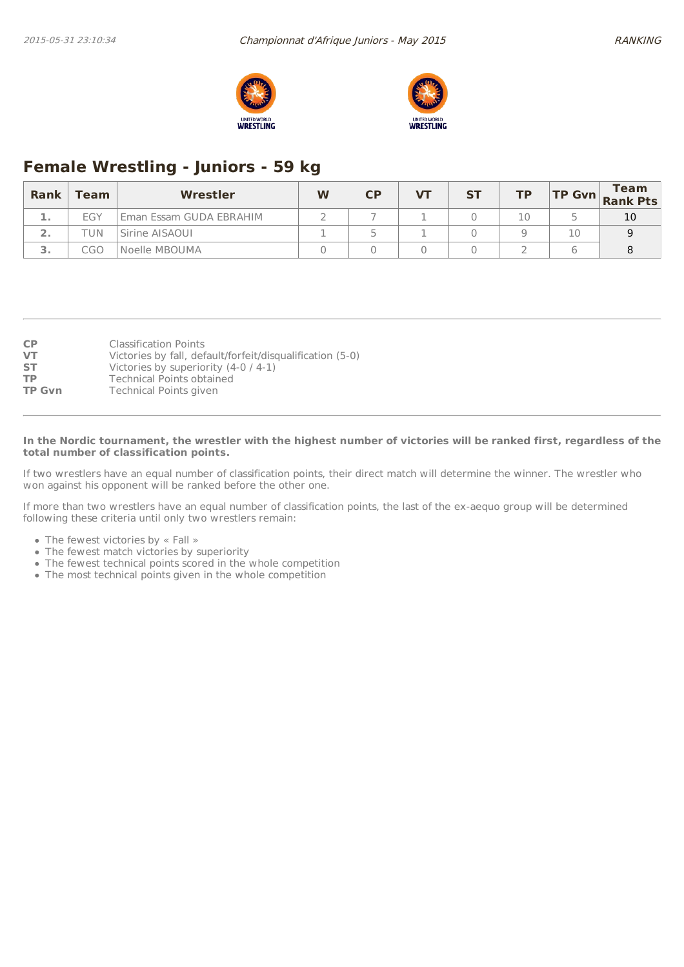



# **Female Wrestling - Juniors - 59 kg**

| Rank             | Team | Wrestler                | W | СP | VT | <b>ST</b> | <b>TP</b> |    | $T$ P Gvn Rank Pts |
|------------------|------|-------------------------|---|----|----|-----------|-----------|----|--------------------|
| a 19             | EGY  | Eman Essam GUDA EBRAHIM |   |    |    |           | 10        |    | 10                 |
| $\overline{2}$ . | TUN  | Sirine AISAOUI          |   |    |    |           |           | 10 |                    |
| э.               | CGO  | Noelle MBOUMA           |   |    |    |           |           |    |                    |

| <b>CP</b><br>VT | <b>Classification Points</b><br>Victories by fall, default/forfeit/disqualification (5-0) |
|-----------------|-------------------------------------------------------------------------------------------|
| <b>ST</b>       | Victories by superiority $(4-0/4-1)$                                                      |
| <b>TP</b>       | <b>Technical Points obtained</b>                                                          |
| <b>TP Gvn</b>   | <b>Technical Points given</b>                                                             |

#### In the Nordic tournament, the wrestler with the highest number of victories will be ranked first, regardless of the **total number of classification points.**

If two wrestlers have an equal number of classification points, their direct match will determine the winner. The wrestler who won against his opponent will be ranked before the other one.

- The fewest victories by « Fall »
- The fewest match victories by superiority
- The fewest technical points scored in the whole competition
- The most technical points given in the whole competition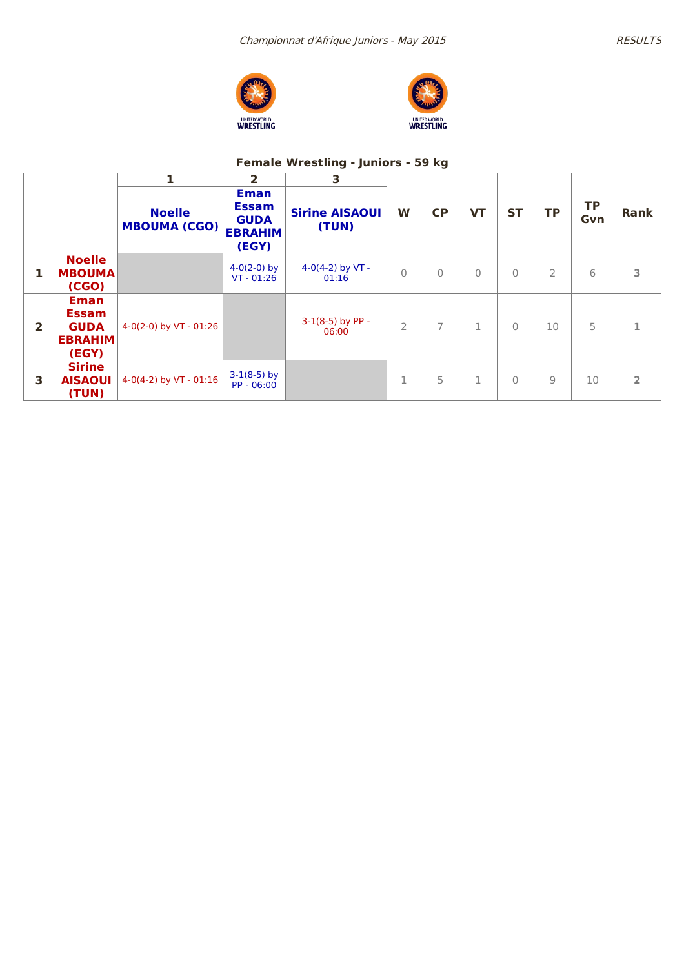



## **Female Wrestling - Juniors - 59 kg**

|                |                                                                | 1                                    | $\overline{2}$                                                        | 3                              |                |           |           |              |                |                  |                |
|----------------|----------------------------------------------------------------|--------------------------------------|-----------------------------------------------------------------------|--------------------------------|----------------|-----------|-----------|--------------|----------------|------------------|----------------|
|                |                                                                | <b>Noelle</b><br><b>MBOUMA (CGO)</b> | <b>Eman</b><br><b>Essam</b><br><b>GUDA</b><br><b>EBRAHIM</b><br>(EGY) | <b>Sirine AISAOUI</b><br>(TUN) | W              | <b>CP</b> | <b>VT</b> | <b>ST</b>    | TP             | <b>TP</b><br>Gvn | Rank           |
| 1              | <b>Noelle</b><br><b>MBOUMA</b><br>(CGO)                        |                                      | $4-0(2-0)$ by<br>$VT - 01:26$                                         | $4-0(4-2)$ by VT -<br>01:16    | $\Omega$       | $\Omega$  | $\Omega$  | $\Omega$     | $\overline{2}$ | 6                | 3              |
| $\overline{2}$ | Eman<br><b>Essam</b><br><b>GUDA</b><br><b>EBRAHIM</b><br>(EGY) | 4-0(2-0) by $VT - 01:26$             |                                                                       | 3-1(8-5) by PP -<br>06:00      | $\overline{2}$ | 7         | 1         | $\Omega$     | 10             | 5                | 1              |
| 3              | <b>Sirine</b><br><b>AISAOUI</b><br>(TUN)                       | 4-0(4-2) by VT - 01:16               | $3-1(8-5)$ by<br>$PP - 06:00$                                         |                                | 1              | 5         | 1         | $\mathbf{0}$ | 9              | 10               | $\overline{2}$ |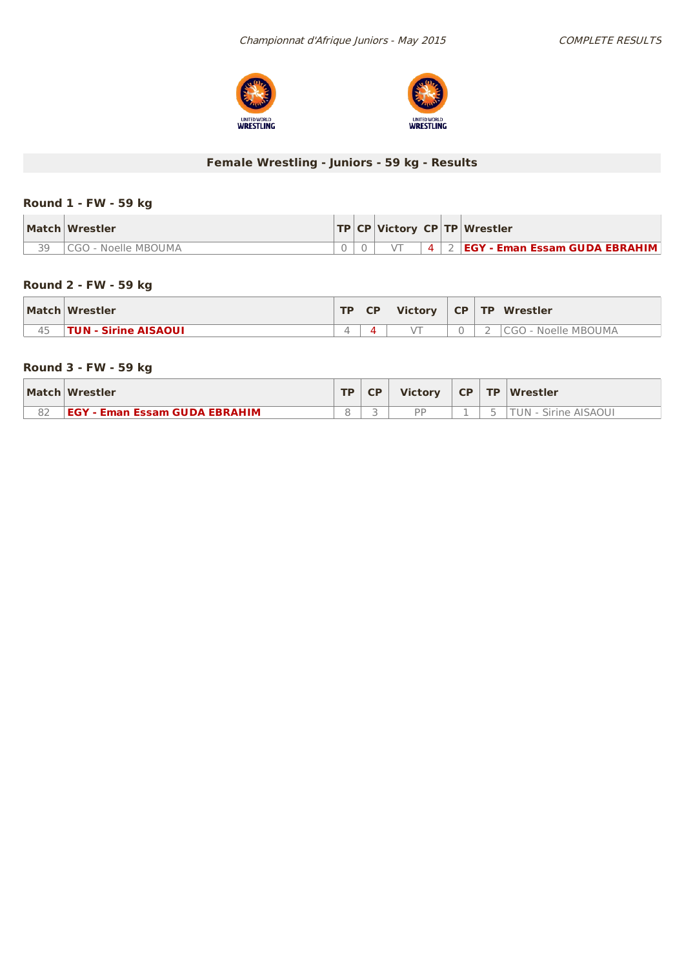



## **Female Wrestling - Juniors - 59 kg - Results**

### **Round 1 - FW - 59 kg**

|    | Match Wrestler    |  |           | $  $ TP $  $ CP $  $ Victory $  $ CP $  $ TP $  $ Wrestler |
|----|-------------------|--|-----------|------------------------------------------------------------|
| 30 | . - Noelle MBOUMA |  | $\Lambda$ | <b>EGY - Eman Essam GUDA EBRAHIM</b>                       |

### **Round 2 - FW - 59 kg**

|    | Match Wrestler              | <b>TP</b> | CP. | Victory    |  | CP   TP   Wrestler  |
|----|-----------------------------|-----------|-----|------------|--|---------------------|
| 45 | <b>TUN - Sirine AISAOUI</b> |           |     | $\sqrt{T}$ |  | CGO - Noelle MBOUMA |

## **Round 3 - FW - 59 kg**

| Match Wrestler                        | <b>TD</b> | $\mathsf{C}\mathsf{P}$ | <b>Victory</b> | CP TP | Wrestler                    |
|---------------------------------------|-----------|------------------------|----------------|-------|-----------------------------|
| <b>IEGY - Eman Essam GUDA EBRAHIM</b> |           |                        | DD             |       | <b>FUN - Sirine AISAOUI</b> |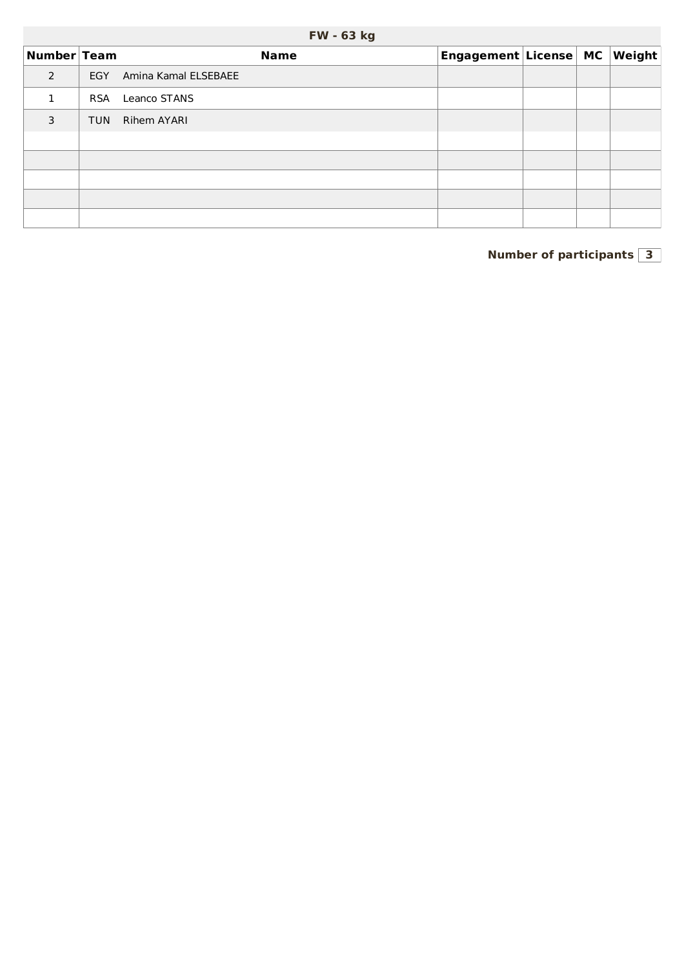|                                     |            | .                    |                              |  |  |
|-------------------------------------|------------|----------------------|------------------------------|--|--|
| $\vert$ Number $\vert$ Team $\vert$ |            | <b>Name</b>          | Engagement License MC Weight |  |  |
| $\overline{2}$                      | EGY        | Amina Kamal ELSEBAEE |                              |  |  |
|                                     | <b>RSA</b> | Leanco STANS         |                              |  |  |
| 3                                   | <b>TUN</b> | Rihem AYARI          |                              |  |  |
|                                     |            |                      |                              |  |  |
|                                     |            |                      |                              |  |  |
|                                     |            |                      |                              |  |  |
|                                     |            |                      |                              |  |  |
|                                     |            |                      |                              |  |  |

**Number of participants 3**

## **FW - 63 kg**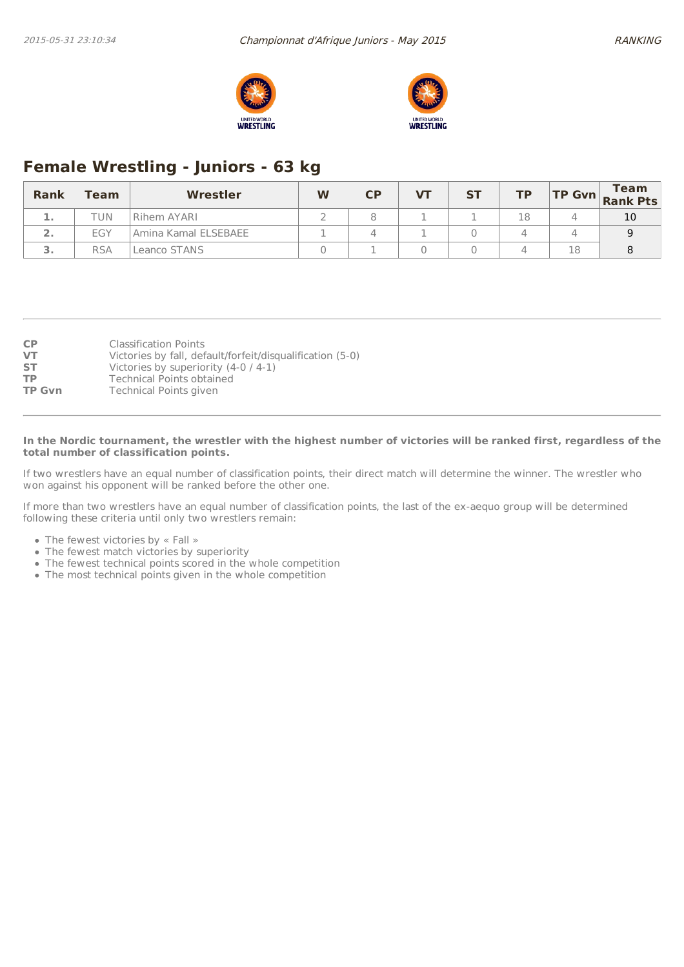



# **Female Wrestling - Juniors - 63 kg**

| Rank   | <b>Team</b> | Wrestler             | W | <b>CP</b> | VT | <b>ST</b> | <b>TP</b> |    | $T$ P Gvn Rank Pts |
|--------|-------------|----------------------|---|-----------|----|-----------|-----------|----|--------------------|
| dia 11 | 'UN         | Rihem AYARI          |   |           |    |           | 18        |    | 10                 |
| Ζ.     | EGY         | Amina Kamal ELSEBAEE |   |           |    |           |           |    |                    |
|        | <b>RSA</b>  | Leanco STANS         |   |           |    |           |           | 18 |                    |

| <b>CP</b><br>VT | <b>Classification Points</b><br>Victories by fall, default/forfeit/disqualification (5-0) |
|-----------------|-------------------------------------------------------------------------------------------|
| <b>ST</b>       | Victories by superiority $(4-0/4-1)$                                                      |
| <b>TP</b>       | <b>Technical Points obtained</b>                                                          |
| <b>TP Gvn</b>   | <b>Technical Points given</b>                                                             |

#### In the Nordic tournament, the wrestler with the highest number of victories will be ranked first, regardless of the **total number of classification points.**

If two wrestlers have an equal number of classification points, their direct match will determine the winner. The wrestler who won against his opponent will be ranked before the other one.

- The fewest victories by « Fall »
- The fewest match victories by superiority
- The fewest technical points scored in the whole competition
- The most technical points given in the whole competition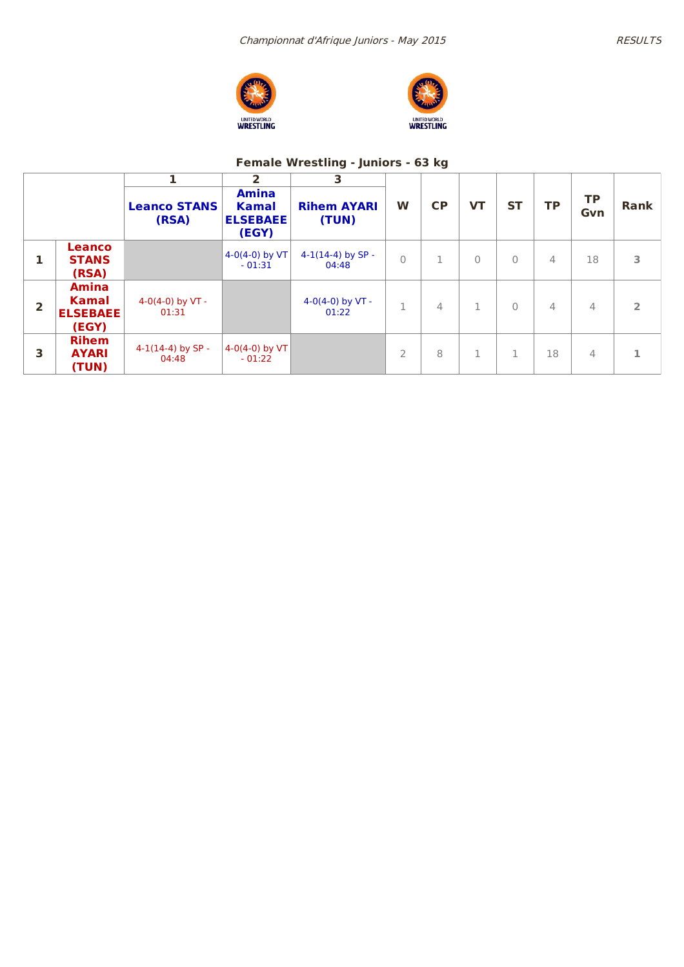



## **Female Wrestling - Juniors - 63 kg**

|                |                                                          | 1                            | $\overline{2}$                                           | 3                            |                |           |           |              |           |                  | Rank |  |
|----------------|----------------------------------------------------------|------------------------------|----------------------------------------------------------|------------------------------|----------------|-----------|-----------|--------------|-----------|------------------|------|--|
|                |                                                          | <b>Leanco STANS</b><br>(RSA) | <b>Amina</b><br><b>Kamal</b><br><b>ELSEBAEE</b><br>(EGY) | <b>Rihem AYARI</b><br>(TUN)  | W              | <b>CP</b> | <b>VT</b> | <b>ST</b>    | <b>TP</b> | <b>TP</b><br>Gvn |      |  |
| ı              | <b>Leanco</b><br><b>STANS</b><br>(RSA)                   |                              | 4-0(4-0) by $VT$<br>$-01:31$                             | $4-1(14-4)$ by SP -<br>04:48 | $\Omega$       |           | $\Omega$  | $\Omega$     | 4         | 18               | з    |  |
| $\overline{2}$ | <b>Amina</b><br><b>Kamal</b><br><b>ELSEBAEE</b><br>(EGY) | 4-0(4-0) by $VT -$<br>01:31  |                                                          | 4-0(4-0) by $VT -$<br>01:22  | 1              | 4         | 1         | $\Omega$     | 4         | $\overline{4}$   |      |  |
| 3              | <b>Rihem</b><br><b>AYARI</b><br>(TUN)                    | $4-1(14-4)$ by SP -<br>04:48 | 4-0(4-0) by $VT$<br>$-01:22$                             |                              | $\overline{2}$ | 8         | 1         | $\mathbf{I}$ | 18        | $\overline{4}$   |      |  |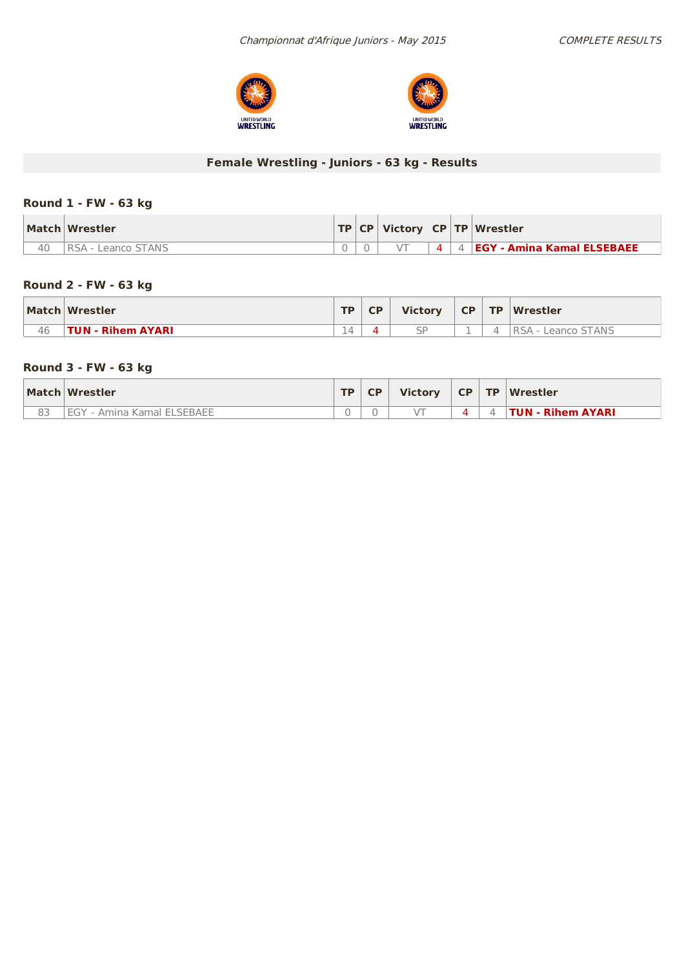



## **Female Wrestling - Juniors - 63 kg - Results**

### **Round 1 - FW - 63 kg**

|    | Match Wrestler                 |  |           |          | $ TP CP $ Victory $ CP TP $ Wrestler |
|----|--------------------------------|--|-----------|----------|--------------------------------------|
| 40 | <b>RSA</b><br>\ - Leanco STANS |  | $\Lambda$ | $\Delta$ | <b>EGY - Amina Kamal ELSEBAEE</b>    |

### **Round 2 - FW - 63 kg**

|    | Match Wrestler    | <b>TD</b>                | CP | <b>Victory</b> | <b>CP</b> | <b>TP</b> | Wrestler                  |
|----|-------------------|--------------------------|----|----------------|-----------|-----------|---------------------------|
| 46 | TUN - Rihem AYARI | $\overline{\mathcal{A}}$ |    | $\sim$ $-$     | -         | ⊥         | Leanco STANS<br>l RSA - L |

#### **Round 3 - FW - 63 kg**

| Match Wrestler           | TP | <b>CP</b> | <b>Victory</b> | CP | <b>TP</b> | Wrestler                 |
|--------------------------|----|-----------|----------------|----|-----------|--------------------------|
| ' - Amina Kamal ELSEBAEE |    |           |                |    |           | <b>TUN - Rihem AYARI</b> |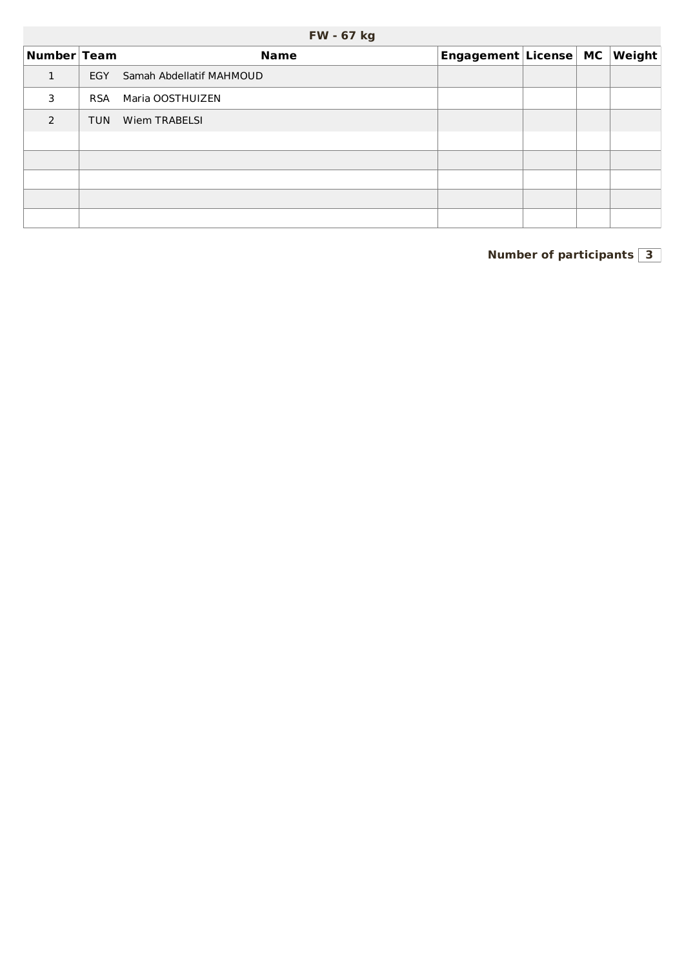|             |            | <b>FW-07 Ky</b>          |                              |  |  |
|-------------|------------|--------------------------|------------------------------|--|--|
| Number Team |            | <b>Name</b>              | Engagement License MC Weight |  |  |
|             | EGY        | Samah Abdellatif MAHMOUD |                              |  |  |
| 3           | <b>RSA</b> | Maria OOSTHUIZEN         |                              |  |  |
|             | <b>TUN</b> | Wiem TRABELSI            |                              |  |  |
|             |            |                          |                              |  |  |
|             |            |                          |                              |  |  |

**Number of participants 3**

## **FW - 67 kg**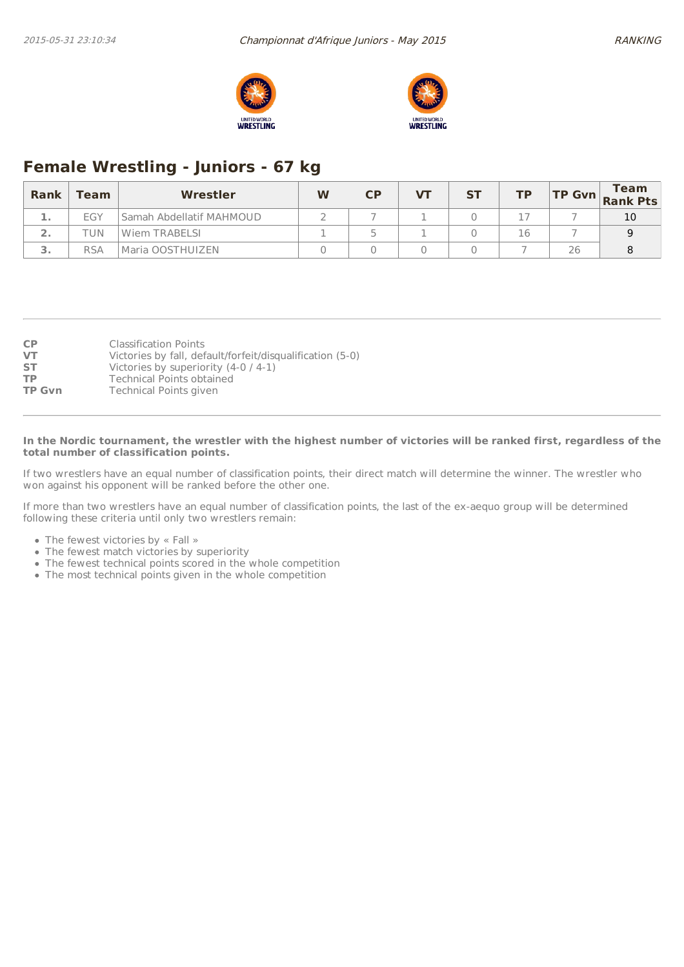



# **Female Wrestling - Juniors - 67 kg**

| <b>Rank</b>    | Team       | Wrestler                  | W | $\mathsf{C}\mathsf{P}$ | VT | <b>ST</b> | <b>TP</b> |    | $T$ P Gvn Rank Pts |
|----------------|------------|---------------------------|---|------------------------|----|-----------|-----------|----|--------------------|
| ali v          | EGY        | 'Samah Abdellatif MAHMOUD |   |                        |    |           |           |    | 10                 |
| $\mathbf{2}$ . | TUN        | Wiem TRABELSI             |   |                        |    |           | 16        |    |                    |
| з.             | <b>RSA</b> | Maria OOSTHUIZEN          |   |                        |    |           |           | 26 |                    |

| <b>CP</b>     | <b>Classification Points</b>                              |
|---------------|-----------------------------------------------------------|
| VT            | Victories by fall, default/forfeit/disqualification (5-0) |
| <b>ST</b>     | Victories by superiority $(4-0/4-1)$                      |
| ТP            | <b>Technical Points obtained</b>                          |
| <b>TP Gvn</b> | Technical Points given                                    |

#### In the Nordic tournament, the wrestler with the highest number of victories will be ranked first, regardless of the **total number of classification points.**

If two wrestlers have an equal number of classification points, their direct match will determine the winner. The wrestler who won against his opponent will be ranked before the other one.

- The fewest victories by « Fall »
- The fewest match victories by superiority
- The fewest technical points scored in the whole competition
- The most technical points given in the whole competition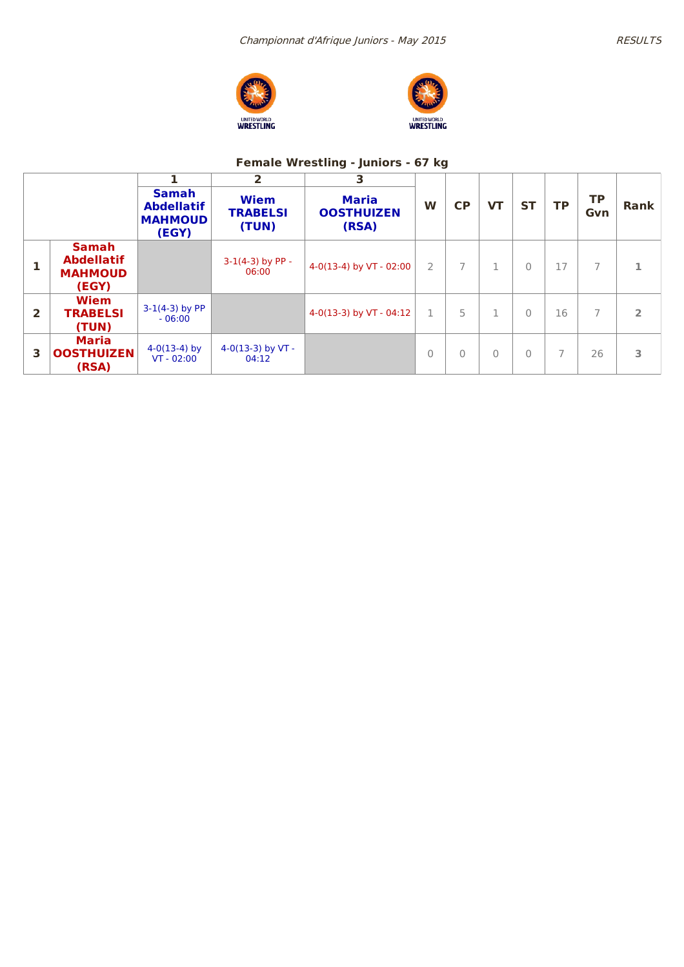



## **Female Wrestling - Juniors - 67 kg**

|                |                                                              |                                                              | $\overline{2}$                          | 3                                   |                |                |           |           |    |                  |                |
|----------------|--------------------------------------------------------------|--------------------------------------------------------------|-----------------------------------------|-------------------------------------|----------------|----------------|-----------|-----------|----|------------------|----------------|
|                |                                                              | <b>Samah</b><br><b>Abdellatif</b><br><b>MAHMOUD</b><br>(EGY) | <b>Wiem</b><br><b>TRABELSI</b><br>(TUN) | Maria<br><b>OOSTHUIZEN</b><br>(RSA) | W              | <b>CP</b>      | <b>VT</b> | <b>ST</b> | ТP | <b>TP</b><br>Gvn | Rank           |
| 1              | <b>Samah</b><br><b>Abdellatif</b><br><b>MAHMOUD</b><br>(EGY) |                                                              | $3-1(4-3)$ by PP -<br>06:00             | 4-0(13-4) by VT - 02:00             | $\overline{2}$ | $\overline{7}$ | 1         | $\Omega$  | 17 | 7                |                |
| $\overline{2}$ | Wiem<br><b>TRABELSI</b><br>(TUN)                             | $3-1(4-3)$ by PP<br>$-06:00$                                 |                                         | 4-0(13-3) by VT - 04:12             | 1              | 5              | п.        | $\Omega$  | 16 |                  | $\overline{2}$ |
| 3              | Maria<br><b>OOSTHUIZEN</b><br>(RSA)                          | $4-0(13-4)$ by<br>$VT - 02:00$                               | 4-0(13-3) by VT -<br>04:12              |                                     | $\Omega$       | $\Omega$       | $\Omega$  | $\Omega$  |    | 26               | 3              |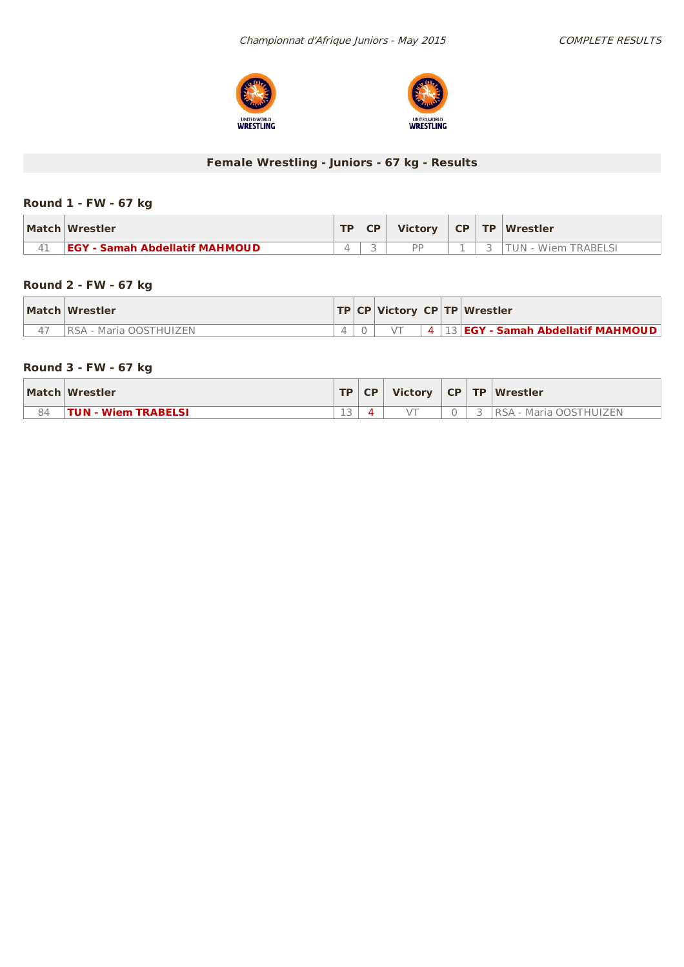



## **Female Wrestling - Juniors - 67 kg - Results**

### **Round 1 - FW - 67 kg**

| Match Wrestler                        | TD. | <b>CP</b> | <b>Victory</b> | CP   TP | Wrestler                 |
|---------------------------------------|-----|-----------|----------------|---------|--------------------------|
| <b>EGY - Samah Abdellatif MAHMOUD</b> | ᅭ   |           | <b>DD</b>      |         | Wiem TRABELSI<br>'I I NE |

### **Round 2 - FW - 67 kg**

| Match Wrestler          |  |  | TP   CP   Victory   CP   TP   Wrestler  |
|-------------------------|--|--|-----------------------------------------|
| IRSA - Maria OOSTHUIZEN |  |  | 4   13   EGY - Samah Abdellatif MAHMOUD |

### **Round 3 - FW - 67 kg**

| Match Wrestler      | <b>TP</b> | $\overline{CP}$ |  | Victory   CP   TP   Wrestler |
|---------------------|-----------|-----------------|--|------------------------------|
| TUN - Wiem TRABELSI | $\sim$    |                 |  | IRSA - Maria OOSTHUIZEN      |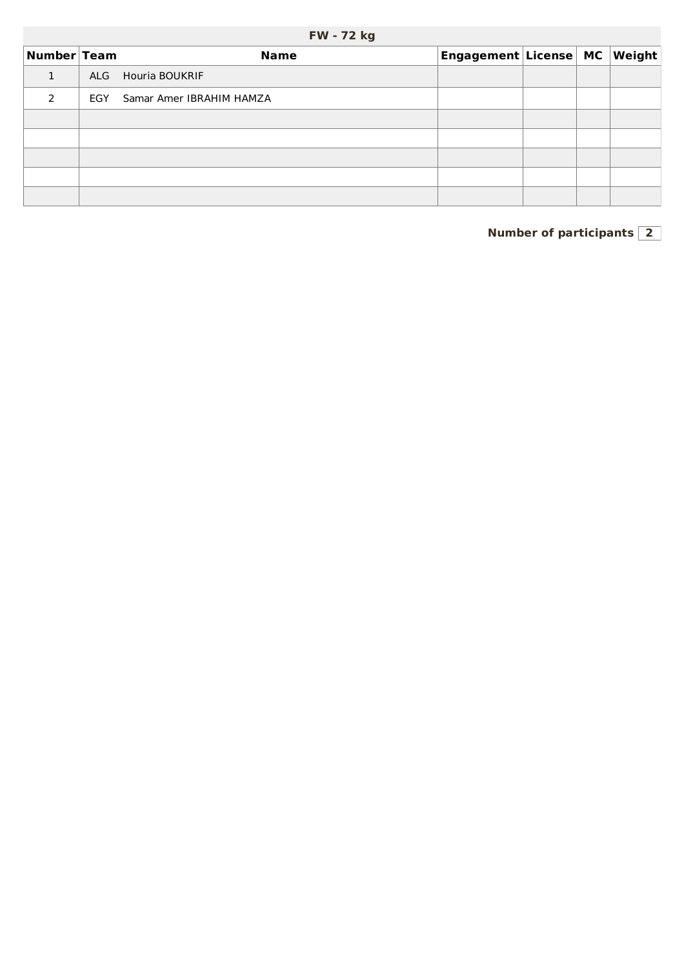| $\vert$ Number $\vert$ Team $\vert$ |     | <b>Name</b>              | Engagement License MC Weight |  |  |
|-------------------------------------|-----|--------------------------|------------------------------|--|--|
|                                     | ALG | Houria BOUKRIF           |                              |  |  |
| 2                                   | EGY | Samar Amer IBRAHIM HAMZA |                              |  |  |
|                                     |     |                          |                              |  |  |
|                                     |     |                          |                              |  |  |
|                                     |     |                          |                              |  |  |
|                                     |     |                          |                              |  |  |
|                                     |     |                          |                              |  |  |

**Number of participants 2**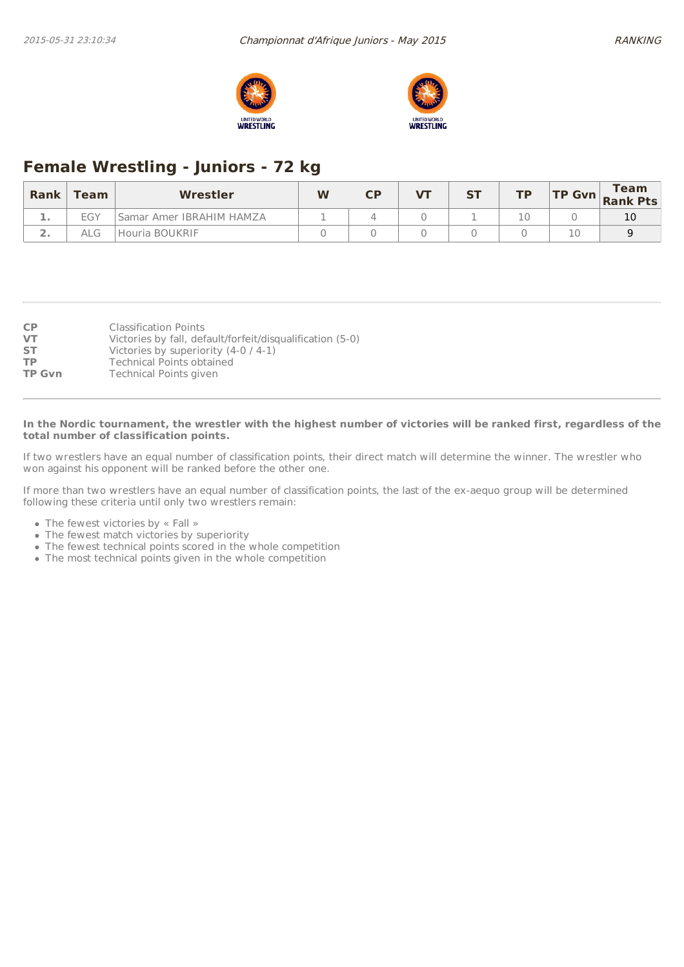



# **Female Wrestling - Juniors - 72 kg**

| Rank     | <b>Team</b> | Wrestler                 | W | <b>CD</b> | $\sqrt{ }$ | CT.<br>5 | <b>TP</b> | TP Gvn | <b>Team</b><br><b>Rank Pts</b> |
|----------|-------------|--------------------------|---|-----------|------------|----------|-----------|--------|--------------------------------|
| alis d   | EGY         | Samar Amer IBRAHIM HAMZA |   |           |            |          | 10        |        | 10                             |
| <u>_</u> | ALG         | Houria BOUKRIF           |   |           |            |          |           | 10     |                                |

| <b>CP</b>     | <b>Classification Points</b>                              |
|---------------|-----------------------------------------------------------|
| <b>VT</b>     | Victories by fall, default/forfeit/disqualification (5-0) |
| <b>ST</b>     | Victories by superiority (4-0 / 4-1)                      |
| TP            | <b>Technical Points obtained</b>                          |
| <b>TP Gvn</b> | <b>Technical Points given</b>                             |
|               |                                                           |

#### In the Nordic tournament, the wrestler with the highest number of victories will be ranked first, regardless of the **total number of classification points.**

If two wrestlers have an equal number of classification points, their direct match will determine the winner. The wrestler who won against his opponent will be ranked before the other one.

- The fewest victories by « Fall »
- The fewest match victories by superiority
- The fewest technical points scored in the whole competition
- The most technical points given in the whole competition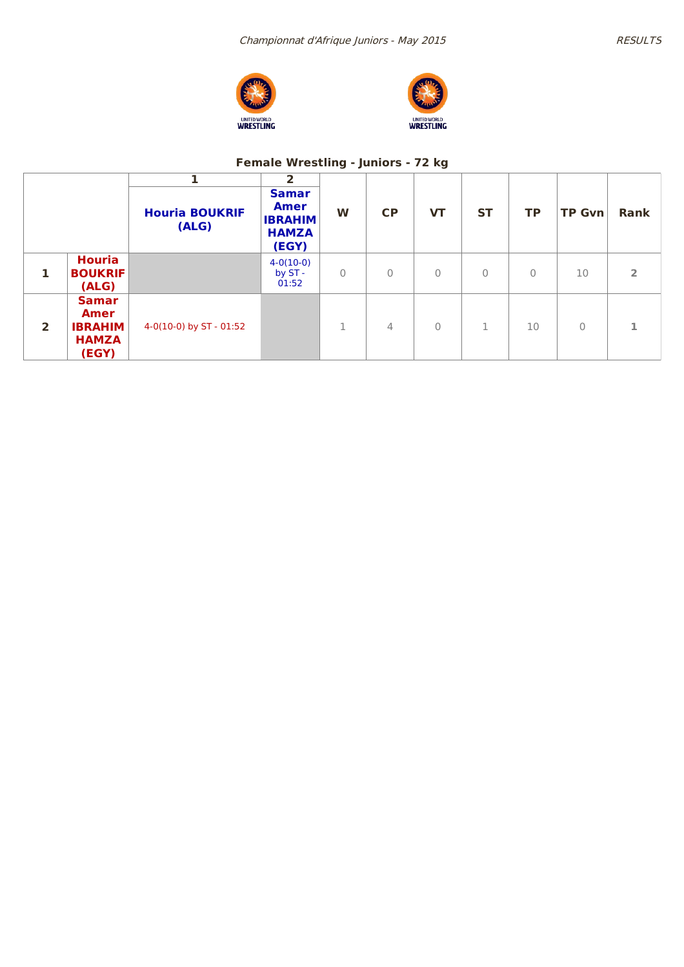



## **Female Wrestling - Juniors - 72 kg**

|                |                                                                        | 1                              | 2                                                                      |          | CP       | <b>VT</b> | <b>ST</b> | <b>TP</b>    | <b>TP Gvn</b> | <b>Rank</b> |
|----------------|------------------------------------------------------------------------|--------------------------------|------------------------------------------------------------------------|----------|----------|-----------|-----------|--------------|---------------|-------------|
|                |                                                                        | <b>Houria BOUKRIF</b><br>(ALG) | <b>Samar</b><br><b>Amer</b><br><b>IBRAHIM</b><br><b>HAMZA</b><br>(EGY) | W        |          |           |           |              |               |             |
| 1              | <b>Houria</b><br><b>BOUKRIF</b><br>(ALG)                               |                                | $4-0(10-0)$<br>by ST -<br>01:52                                        | $\Omega$ | $\Omega$ | $\Omega$  | 0         | $\mathbf{0}$ | 10            |             |
| $\overline{2}$ | <b>Samar</b><br><b>Amer</b><br><b>IBRAHIM</b><br><b>HAMZA</b><br>(EGY) | 4-0(10-0) by ST - 01:52        |                                                                        | 1<br>л.  | 4        | $\Omega$  | 1.        | 10           | $\Omega$      |             |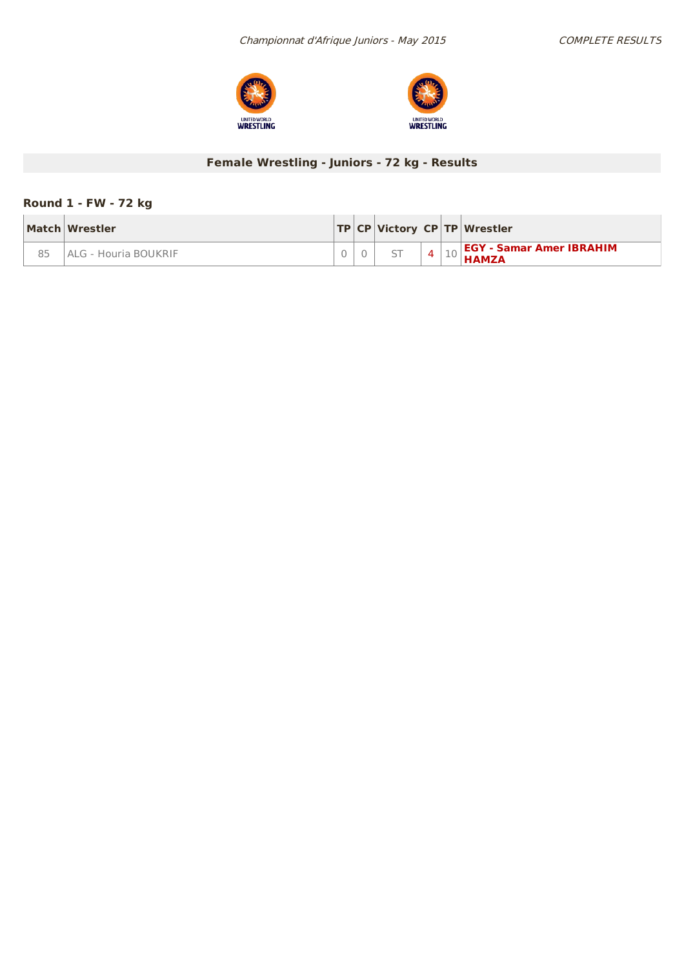



## **Female Wrestling - Juniors - 72 kg - Results**

### **Round 1 - FW - 72 kg**

|    | Match Wrestler       |  |  | TP   CP   Victory   CP   TP   Wrestler          |
|----|----------------------|--|--|-------------------------------------------------|
| 85 | ALG - Houria BOUKRIF |  |  | <b>EGY - Samar Amer IBRAHIM</b><br><b>HAMZA</b> |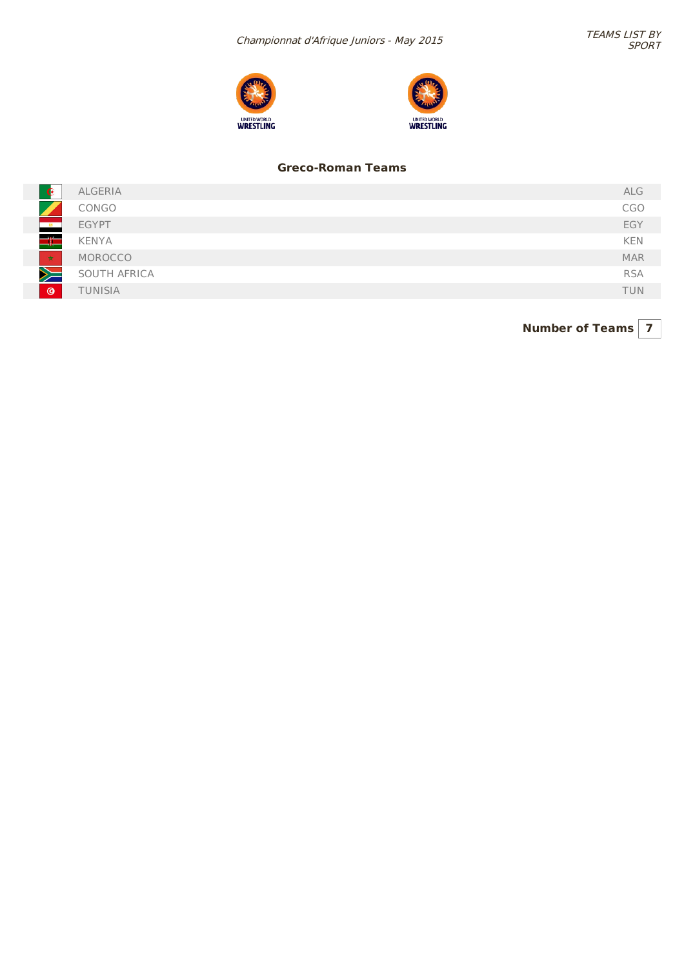



### **Greco-Roman Teams**

|                         | ALGERIA        | <b>ALG</b> |
|-------------------------|----------------|------------|
|                         | CONGO          | <b>CGO</b> |
| $\overline{\mathbf{M}}$ | <b>EGYPT</b>   | EGY        |
| <u>  </u>               | KENYA          | <b>KEN</b> |
| $\frac{1}{2}$           | MOROCCO        | <b>MAR</b> |
|                         | SOUTH AFRICA   | <b>RSA</b> |
| $\circledcirc$          | <b>TUNISIA</b> | <b>TUN</b> |

**Number of Teams 7**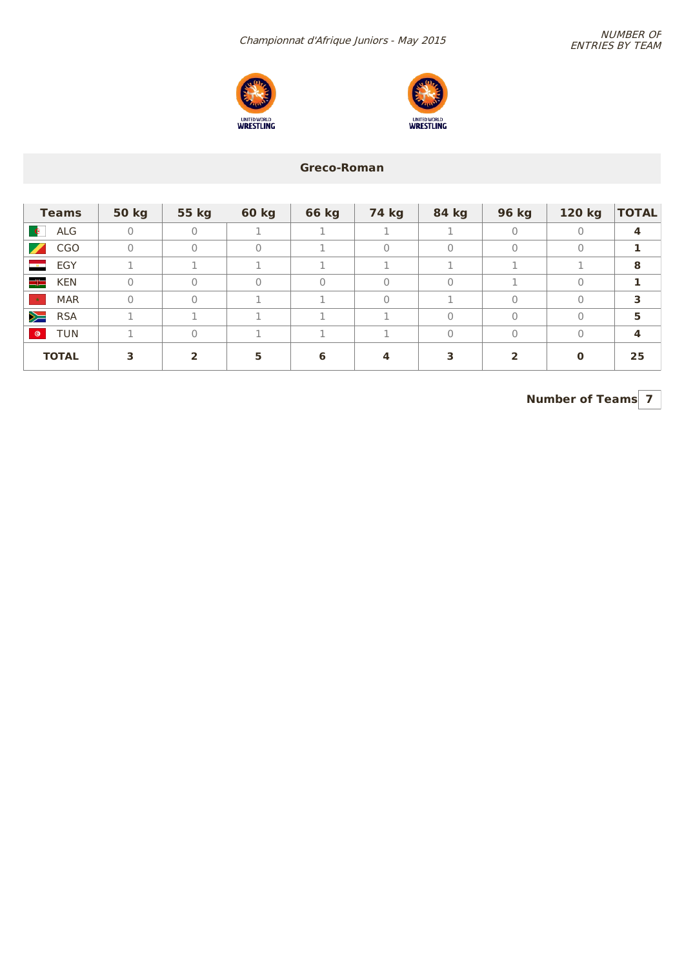NUMBER OF<br>NUMBER OF Shampionnat d'Afrique Juniors - May 2015





### **Greco-Roman**

| <b>Teams</b>                                                                        | <b>50 kg</b> | 55 kg          | <b>60 kg</b> | <b>66 kg</b> | 74 kg | 84 kg          | <b>96 kg</b>   | 120 kg       | <b>TOTAL</b>            |
|-------------------------------------------------------------------------------------|--------------|----------------|--------------|--------------|-------|----------------|----------------|--------------|-------------------------|
| $\bullet$<br>ALG                                                                    | $\mathbf{0}$ | $\Omega$       |              |              |       |                | $\overline{0}$ |              | 4                       |
| <b>All Street</b><br><b>CGO</b>                                                     | $\mathbf{0}$ | 0              | 0            |              | 0     | $\overline{0}$ | $\Omega$       |              |                         |
| <b>The State</b><br>EGY                                                             |              |                |              |              |       |                |                |              | 8                       |
| $\Rightarrow$<br><b>KEN</b>                                                         | $\mathbf{0}$ | 0              | $\Omega$     |              |       | $\overline{0}$ |                |              | 1                       |
| <b>MAR</b><br>$\left( \begin{array}{c} \mathbf{R} \ \mathbf{R} \end{array} \right)$ | $\bigcap$    | $\Omega$       |              |              |       |                | $\bigcap$      |              | 3                       |
| $\searrow$<br><b>RSA</b>                                                            |              |                |              |              |       | $\bigcap$      | $\Omega$       |              | 5                       |
| $\bullet$<br>TUN                                                                    |              | $\Omega$       |              |              |       | $\bigcap$      | $\bigcap$      |              | $\overline{\mathbf{4}}$ |
| <b>TOTAL</b>                                                                        | 3            | $\overline{2}$ | 5            | -6           |       |                |                | $\mathbf{0}$ | 25                      |

**Number of Teams 7**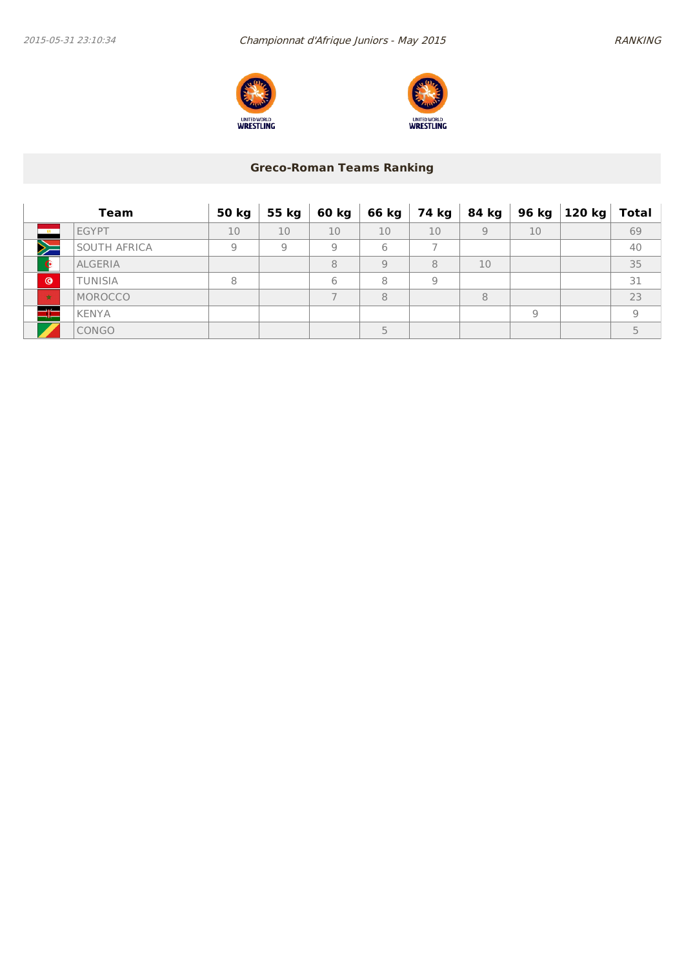



# **Greco-Roman Teams Ranking**

|                | Team           | 50 kg | 55 kg | 60 kg | 66 kg | 74 kg          | $84$ kg |    | │ 96 kg   120 kg | <b>Total</b> |
|----------------|----------------|-------|-------|-------|-------|----------------|---------|----|------------------|--------------|
| $-100$         | <b>EGYPT</b>   | 10    | 10    | 10    | 10    | 10             | 9       | 10 |                  | 69           |
|                | SOUTH AFRICA   | 9     | 9     | 9     | 6     |                |         |    |                  | 40           |
| $\bullet$      | <b>ALGERIA</b> |       |       | 8     | 9     | 8              | 10      |    |                  | 35           |
| $\circledcirc$ | <b>TUNISIA</b> | 8     |       | 6     | 8     | $\overline{9}$ |         |    |                  | 31           |
| $-$            | MOROCCO        |       |       |       | 8     |                | 8       |    |                  | 23           |
| $\frac{1}{2}$  | <b>KENYA</b>   |       |       |       |       |                |         | q  |                  |              |
|                | CONGO          |       |       |       |       |                |         |    |                  |              |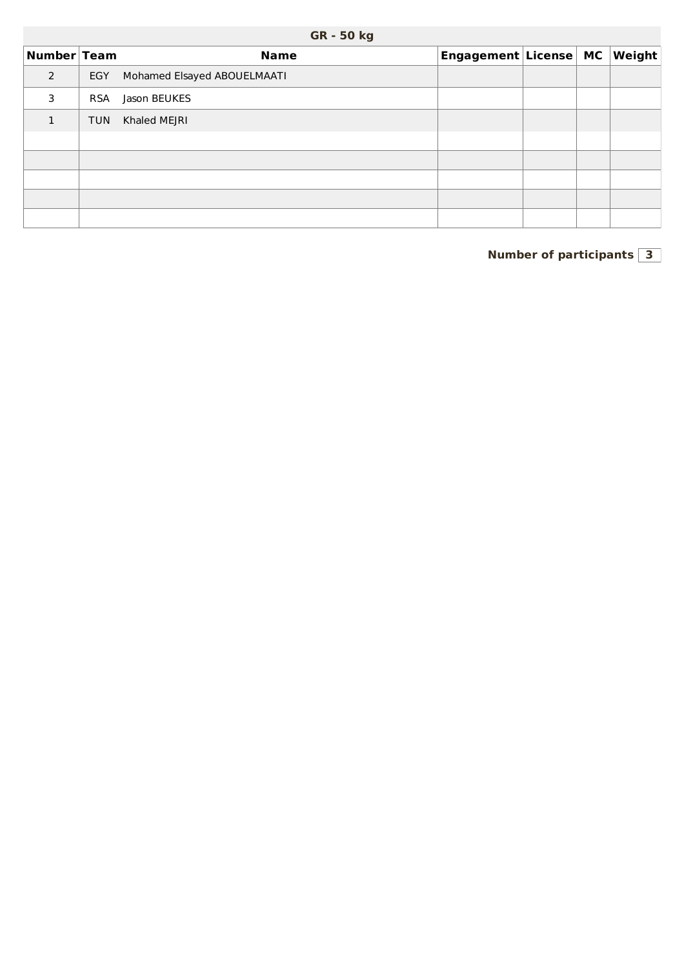|             |            | --- -- -- <u>-</u>          |                              |  |  |
|-------------|------------|-----------------------------|------------------------------|--|--|
| Number Team |            | <b>Name</b>                 | Engagement License MC Weight |  |  |
| 2           | EGY        | Mohamed Elsayed ABOUELMAATI |                              |  |  |
| 3           | <b>RSA</b> | Jason BEUKES                |                              |  |  |
| 1           | <b>TUN</b> | Khaled MEJRI                |                              |  |  |
|             |            |                             |                              |  |  |
|             |            |                             |                              |  |  |
|             |            |                             |                              |  |  |
|             |            |                             |                              |  |  |
|             |            |                             |                              |  |  |

**Number of participants 3**

# **GR - 50 kg**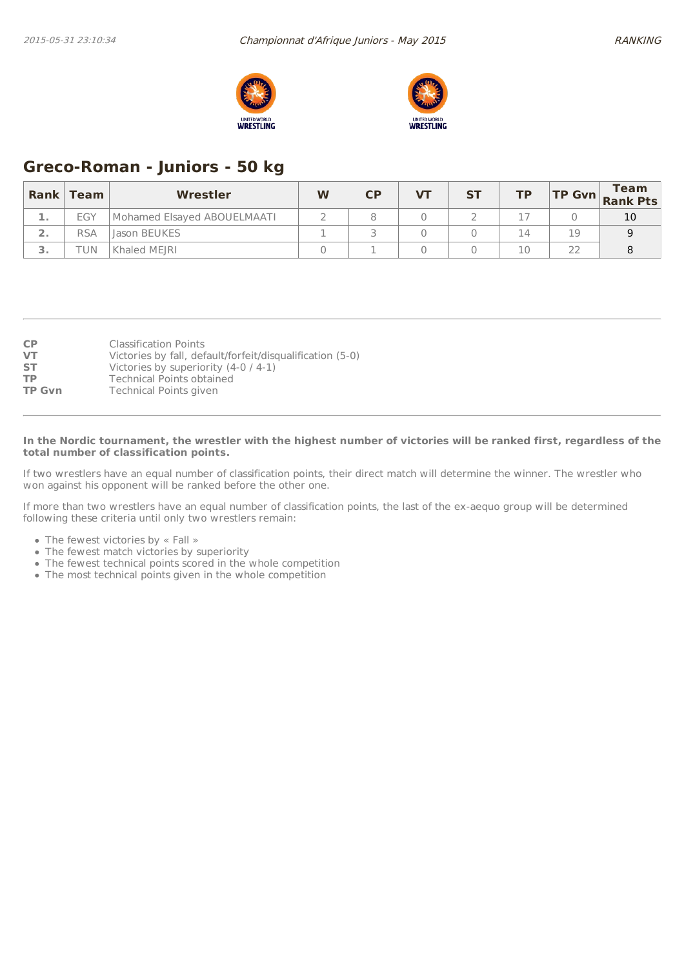



# **Greco-Roman - Juniors - 50 kg**

|              | Rank   Team | Wrestler                    | W | <b>CP</b> | <b>ST</b> | <b>TP</b> |    | $T$ P Gvn Rank Pts |
|--------------|-------------|-----------------------------|---|-----------|-----------|-----------|----|--------------------|
| alle su      | EGY         | Mohamed Elsayed ABOUELMAATI |   |           |           |           |    | 10                 |
| $\mathbf{2}$ | <b>RSA</b>  | lason BEUKES                |   |           |           | 14        | 19 |                    |
| 3.           | TUN         | Khaled MEIRI                |   |           |           |           |    |                    |

| <b>CP</b>     | <b>Classification Points</b>                              |
|---------------|-----------------------------------------------------------|
| VT            | Victories by fall, default/forfeit/disqualification (5-0) |
| <b>ST</b>     | Victories by superiority $(4-0/4-1)$                      |
| ТP            | <b>Technical Points obtained</b>                          |
| <b>TP Gvn</b> | Technical Points given                                    |

#### In the Nordic tournament, the wrestler with the highest number of victories will be ranked first, regardless of the **total number of classification points.**

If two wrestlers have an equal number of classification points, their direct match will determine the winner. The wrestler who won against his opponent will be ranked before the other one.

If more than two wrestlers have an equal number of classification points, the last of the ex-aequo group will be determined following these criteria until only two wrestlers remain:

- The fewest victories by « Fall »
- The fewest match victories by superiority
- The fewest technical points scored in the whole competition
- The most technical points given in the whole competition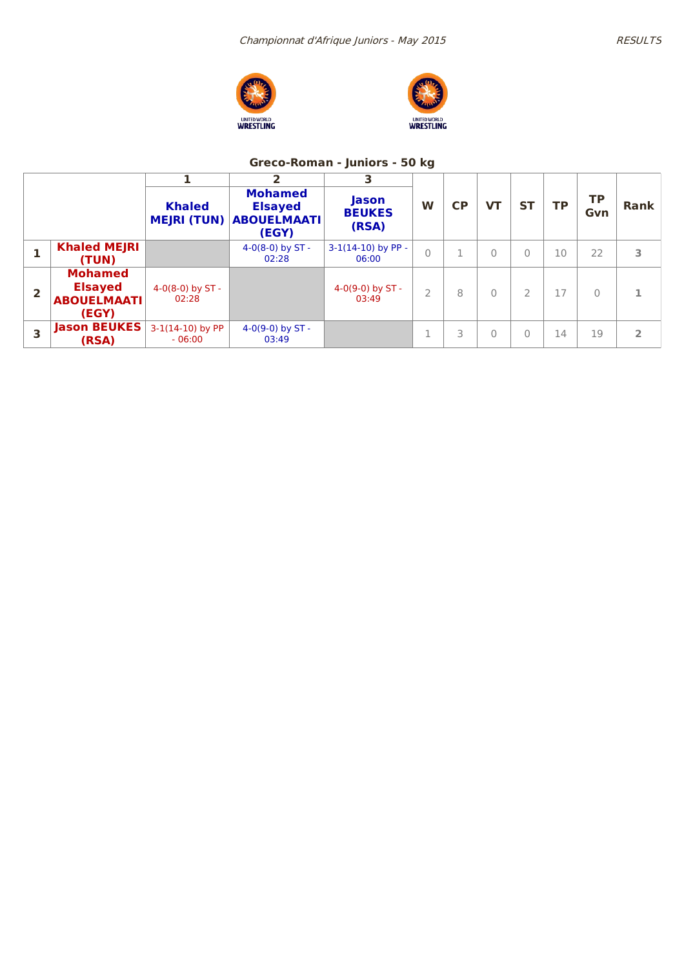





# **Greco-Roman - Juniors - 50 kg**

|                |                                                                 |                                     | 2                                                               | 3                               |   |    |           |           |           |                  |      |
|----------------|-----------------------------------------------------------------|-------------------------------------|-----------------------------------------------------------------|---------------------------------|---|----|-----------|-----------|-----------|------------------|------|
|                |                                                                 | <b>Khaled</b><br><b>MEJRI (TUN)</b> | <b>Mohamed</b><br><b>Elsayed</b><br><b>ABOUELMAATI</b><br>(EGY) | Jason<br><b>BEUKES</b><br>(RSA) | W | CP | <b>VT</b> | <b>ST</b> | <b>TP</b> | <b>TP</b><br>Gvn | Rank |
|                | <b>Khaled MEJRI</b><br>(TUN)                                    |                                     | 4-0(8-0) by ST -<br>02:28                                       | $3-1(14-10)$ by PP -<br>06:00   | 0 |    | 0         |           | 10        | 22               | 3    |
| $\overline{2}$ | <b>Mohamed</b><br><b>Elsayed</b><br><b>ABOUELMAATI</b><br>(EGY) | $4-0(8-0)$ by ST -<br>02:28         |                                                                 | $4-0(9-0)$ by ST -<br>03:49     |   | 8  | $\Omega$  |           | 17        | $\Omega$         |      |
| 3              | <b>Jason BEUKES</b><br>(RSA)                                    | 3-1(14-10) by PP<br>$-06:00$        | 4-0(9-0) by ST -<br>03:49                                       |                                 |   | 3  | 0         |           | 14        | 19               |      |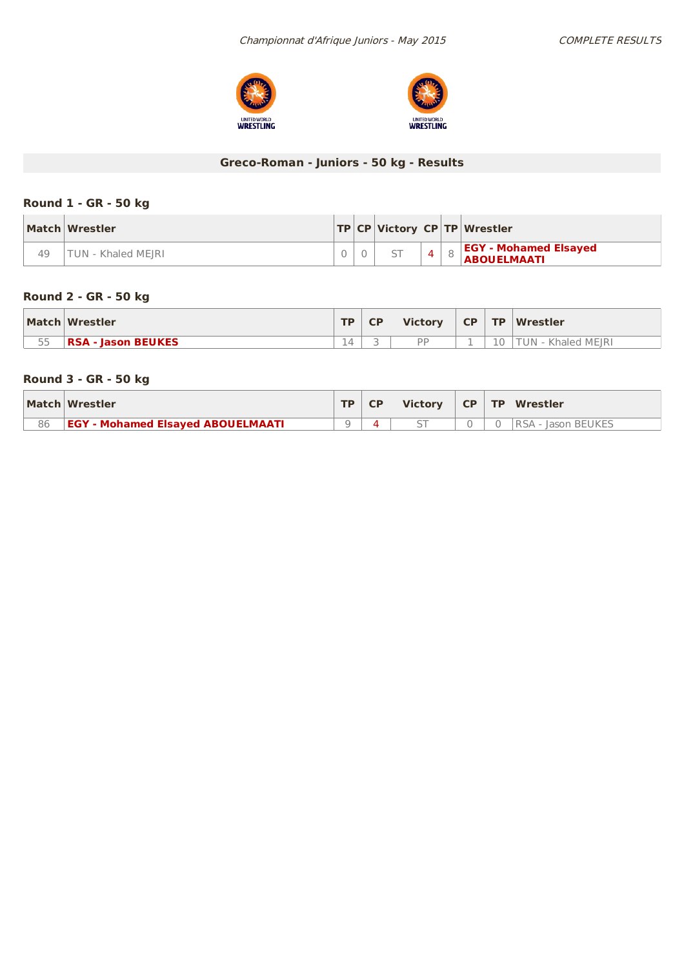



# **Greco-Roman - Juniors - 50 kg - Results**

### **Round 1 - GR - 50 kg**

|    | Match Wrestler     |  |   | TP CP Victory CP TP Wrestler                       |
|----|--------------------|--|---|----------------------------------------------------|
| 49 | TUN - Khaled MEIRI |  | 4 | <b>EGY</b> - Mohamed Elsayed<br><b>ABOUELMAATI</b> |

### **Round 2 - GR - 50 kg**

|    | Match Wrestler            | <b>TD</b> | CP | <b>Victory</b> | <b>CP</b> | <b>TP</b> | Wrestler          |
|----|---------------------------|-----------|----|----------------|-----------|-----------|-------------------|
| 55 | <b>RSA - Jason BEUKES</b> | ⊥4        |    | DD             | -         |           | UN - Khaled MEIRI |

# **Round 3 - GR - 50 kg**

|    | Match Wrestler                           | <b>TD</b> | <b>Victory</b> | <b>CP</b> | <b>TP</b> | Wrestler                      |
|----|------------------------------------------|-----------|----------------|-----------|-----------|-------------------------------|
| 86 | <b>EGY - Mohamed Elsaved ABOUELMAATI</b> | Q         | $\overline{C}$ |           |           | <b>BEUKES</b><br>RSA<br>Tason |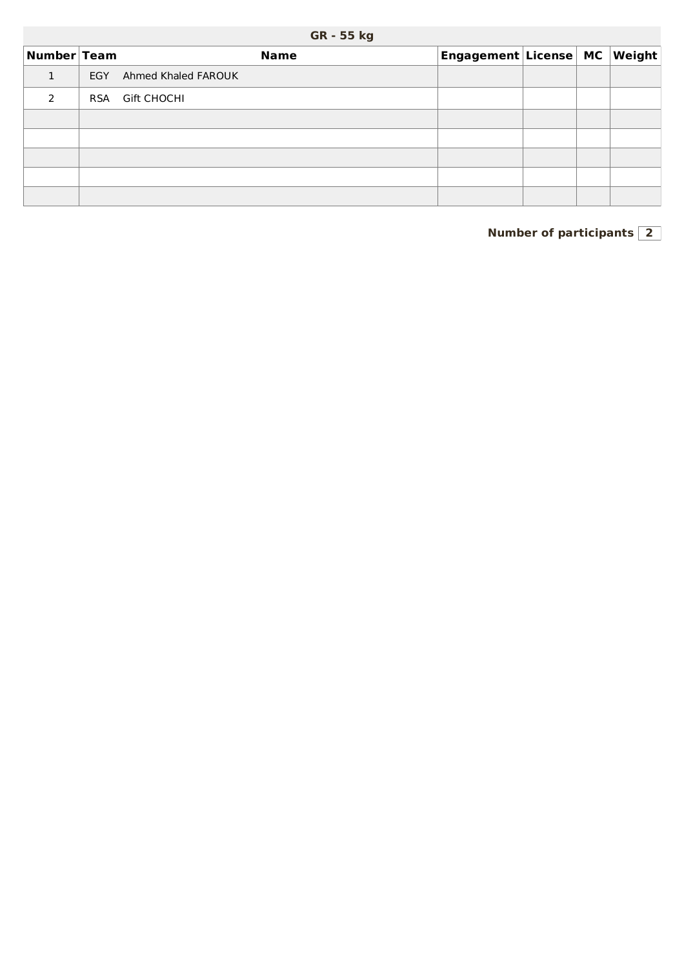**GR - 55 kg**

| $\vert$ Number $\vert$ Team $\vert$ |            | <b>Name</b>         | $\mid$ Engagement License $\mid$ MC $\mid$ Weight $\mid$ |  |  |
|-------------------------------------|------------|---------------------|----------------------------------------------------------|--|--|
|                                     | <b>EGY</b> | Ahmed Khaled FAROUK |                                                          |  |  |
| っ                                   | <b>RSA</b> | Gift CHOCHI         |                                                          |  |  |
|                                     |            |                     |                                                          |  |  |
|                                     |            |                     |                                                          |  |  |
|                                     |            |                     |                                                          |  |  |
|                                     |            |                     |                                                          |  |  |
|                                     |            |                     |                                                          |  |  |

**Number of participants 2**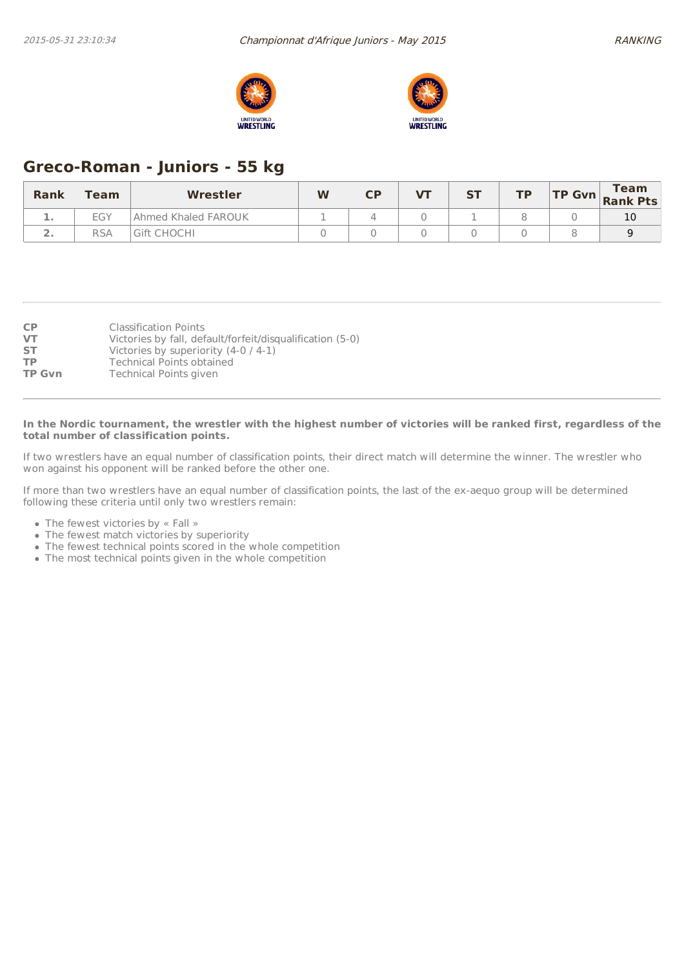



# **Greco-Roman - Juniors - 55 kg**

| Rank    | <b>Team</b> | Wrestler            | W | <b>CP</b> | VТ | <b>CT</b><br>o. | <b>TP</b> | <b>Team</b><br><b>TP Gvn</b> Rank Pts |
|---------|-------------|---------------------|---|-----------|----|-----------------|-----------|---------------------------------------|
| alle su | EGY         | Ahmed Khaled FAROUK |   |           |    |                 |           | ΤO                                    |
| . .     | <b>RSA</b>  | Gift CHOCHI         |   |           |    |                 |           |                                       |

| <b>CP</b>     | <b>Classification Points</b>                              |
|---------------|-----------------------------------------------------------|
| <b>VT</b>     | Victories by fall, default/forfeit/disqualification (5-0) |
| <b>ST</b>     | Victories by superiority $(4-0/4-1)$                      |
| <b>TP</b>     | Technical Points obtained                                 |
| <b>TP Gvn</b> | Technical Points given                                    |

#### In the Nordic tournament, the wrestler with the highest number of victories will be ranked first, regardless of the **total number of classification points.**

If two wrestlers have an equal number of classification points, their direct match will determine the winner. The wrestler who won against his opponent will be ranked before the other one.

If more than two wrestlers have an equal number of classification points, the last of the ex-aequo group will be determined following these criteria until only two wrestlers remain:

- The fewest victories by « Fall »
- The fewest match victories by superiority
- The fewest technical points scored in the whole competition
- The most technical points given in the whole competition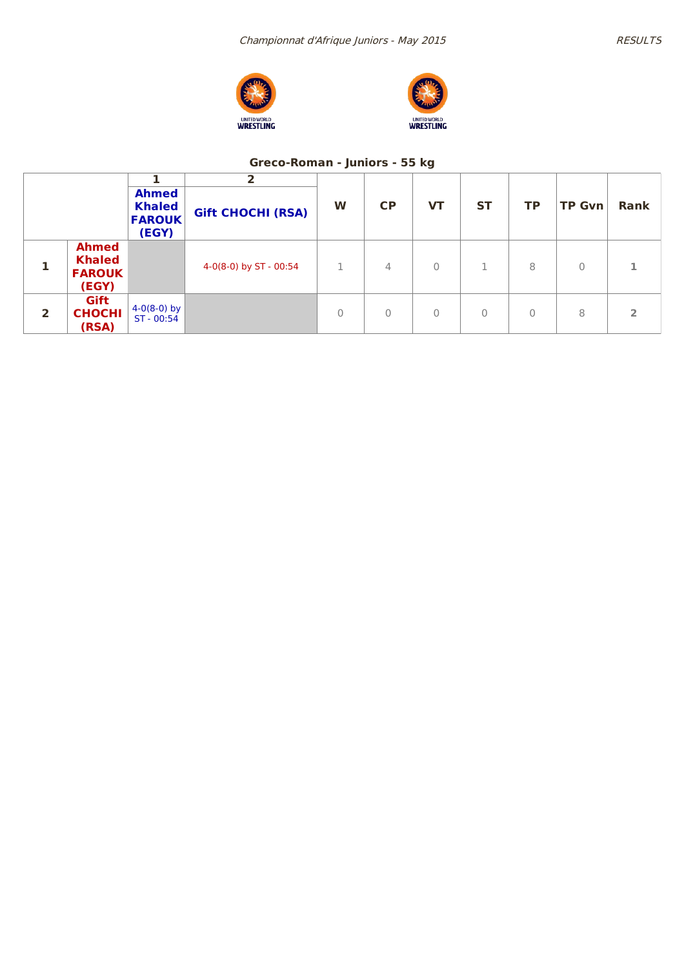



# **Greco-Roman - Juniors - 55 kg**

|                |                                                         |                                                         | 2                        |          |           |              |           |           |        |      |
|----------------|---------------------------------------------------------|---------------------------------------------------------|--------------------------|----------|-----------|--------------|-----------|-----------|--------|------|
|                |                                                         | <b>Ahmed</b><br><b>Khaled</b><br><b>FAROUK</b><br>(EGY) | <b>Gift CHOCHI (RSA)</b> | W        | <b>CP</b> | <b>VT</b>    | <b>ST</b> | <b>TP</b> | TP Gvn | Rank |
|                | <b>Ahmed</b><br><b>Khaled</b><br><b>FAROUK</b><br>(EGY) |                                                         | 4-0(8-0) by ST - 00:54   |          | 4         | $\mathbf{0}$ | п.        | 8         |        |      |
| $\overline{2}$ | Gift<br><b>CHOCHI</b><br>(RSA)                          | $4-0(8-0)$ by<br>$ST - 00:54$                           |                          | $\Omega$ | $\Omega$  | $\Omega$     | $\Omega$  | $\Omega$  | 8      |      |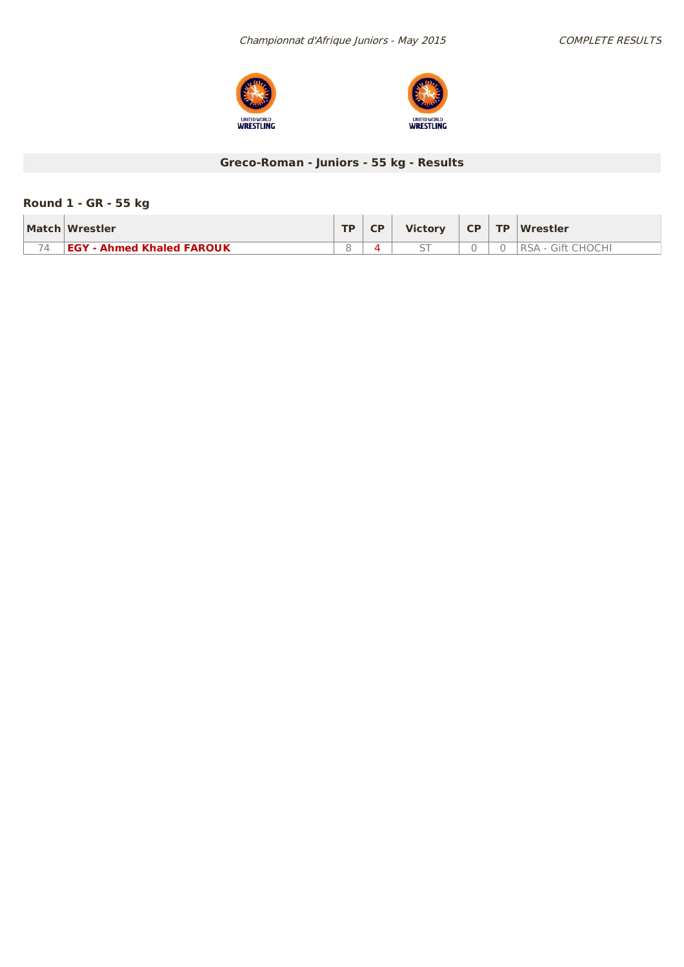



# **Greco-Roman - Juniors - 55 kg - Results**

### **Round 1 - GR - 55 kg**

|    | Match Wrestler                   | <b>TD</b> | $\Gamma$ | <b>Victory</b> | <b>CP</b> | <b>TP</b> | Wrestler                              |
|----|----------------------------------|-----------|----------|----------------|-----------|-----------|---------------------------------------|
| 74 | <b>EGY - Ahmed Khaled FAROUK</b> | 8         |          |                |           | $\sim$    | Gift C<br><b>CHOCHI</b><br><b>RSA</b> |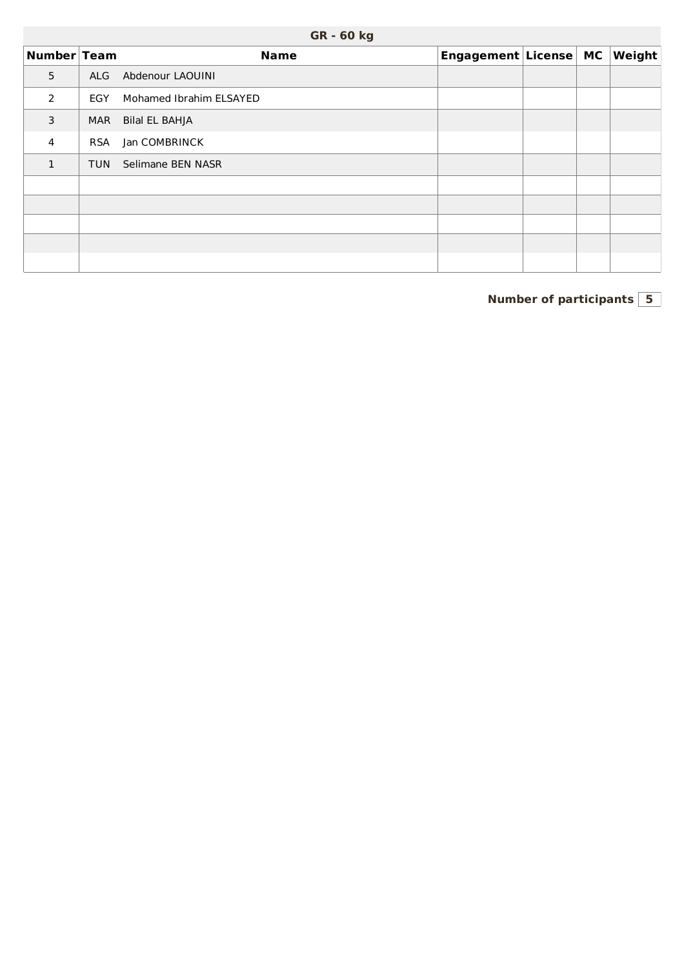| Number Team    |            | <b>Name</b>             | Engagement License MC |  | $ \bm{\mathsf{Weight}} $ |
|----------------|------------|-------------------------|-----------------------|--|--------------------------|
| 5              | <b>ALG</b> | Abdenour LAOUINI        |                       |  |                          |
| 2              | EGY        | Mohamed Ibrahim ELSAYED |                       |  |                          |
| 3              | MAR        | <b>Bilal EL BAHJA</b>   |                       |  |                          |
| $\overline{4}$ | <b>RSA</b> | Jan COMBRINCK           |                       |  |                          |
| $\mathbf{1}$   | <b>TUN</b> | Selimane BEN NASR       |                       |  |                          |
|                |            |                         |                       |  |                          |
|                |            |                         |                       |  |                          |
|                |            |                         |                       |  |                          |
|                |            |                         |                       |  |                          |
|                |            |                         |                       |  |                          |

**Number of participants 5**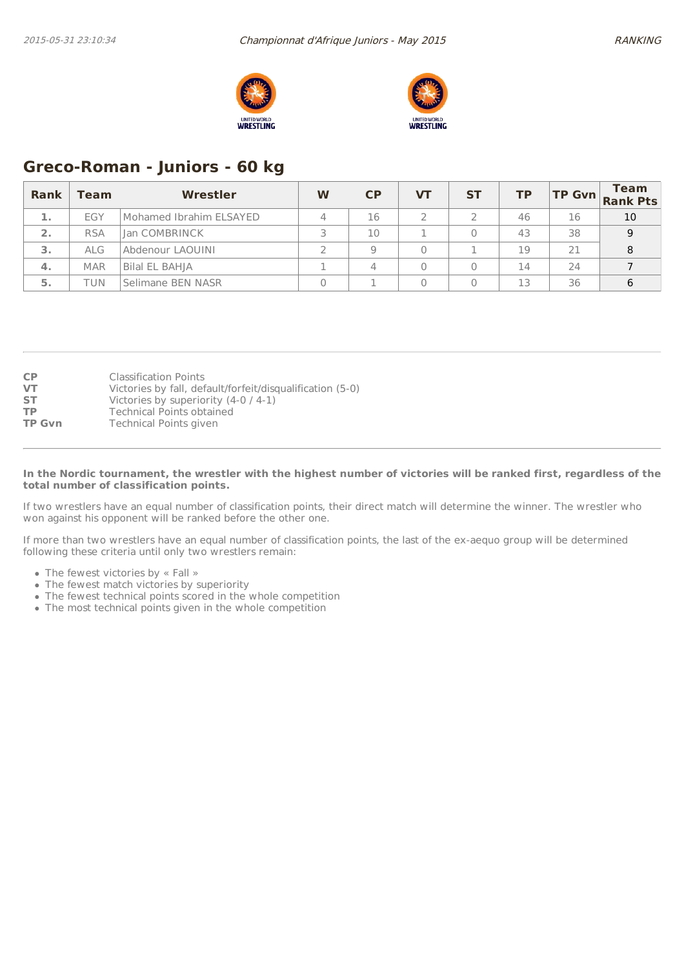



# **Greco-Roman - Juniors - 60 kg**

| <b>Rank</b>      | <b>Team</b> | Wrestler                | W | CP | VТ | <b>ST</b> | ΤP |    | <b>Team</b><br>$\begin{array}{ c c c }\n\hline\n\text{TP Gvn} & \text{Rank Pts} \\ \hline\n\end{array}$ |
|------------------|-------------|-------------------------|---|----|----|-----------|----|----|---------------------------------------------------------------------------------------------------------|
| 1.               | EGY         | Mohamed Ibrahim ELSAYED |   | 16 |    |           | 46 | 16 | 10                                                                                                      |
| 2.               | <b>RSA</b>  | <b>Ian COMBRINCK</b>    |   | 10 |    |           | 43 | 38 | 9                                                                                                       |
| 3.               | <b>ALG</b>  | Abdenour LAOUINI        |   |    |    |           | 19 | 21 | 8                                                                                                       |
| $\overline{4}$ . | <b>MAR</b>  | Bilal EL BAHJA          |   | ⊥  |    |           | 14 | 24 |                                                                                                         |
| 5.               | TUN         | Selimane BEN NASR       |   |    |    |           | 13 | 36 | 6                                                                                                       |

| <b>CP</b>     | <b>Classification Points</b>                              |
|---------------|-----------------------------------------------------------|
| <b>VT</b>     | Victories by fall, default/forfeit/disqualification (5-0) |
| <b>ST</b>     | Victories by superiority (4-0 / 4-1)                      |
| <b>TP</b>     | <b>Technical Points obtained</b>                          |
| <b>TP Gvn</b> | Technical Points given                                    |

#### In the Nordic tournament, the wrestler with the highest number of victories will be ranked first, regardless of the **total number of classification points.**

If two wrestlers have an equal number of classification points, their direct match will determine the winner. The wrestler who won against his opponent will be ranked before the other one.

If more than two wrestlers have an equal number of classification points, the last of the ex-aequo group will be determined following these criteria until only two wrestlers remain:

- The fewest victories by « Fall »
- The fewest match victories by superiority
- The fewest technical points scored in the whole competition
- The most technical points given in the whole competition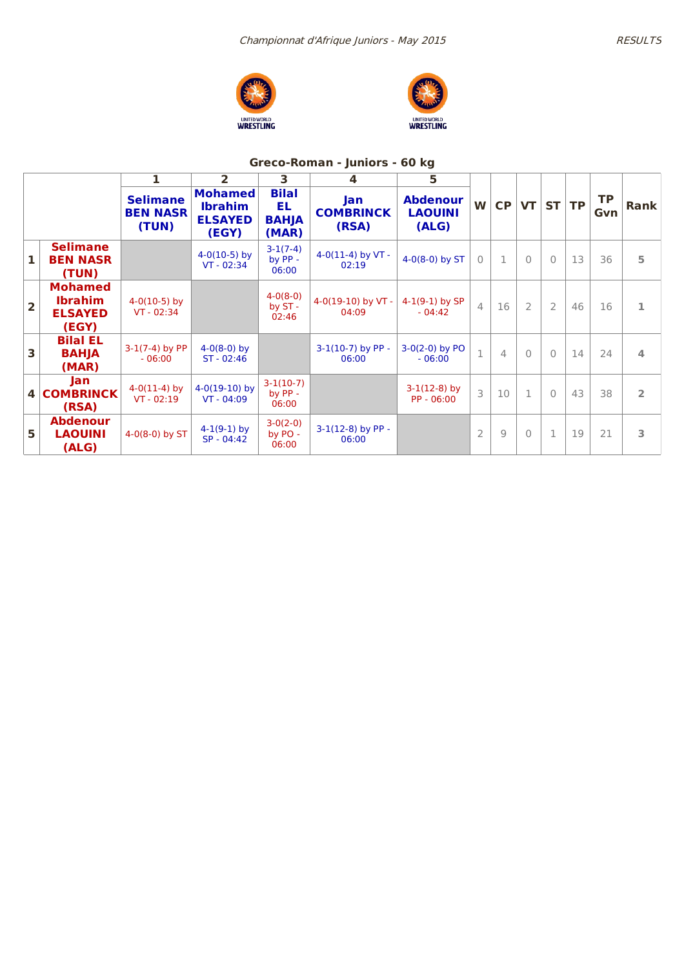



# **Greco-Roman - Juniors - 60 kg**

|                         |                                                      | 1                                           | 2                                                           | 3                                           | 4                                | 5                                          |                |                |               |                |           |                  |                |
|-------------------------|------------------------------------------------------|---------------------------------------------|-------------------------------------------------------------|---------------------------------------------|----------------------------------|--------------------------------------------|----------------|----------------|---------------|----------------|-----------|------------------|----------------|
|                         |                                                      | <b>Selimane</b><br><b>BEN NASR</b><br>(TUN) | <b>Mohamed</b><br><b>Ibrahim</b><br><b>ELSAYED</b><br>(EGY) | <b>Bilal</b><br>EL<br><b>BAHJA</b><br>(MAR) | Jan<br><b>COMBRINCK</b><br>(RSA) | <b>Abdenour</b><br><b>LAOUINI</b><br>(ALG) | W              | CP             | <b>VT</b>     | <b>ST</b>      | <b>TP</b> | <b>TP</b><br>Gvn | <b>Rank</b>    |
| $\mathbf{1}$            | <b>Selimane</b><br><b>BEN NASR</b><br>(TUN)          |                                             | $4-0(10-5)$ by<br>$VT - 02:34$                              | $3-1(7-4)$<br>by $PP -$<br>06:00            | 4-0(11-4) by $VT -$<br>02:19     | $4-0(8-0)$ by ST                           | 0              | $\mathbf{1}$   | $\bigcap$     | $\bigcap$      | 13        | 36               | 5              |
| $\overline{\mathbf{2}}$ | Mohamed<br><b>Ibrahim</b><br><b>ELSAYED</b><br>(EGY) | $4-0(10-5)$ by<br>$VT - 02:34$              |                                                             | $4-0(8-0)$<br>by ST -<br>02:46              | 4-0(19-10) by VT -<br>04:09      | $4-1(9-1)$ by SP<br>$-04:42$               | $\overline{4}$ | 16             | $\mathcal{P}$ | $\overline{2}$ | 46        | 16               | 1              |
| 3                       | <b>Bilal EL</b><br><b>BAHJA</b><br>(MAR)             | $3-1(7-4)$ by PP<br>$-06:00$                | $4-0(8-0)$ by<br>$ST - 02:46$                               |                                             | $3-1(10-7)$ by PP -<br>06:00     | $3-0(2-0)$ by PO<br>$-06:00$               | 1              | 4              | $\Omega$      | $\bigcap$      | 14        | 24               | 4              |
| 4                       | Jan<br><b>COMBRINCK</b><br>(RSA)                     | $4-0(11-4)$ by<br>$VT - 02:19$              | $4-0(19-10)$ by<br>$VT - 04:09$                             | $3-1(10-7)$<br>by $PP -$<br>06:00           |                                  | $3-1(12-8)$ by<br>PP - 06:00               | 3              | 10             | 1             | $\bigcap$      | 43        | 38               | $\overline{2}$ |
| 5                       | <b>Abdenour</b><br><b>LAOUINI</b><br>(ALG)           | $4-0(8-0)$ by ST                            | $4-1(9-1)$ by<br>$SP - 04:42$                               | $3-0(2-0)$<br>by PO -<br>06:00              | 3-1(12-8) by PP -<br>06:00       |                                            | $\overline{2}$ | $\overline{9}$ | $\Omega$      | $\mathbf{1}$   | 19        | 21               | 3              |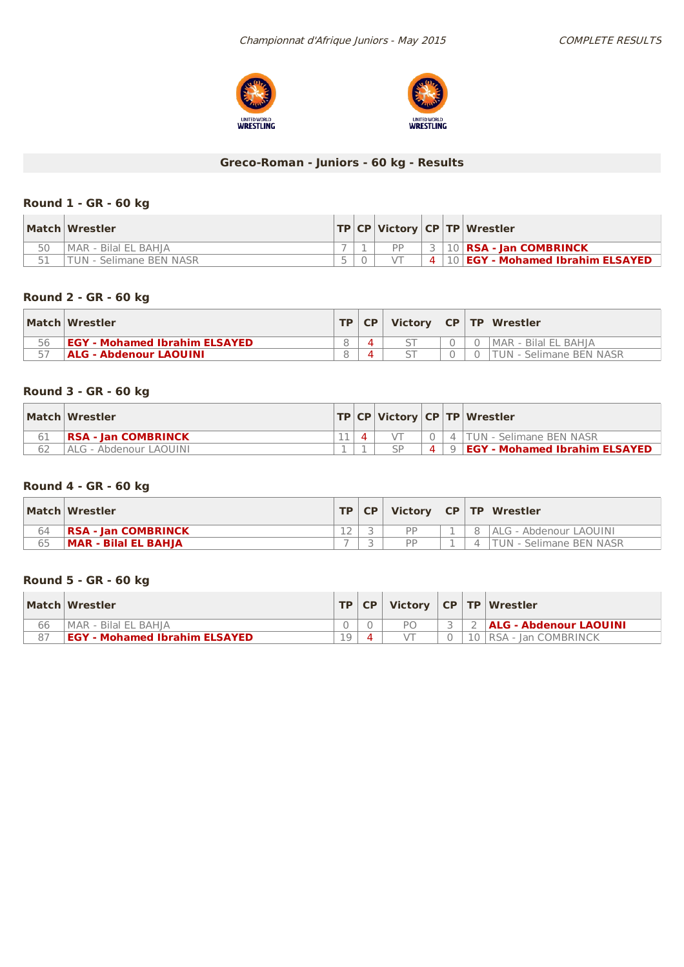



### **Greco-Roman - Juniors - 60 kg - Results**

### **Round 1 - GR - 60 kg**

|    | Match Wrestler          |  |           |              | <b>TP CP Victory CP TP Wrestler</b>     |
|----|-------------------------|--|-----------|--------------|-----------------------------------------|
| 50 | IMAR - Bilal EL BAHIA   |  | <b>DD</b> |              | 3   10   RSA - Ian COMBRINCK            |
|    | TUN - Selimane BEN NASR |  |           | $\mathbf{A}$ | <b>10 EGY - Mohamed Ibrahim ELSAYED</b> |

#### **Round 2 - GR - 60 kg**

| Match Wrestler                       | TP | <b>CP</b> | <b>Victory</b> |  | CP   TP   Wrestler     |
|--------------------------------------|----|-----------|----------------|--|------------------------|
| <b>EGY - Mohamed Ibrahim ELSAYED</b> |    |           |                |  | MAR - Bilal EL BAHIA   |
| <b>ALG - Abdenour LAOUINI</b>        |    |           |                |  | UN - Selimane BEN NASR |

### **Round 3 - GR - 60 kg**

| Match Wrestler             |  |                   | TP CP Victory CP TP Wrestler           |
|----------------------------|--|-------------------|----------------------------------------|
| <b>RSA - Ian COMBRINCK</b> |  |                   | 4 TUN - Selimane BEN NASR              |
| ALG - Abdenour LAOUINI     |  | $\mathbf{\Delta}$ | 9 <b>EGY - Mohamed Ibrahim ELSAYED</b> |

#### **Round 4 - GR - 60 kg**

|    | Match Wrestler              | <b>TP</b> | $CP \mid$ |           |          | Victory CP TP Wrestler         |
|----|-----------------------------|-----------|-----------|-----------|----------|--------------------------------|
| 64 | <b>IRSA - Ian COMBRINCK</b> | $\sim$    |           | <b>DD</b> |          | ALG - Abdenour LAOUINI         |
| 65 | $ MAR - Bilal EL BAH A$     |           |           | <b>DD</b> | $\Delta$ | <b>TUN - Selimane BEN NASR</b> |

### **Round 5 - GR - 60 kg**

|    | Match Wrestler                       |    | TP   CP |    |    | Victory   CP   TP   Wrestler |
|----|--------------------------------------|----|---------|----|----|------------------------------|
| 66 | MAR - Bilal EL BAHIA                 |    |         | ÞΓ |    | ALG - Abdenour LAOUINI       |
| 87 | <b>EGY - Mohamed Ibrahim ELSAYED</b> | 10 |         |    | 10 | <b>IRSA - Ian COMBRINCK</b>  |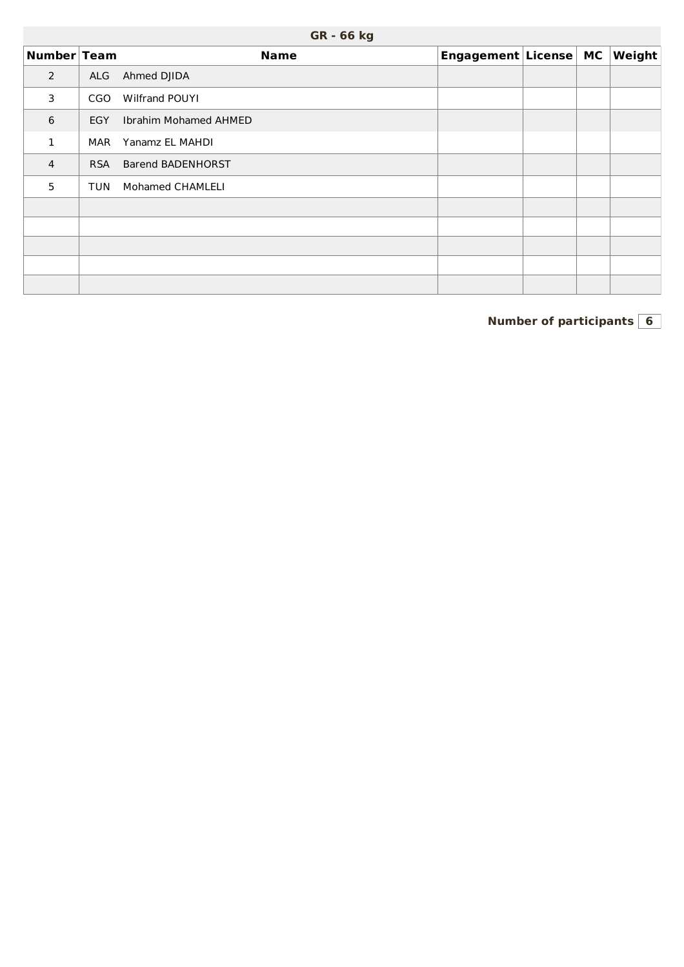| Number Team    |            | <b>UIT - OO NY</b><br><b>Name</b> | Engagement License MC |  | $\vert$ Weight $\vert$ |
|----------------|------------|-----------------------------------|-----------------------|--|------------------------|
| 2              | ALG        | Ahmed DJIDA                       |                       |  |                        |
| 3              | <b>CGO</b> | Wilfrand POUYI                    |                       |  |                        |
| 6              | <b>EGY</b> | Ibrahim Mohamed AHMED             |                       |  |                        |
| 1              | <b>MAR</b> | Yanamz EL MAHDI                   |                       |  |                        |
| $\overline{4}$ | <b>RSA</b> | <b>Barend BADENHORST</b>          |                       |  |                        |
| 5              | <b>TUN</b> | Mohamed CHAMLELI                  |                       |  |                        |
|                |            |                                   |                       |  |                        |
|                |            |                                   |                       |  |                        |
|                |            |                                   |                       |  |                        |
|                |            |                                   |                       |  |                        |
|                |            |                                   |                       |  |                        |

**Number of participants 6**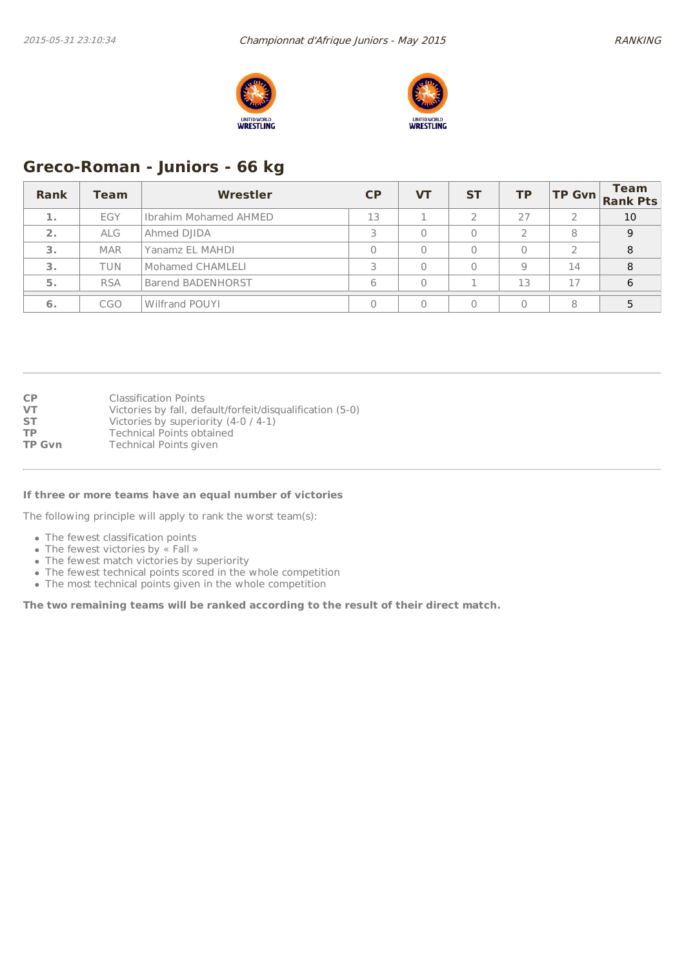



# **Greco-Roman - Juniors - 66 kg**

| Rank | Team       | Wrestler                     | CP | <b>VT</b> | <b>ST</b> | <b>TP</b> | <b>TP Gvn</b> | <b>Team</b><br><b>Rank Pts</b> |
|------|------------|------------------------------|----|-----------|-----------|-----------|---------------|--------------------------------|
| 1.   | EGY        | <b>Ibrahim Mohamed AHMED</b> | 13 |           |           | 27        |               | 10                             |
| 2.   | <b>ALG</b> | Ahmed DJIDA                  |    |           |           |           | 8             | 9                              |
| 3.   | <b>MAR</b> | Yanamz EL MAHDI              |    |           |           | $\Omega$  | っ             | 8                              |
| 3.   | <b>TUN</b> | Mohamed CHAMLELI             |    |           |           | 9         | 14            | -8                             |
| 5.   | <b>RSA</b> | <b>Barend BADENHORST</b>     | 6  |           |           | 13        | 17            | 6                              |
| 6.   | <b>CGO</b> | <b>Wilfrand POUYI</b>        |    |           |           |           | 8             |                                |

| <b>CP</b>     | <b>Classification Points</b>                              |
|---------------|-----------------------------------------------------------|
| <b>VT</b>     | Victories by fall, default/forfeit/disqualification (5-0) |
| <b>ST</b>     | Victories by superiority $(4-0/4-1)$                      |
| <b>TP</b>     | <b>Technical Points obtained</b>                          |
| <b>TP Gvn</b> | <b>Technical Points given</b>                             |

#### **If three or more teams have an equal number of victories**

The following principle will apply to rank the worst team(s):

- The fewest classification points
- The fewest victories by « Fall »
- The fewest match victories by superiority
- The fewest technical points scored in the whole competition
- The most technical points given in the whole competition

**The two remaining teams will be ranked according to the result of their direct match.**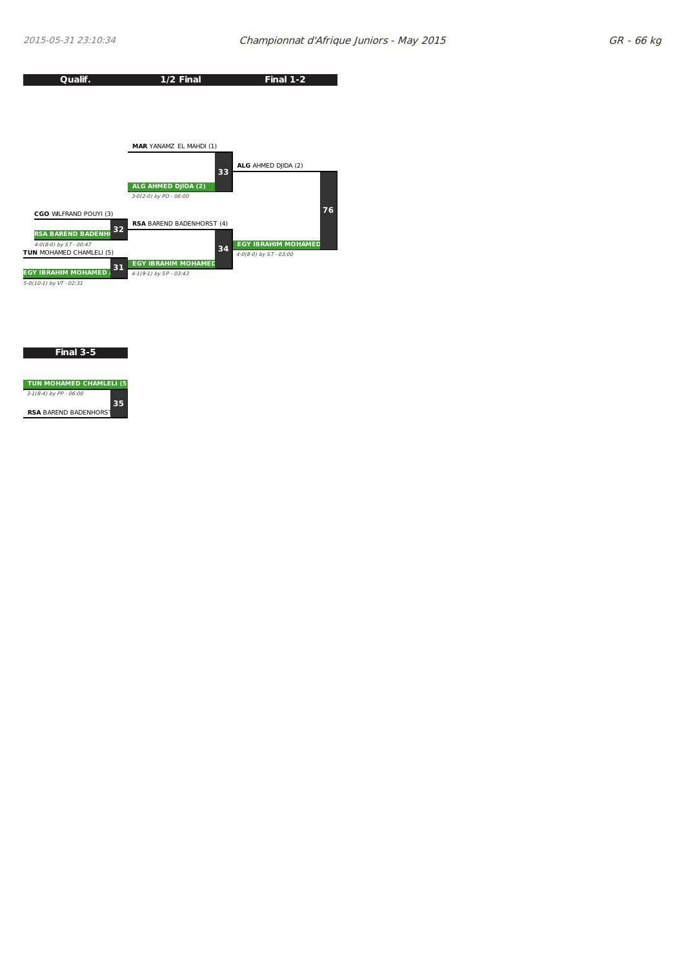

#### **Final 3-5**

| TUN MOHAMED CHAMLELI (5)     |    |  |  |  |  |  |  |
|------------------------------|----|--|--|--|--|--|--|
| $3-1(8-4)$ by PP - 06:00     |    |  |  |  |  |  |  |
| <b>RSA BAREND BADENHORST</b> | 35 |  |  |  |  |  |  |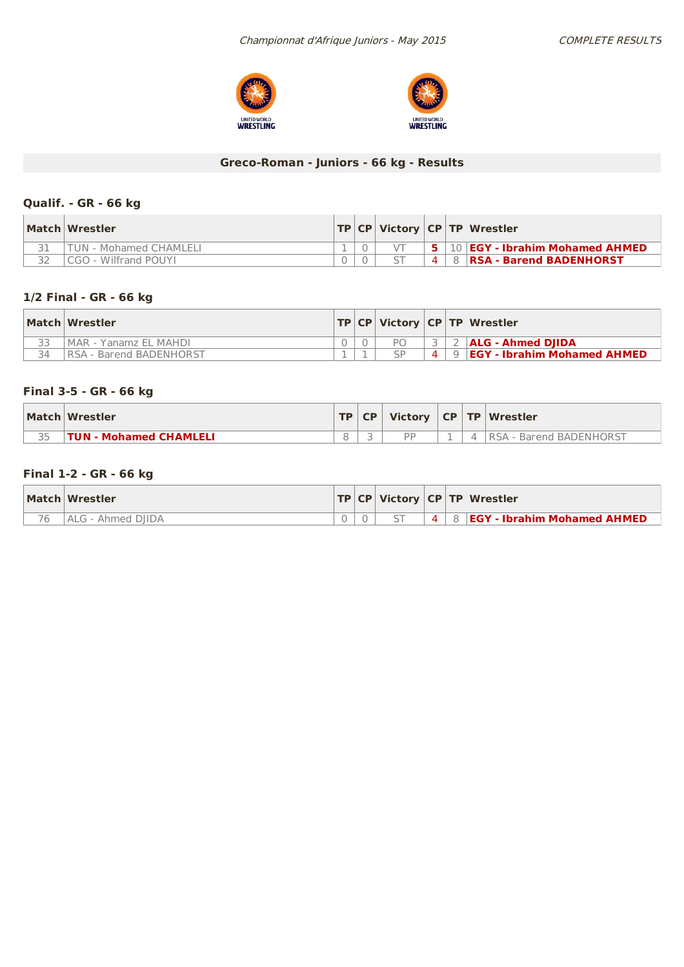



### **Greco-Roman - Juniors - 66 kg - Results**

### **Qualif. - GR - 66 kg**

| Match Wrestler                |  |                | <b>TP CP Victory CP TP Wrestler</b>         |
|-------------------------------|--|----------------|---------------------------------------------|
| <b>FUN - Mohamed CHAMLELI</b> |  |                | <b>5   10   EGY - Ibrahim Mohamed AHMED</b> |
| CGO - Wilfrand POUYL          |  | $\overline{4}$ | 8   RSA - Barend BADENHORST                 |

#### **1/2 Final - GR - 66 kg**

|    | Match Wrestler          |  |                | $ TP CP $ Victory $ CP TP $ Wrestler |
|----|-------------------------|--|----------------|--------------------------------------|
|    | IMAR - Yanamz EL MAHDI  |  |                | 2   ALG - Ahmed DJIDA                |
| 34 | RSA - Barend BADENHORST |  | $\overline{4}$ | 9 <b>EGY - Ibrahim Mohamed AHMED</b> |

### **Final 3-5 - GR - 66 kg**

|    | Match Wrestler                | <b>TP</b> | <b>CP</b> | Victory |  | CP TP Wrestler                  |
|----|-------------------------------|-----------|-----------|---------|--|---------------------------------|
| つに | <b>TUN - Mohamed CHAMLELI</b> |           |           | DD      |  | Barend BADENHORST<br><b>RSA</b> |

### **Final 1-2 - GR - 66 kg**

|    | Match Wrestler    |  |                    |     | $ TP CP $ Victory $ CP TP $ Wrestler |
|----|-------------------|--|--------------------|-----|--------------------------------------|
| 76 | ALG - Ahmed DIIDA |  | $\mathbf{\Lambda}$ | -81 | <b>EGY - Ibrahim Mohamed AHMED</b>   |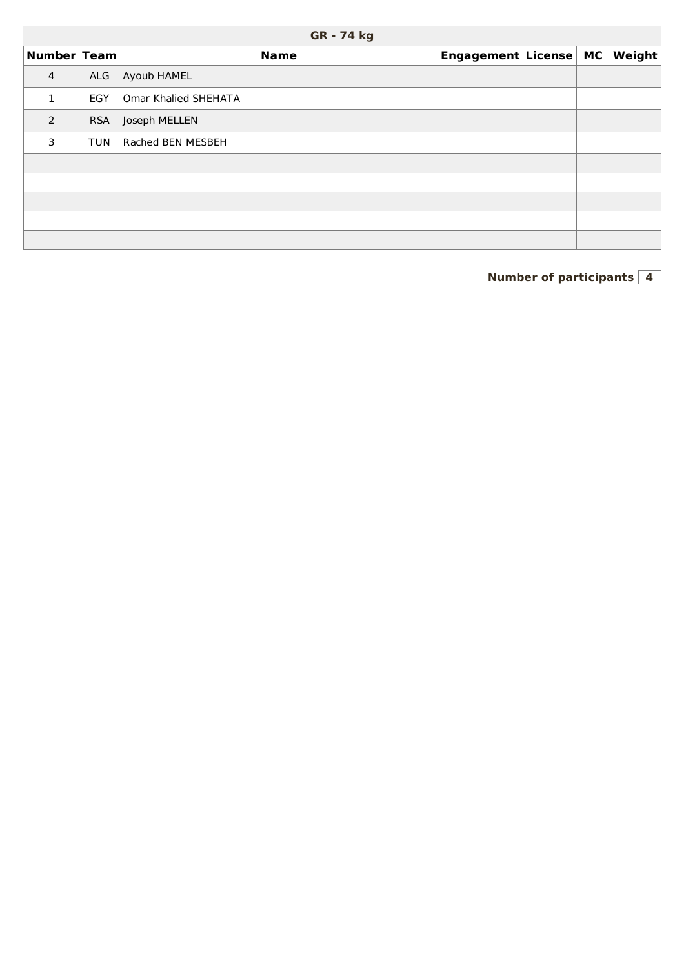| --- - - -- <i>-</i> |            |                      |                              |  |  |  |  |  |  |  |  |  |
|---------------------|------------|----------------------|------------------------------|--|--|--|--|--|--|--|--|--|
| Number Team         |            | <b>Name</b>          | Engagement License MC Weight |  |  |  |  |  |  |  |  |  |
| $\overline{4}$      | ALG        | Ayoub HAMEL          |                              |  |  |  |  |  |  |  |  |  |
| $\mathbf{1}$        | EGY        | Omar Khalied SHEHATA |                              |  |  |  |  |  |  |  |  |  |
| 2                   | <b>RSA</b> | Joseph MELLEN        |                              |  |  |  |  |  |  |  |  |  |
| 3                   | TUN        | Rached BEN MESBEH    |                              |  |  |  |  |  |  |  |  |  |
|                     |            |                      |                              |  |  |  |  |  |  |  |  |  |
|                     |            |                      |                              |  |  |  |  |  |  |  |  |  |
|                     |            |                      |                              |  |  |  |  |  |  |  |  |  |
|                     |            |                      |                              |  |  |  |  |  |  |  |  |  |
|                     |            |                      |                              |  |  |  |  |  |  |  |  |  |

**Number of participants 4**

# **GR - 74 kg**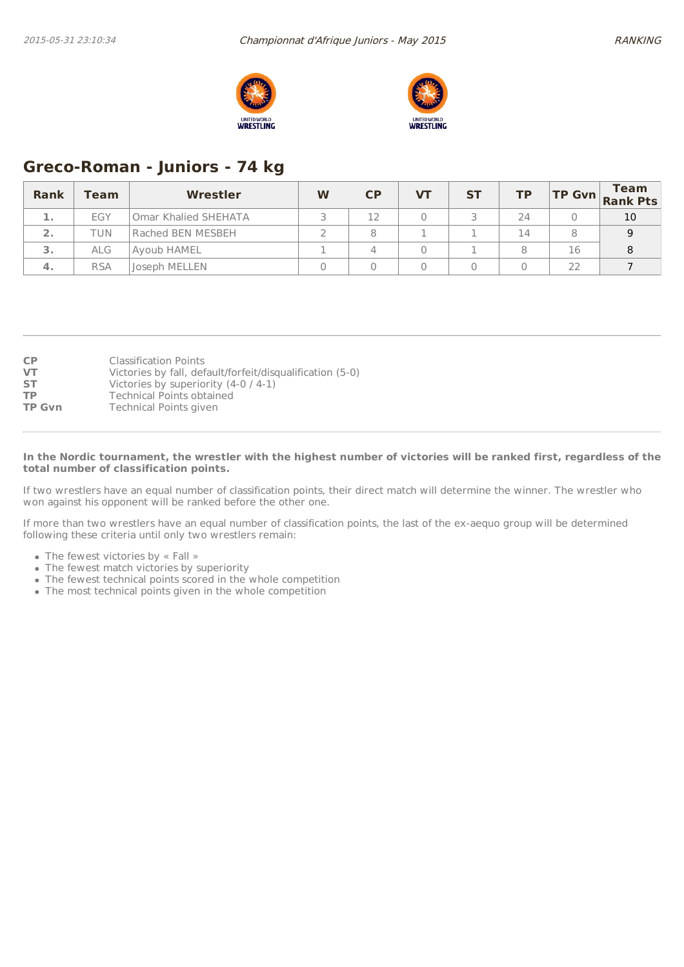



# **Greco-Roman - Juniors - 74 kg**

| <b>Rank</b>  | Team       | Wrestler             | W | <b>CP</b> | VТ | <b>ST</b> | <b>TP</b> |    | <b>Team</b><br>$T$ P Gvn Rank Pts |
|--------------|------------|----------------------|---|-----------|----|-----------|-----------|----|-----------------------------------|
| alla pr      | EGY        | Omar Khalied SHEHATA |   | 12        |    |           | 24        |    | 10                                |
| $\mathbf{2}$ | TUN        | Rached BEN MESBEH    |   |           |    |           | 14        |    |                                   |
| З.           | <b>ALG</b> | Ayoub HAMEL          |   |           |    |           |           | 16 |                                   |
| 4.           | <b>RSA</b> | Joseph MELLEN        |   |           |    |           |           | 22 |                                   |

| <b>CP</b>     | <b>Classification Points</b>                              |
|---------------|-----------------------------------------------------------|
| <b>VT</b>     | Victories by fall, default/forfeit/disqualification (5-0) |
| <b>ST</b>     | Victories by superiority $(4-0/4-1)$                      |
| <b>TP</b>     | <b>Technical Points obtained</b>                          |
| <b>TP Gvn</b> | Technical Points given                                    |

#### In the Nordic tournament, the wrestler with the highest number of victories will be ranked first, regardless of the **total number of classification points.**

If two wrestlers have an equal number of classification points, their direct match will determine the winner. The wrestler who won against his opponent will be ranked before the other one.

If more than two wrestlers have an equal number of classification points, the last of the ex-aequo group will be determined following these criteria until only two wrestlers remain:

- The fewest victories by « Fall »
- The fewest match victories by superiority
- The fewest technical points scored in the whole competition
- The most technical points given in the whole competition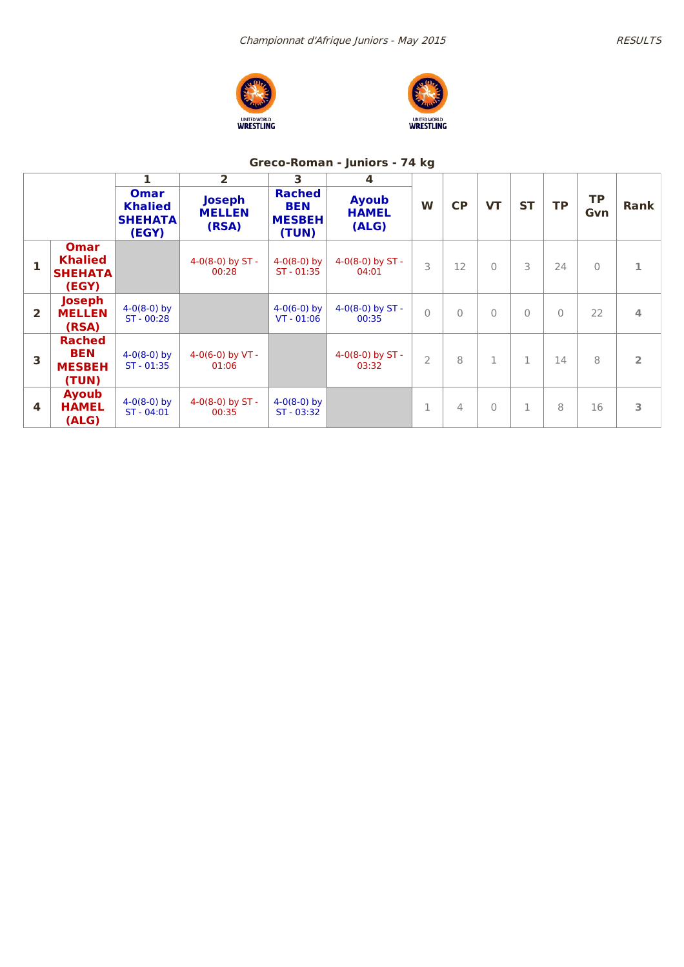



# **Greco-Roman - Juniors - 74 kg**

|                |                                                          | 1                                                        | $\overline{2}$                          | 3                                                     | 4                                     |                |          |           |           |           |                  |                |  |
|----------------|----------------------------------------------------------|----------------------------------------------------------|-----------------------------------------|-------------------------------------------------------|---------------------------------------|----------------|----------|-----------|-----------|-----------|------------------|----------------|--|
|                |                                                          | <b>Omar</b><br><b>Khalied</b><br><b>SHEHATA</b><br>(EGY) | <b>Joseph</b><br><b>MELLEN</b><br>(RSA) | <b>Rached</b><br><b>BEN</b><br><b>MESBEH</b><br>(TUN) | <b>Ayoub</b><br><b>HAMEL</b><br>(ALG) | W              | CP       | <b>VT</b> | <b>ST</b> | <b>TP</b> | <b>TP</b><br>Gvn | Rank           |  |
| 1              | <b>Omar</b><br><b>Khalied</b><br><b>SHEHATA</b><br>(EGY) |                                                          | $4-0(8-0)$ by ST -<br>00:28             | $4-0(8-0)$ by<br>$ST - 01:35$                         | 4-0(8-0) by $ST -$<br>04:01           | 3              | 12       | $\cap$    | 3         | 24        | $\Omega$         | 1              |  |
| $\overline{2}$ | Joseph<br><b>MELLEN</b><br>(RSA)                         | $4-0(8-0)$ by<br>ST - 00:28                              |                                         | $4-0(6-0)$ by<br>$VT - 01:06$                         | 4-0(8-0) by $ST -$<br>00:35           | $\bigcap$      | $\Omega$ | $\Omega$  | $\Omega$  | $\bigcap$ | 22               | 4              |  |
| 3              | <b>Rached</b><br><b>BEN</b><br><b>MESBEH</b><br>(TUN)    | $4-0(8-0)$ by<br>ST - 01:35                              | 4-0(6-0) by $VT -$<br>01:06             |                                                       | 4-0(8-0) by $ST -$<br>03:32           | $\overline{2}$ | 8        |           |           | 14        | 8                | $\overline{2}$ |  |
| 4              | <b>Ayoub</b><br><b>HAMEL</b><br>(ALG)                    | $4-0(8-0)$ by<br>$ST - 04:01$                            | 4-0(8-0) by ST -<br>00:35               | $4-0(8-0)$ by<br>$ST - 03:32$                         |                                       | $\mathbf 1$    | 4        | 0         |           | 8         | 16               | 3              |  |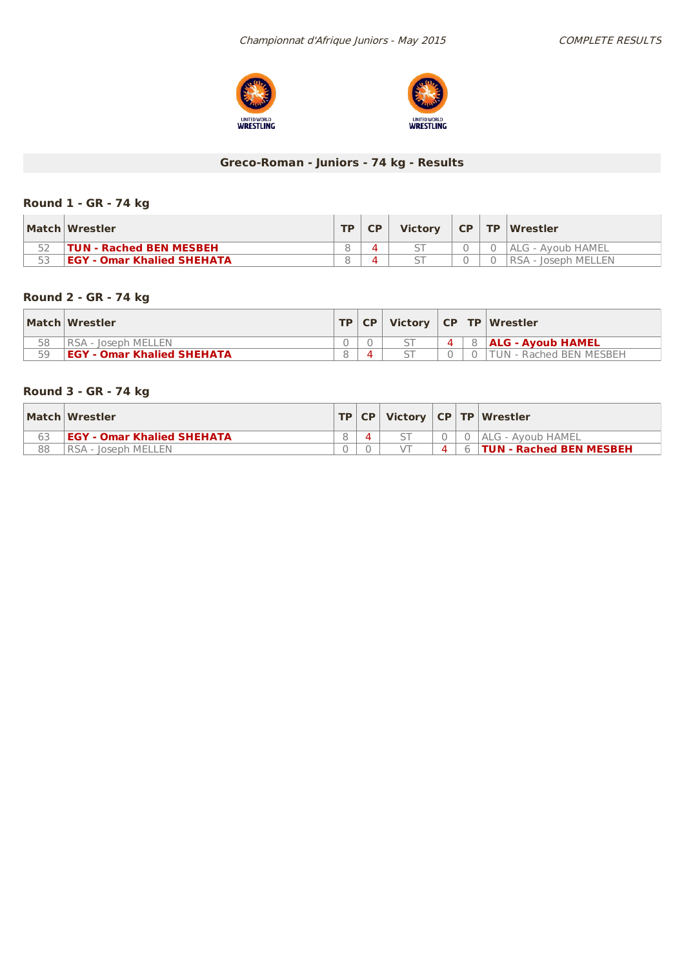



# **Greco-Roman - Juniors - 74 kg - Results**

### **Round 1 - GR - 74 kg**

| Match Wrestler                    | TD. | <b>Victory</b> | <b>CP</b> | <b>TP</b> | Wrestler          |
|-----------------------------------|-----|----------------|-----------|-----------|-------------------|
| <b>TUN - Rached BEN MESBEH</b>    |     |                |           |           | ALG - Avoub HAMEL |
| <b>EGY - Omar Khalied SHEHATA</b> |     |                |           |           | Joseph MELLEN     |

### **Round 2 - GR - 74 kg**

|    | Match Wrestler                    | <b>TP</b> | CP. |    | Victory   CP   TP   Wrestler |
|----|-----------------------------------|-----------|-----|----|------------------------------|
|    | <b>RSA - Ioseph MELLEN</b>        |           |     | -4 | 8   ALG - Ayoub HAMEL        |
| 59 | <b>EGY - Omar Khalied SHEHATA</b> |           |     |    | TUN - Rached BEN MESBEH      |

# **Round 3 - GR - 74 kg**

|    | Match Wrestler                    |  |  |       | TP   CP   Victory   CP   TP   Wrestler |
|----|-----------------------------------|--|--|-------|----------------------------------------|
| 63 | <b>EGY - Omar Khalied SHEHATA</b> |  |  |       | ALG - Avoub HAMEL                      |
| 88 | RSA - Joseph MELLEN               |  |  | . 6 ' | TUN - Rached BEN MESBEH                |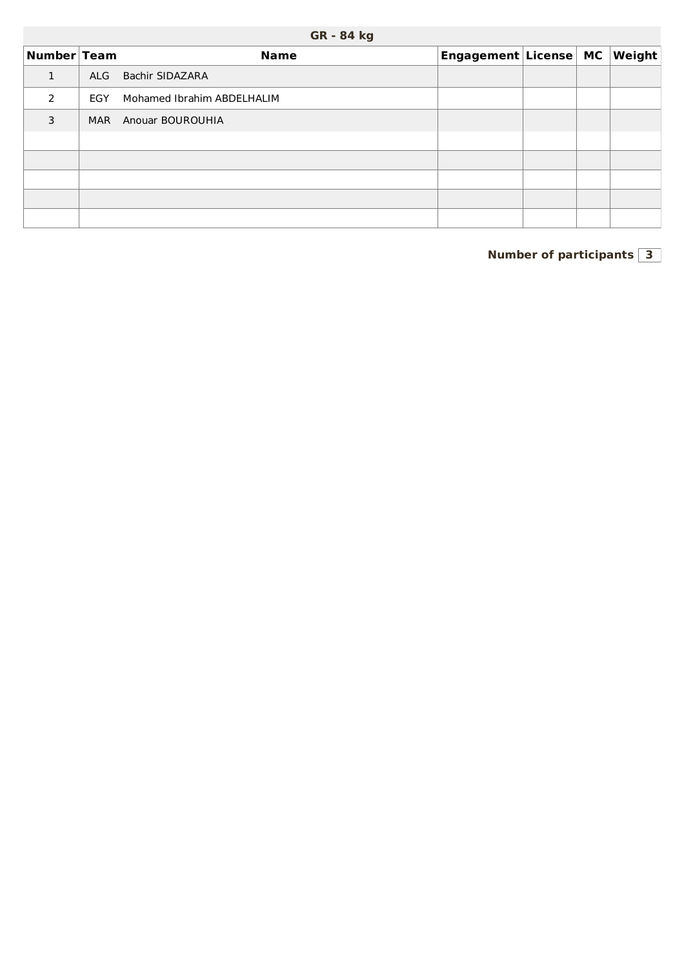| Number Team   |            | <b>Name</b>                | Engagement License MC Weight |  |  |
|---------------|------------|----------------------------|------------------------------|--|--|
|               | <b>ALG</b> | Bachir SIDAZARA            |                              |  |  |
| $\mathcal{P}$ | EGY        | Mohamed Ibrahim ABDELHALIM |                              |  |  |
| 3             | <b>MAR</b> | Anouar BOUROUHIA           |                              |  |  |
|               |            |                            |                              |  |  |
|               |            |                            |                              |  |  |
|               |            |                            |                              |  |  |
|               |            |                            |                              |  |  |
|               |            |                            |                              |  |  |

**Number of participants 3**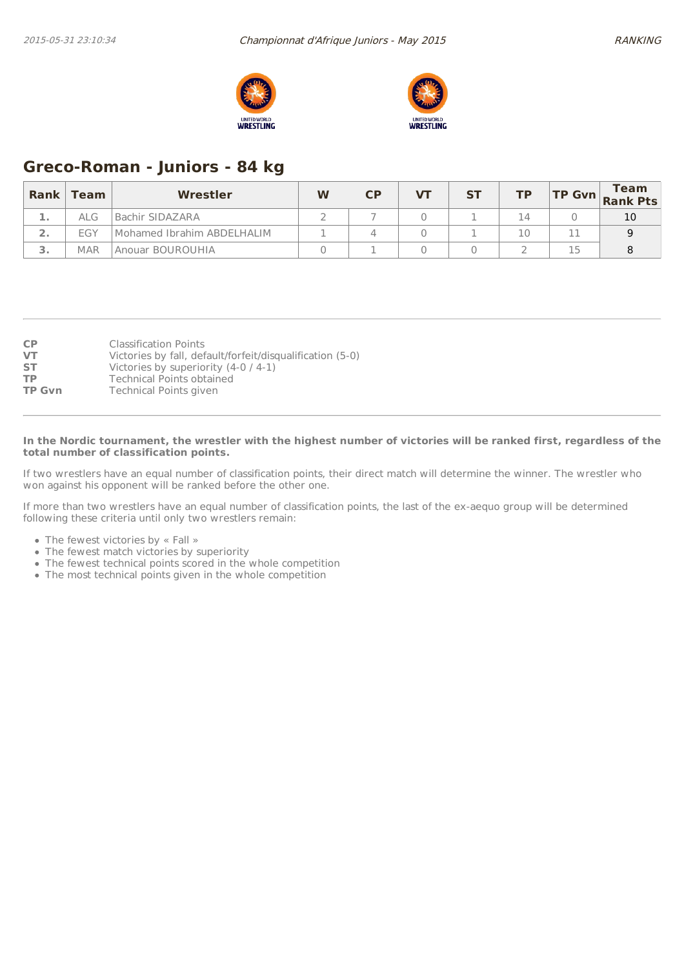



# **Greco-Roman - Juniors - 84 kg**

|       | Rank Team  | Wrestler                   | W | $\mathsf{C}\mathsf{P}$ | VT | <b>ST</b> | ТP |     | $T$ P Gvn Rank Pts |
|-------|------------|----------------------------|---|------------------------|----|-----------|----|-----|--------------------|
| ali 1 | ALG        | Bachir SIDAZARA            |   |                        |    |           | 14 |     | 10                 |
| 2.    | EGY        | Mohamed Ibrahim ABDELHALIM |   |                        |    |           | 10 |     |                    |
| З.    | <b>MAR</b> | Anouar BOUROUHIA           |   |                        |    |           |    | י ו |                    |

| <b>CP</b><br><b>VT</b> | <b>Classification Points</b><br>Victories by fall, default/forfeit/disqualification (5-0) |
|------------------------|-------------------------------------------------------------------------------------------|
| <b>ST</b>              | Victories by superiority (4-0 / 4-1)                                                      |
| <b>TP</b>              | <b>Technical Points obtained</b>                                                          |
| <b>TP Gvn</b>          | Technical Points given                                                                    |

#### In the Nordic tournament, the wrestler with the highest number of victories will be ranked first, regardless of the **total number of classification points.**

If two wrestlers have an equal number of classification points, their direct match will determine the winner. The wrestler who won against his opponent will be ranked before the other one.

If more than two wrestlers have an equal number of classification points, the last of the ex-aequo group will be determined following these criteria until only two wrestlers remain:

- The fewest victories by « Fall »
- The fewest match victories by superiority
- The fewest technical points scored in the whole competition
- The most technical points given in the whole competition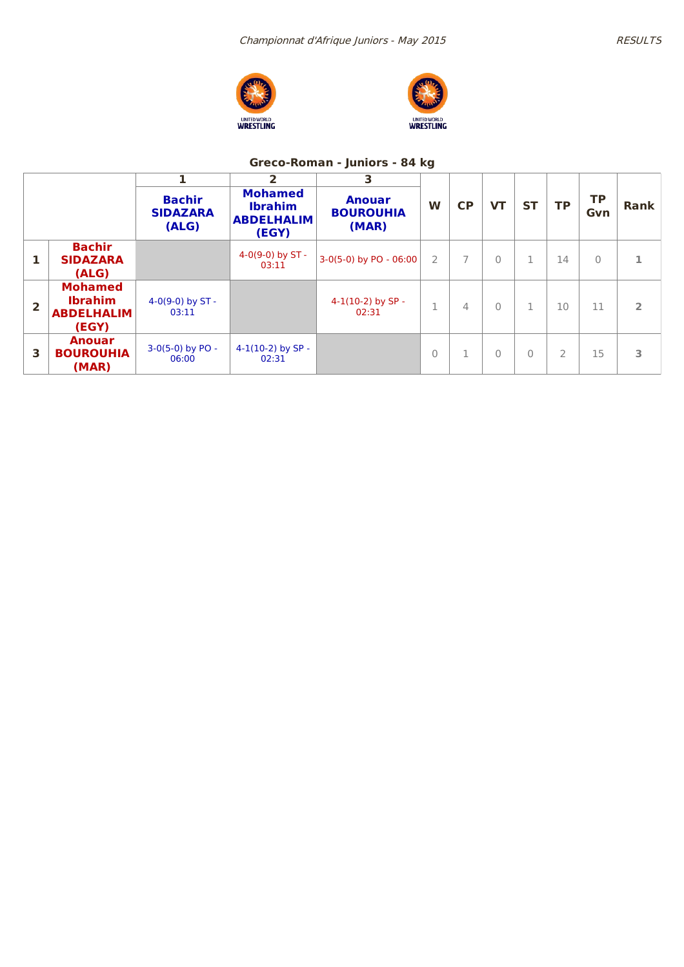



# **Greco-Roman - Juniors - 84 kg**

|                |                                                                | 1                                         | 2                                                              | 3                                          |             |           |           |           |               |           |                |
|----------------|----------------------------------------------------------------|-------------------------------------------|----------------------------------------------------------------|--------------------------------------------|-------------|-----------|-----------|-----------|---------------|-----------|----------------|
|                |                                                                | <b>Bachir</b><br><b>SIDAZARA</b><br>(ALG) | <b>Mohamed</b><br><b>Ibrahim</b><br><b>ABDELHALIM</b><br>(EGY) | <b>Anouar</b><br><b>BOUROUHIA</b><br>(MAR) | W           | <b>CP</b> | <b>VT</b> | <b>ST</b> | <b>TP</b>     | TP<br>Gvn | Rank           |
| 1              | <b>Bachir</b><br><b>SIDAZARA</b><br>(ALG)                      |                                           | $4-0(9-0)$ by ST -<br>03:11                                    | $3-0(5-0)$ by PO - 06:00                   | 2           | 7         | $\Omega$  |           | 14            | $\bigcap$ |                |
| $\overline{2}$ | <b>Mohamed</b><br><b>Ibrahim</b><br><b>ABDELHALIM</b><br>(EGY) | $4-0(9-0)$ by ST -<br>03:11               |                                                                | 4-1(10-2) by SP -<br>02:31                 | 1           | 4         | $\Omega$  | 1         | 10            | 11        | $\overline{2}$ |
| 3              | <b>Anouar</b><br><b>BOUROUHIA</b><br>(MAR)                     | $3-0(5-0)$ by PO -<br>06:00               | $4-1(10-2)$ by SP -<br>02:31                                   |                                            | $\mathbf 0$ |           | $\Omega$  | $\Omega$  | $\mathcal{P}$ | 15        | 3              |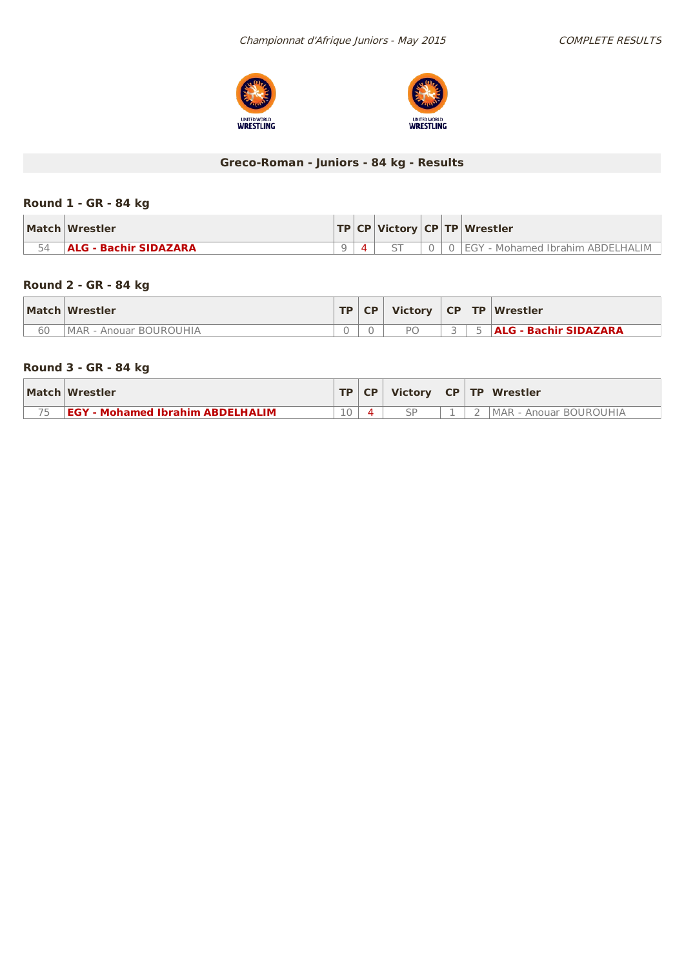



# **Greco-Roman - Juniors - 84 kg - Results**

### **Round 1 - GR - 84 kg**

| Match Wrestler        |  |  | $ TP CP $ Victory $ CP TP $ Wrestler |
|-----------------------|--|--|--------------------------------------|
| ALG - Bachir SIDAZARA |  |  | IEGY - Mohamed Ibrahim ABDELHALIM    |

### **Round 2 - GR - 84 kg**

|    | Match Wrestler         | TP   CP | Victory   CP   TP   Wrestler |  |                       |
|----|------------------------|---------|------------------------------|--|-----------------------|
| 60 | MAR - Anouar BOUROUHIA |         | DC                           |  | ALG - Bachir SIDAZARA |

# **Round 3 - GR - 84 kg**

| Match Wrestler                          | <b>TP</b> | <b>CP</b> |  | Victory $ CP TP Wrestler $ |
|-----------------------------------------|-----------|-----------|--|----------------------------|
| <b>EGY - Mohamed Ibrahim ABDELHALIM</b> | 10        |           |  | IMAR - Anouar BOUROUHIA    |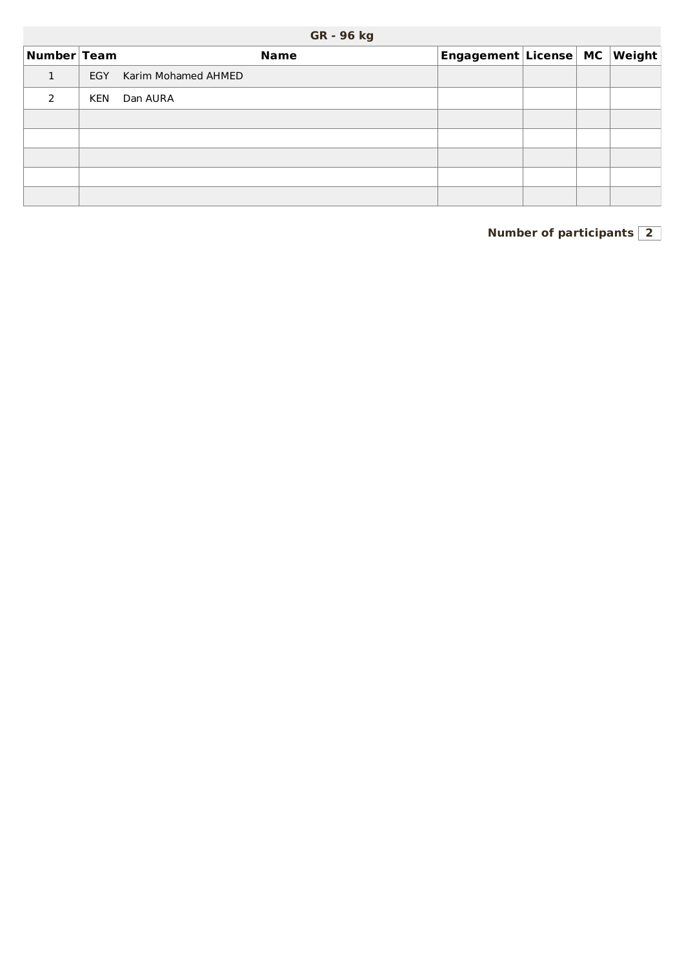| Number Team |            | <b>Name</b>                | Engagement License MC Weight |  |  |
|-------------|------------|----------------------------|------------------------------|--|--|
|             | <b>EGY</b> | <b>Karim Mohamed AHMED</b> |                              |  |  |
|             | KEN        | Dan AURA                   |                              |  |  |
|             |            |                            |                              |  |  |
|             |            |                            |                              |  |  |
|             |            |                            |                              |  |  |
|             |            |                            |                              |  |  |
|             |            |                            |                              |  |  |

**Number of participants 2**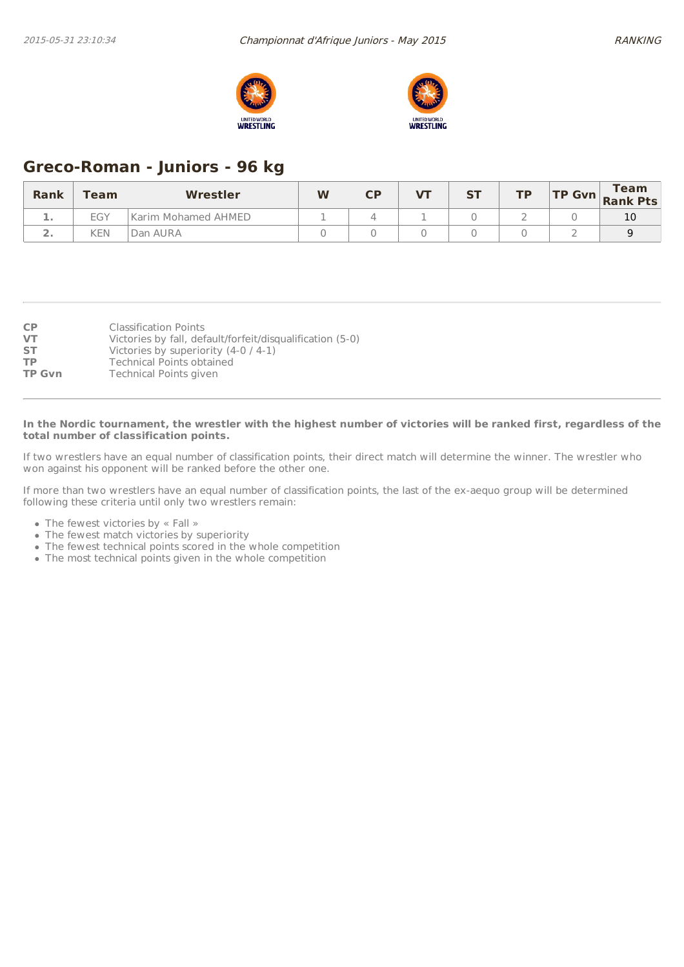



# **Greco-Roman - Juniors - 96 kg**

| <b>Rank</b> | <b>Team</b> | Wrestler            | W | C D | VТ | <b>CT</b><br>$\cdot$ | <b>TP</b> | TP Gvn | <b>Team</b><br><b>Rank Pts</b> |
|-------------|-------------|---------------------|---|-----|----|----------------------|-----------|--------|--------------------------------|
| alle s      | EGY         | Karim Mohamed AHMED |   |     |    |                      | -         |        | 10                             |
| . .         | <b>KEN</b>  | Dan AURA            |   |     |    |                      |           |        |                                |

| <b>CP</b>     | <b>Classification Points</b>                              |
|---------------|-----------------------------------------------------------|
| <b>VT</b>     | Victories by fall, default/forfeit/disqualification (5-0) |
| <b>ST</b>     | Victories by superiority (4-0 / 4-1)                      |
| <b>TP</b>     | Technical Points obtained                                 |
| <b>TP Gvn</b> | <b>Technical Points given</b>                             |

#### In the Nordic tournament, the wrestler with the highest number of victories will be ranked first, regardless of the **total number of classification points.**

If two wrestlers have an equal number of classification points, their direct match will determine the winner. The wrestler who won against his opponent will be ranked before the other one.

If more than two wrestlers have an equal number of classification points, the last of the ex-aequo group will be determined following these criteria until only two wrestlers remain:

- The fewest victories by « Fall »
- The fewest match victories by superiority
- The fewest technical points scored in the whole competition
- The most technical points given in the whole competition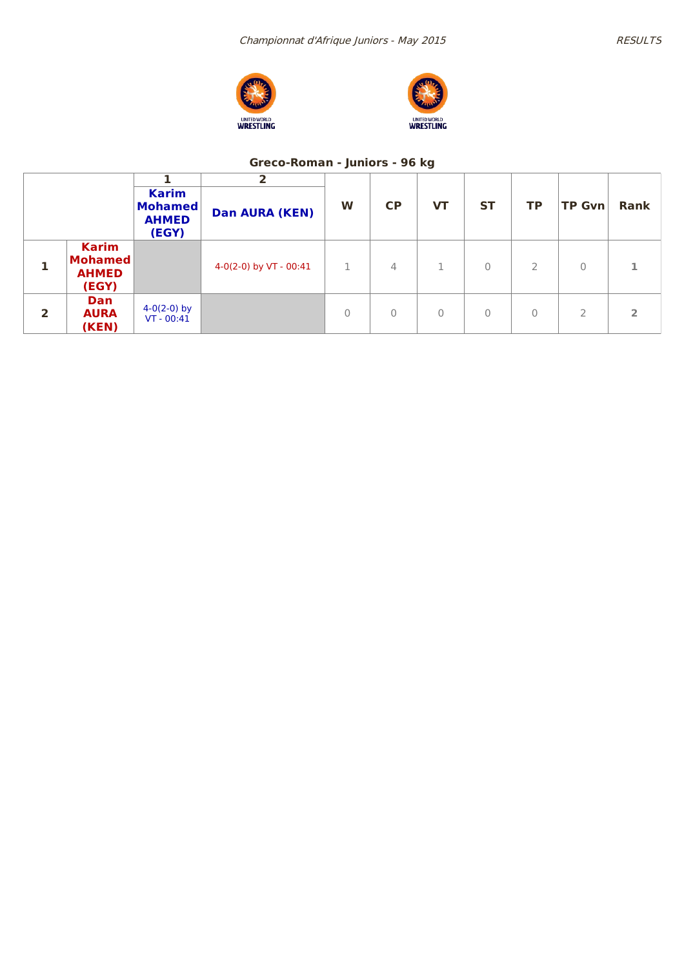



# **Greco-Roman - Juniors - 96 kg**

|                |                                                         |                                                         | 2                      |   |                |           |           |                |               |      |
|----------------|---------------------------------------------------------|---------------------------------------------------------|------------------------|---|----------------|-----------|-----------|----------------|---------------|------|
|                |                                                         | <b>Karim</b><br><b>Mohamed</b><br><b>AHMED</b><br>(EGY) | <b>Dan AURA (KEN)</b>  | W | CP             | <b>VT</b> | <b>ST</b> | <b>TP</b>      | <b>TP Gvn</b> | Rank |
| 1              | <b>Karim</b><br><b>Mohamed</b><br><b>AHMED</b><br>(EGY) |                                                         | 4-0(2-0) by VT - 00:41 |   | $\overline{4}$ |           |           | $\overline{2}$ | 0             |      |
| $\overline{2}$ | Dan<br><b>AURA</b><br>(KEN)                             | $4-0(2-0)$ by<br>$VT - 00:41$                           |                        | 0 | $\Omega$       |           | $\Omega$  | $\Omega$       |               |      |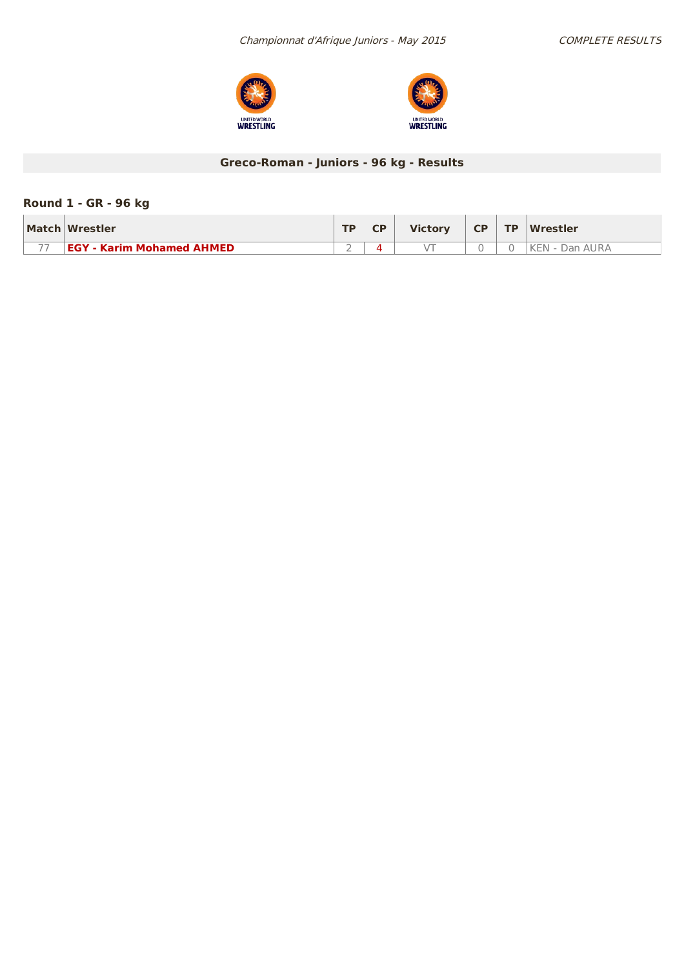



# **Greco-Roman - Juniors - 96 kg - Results**

### **Round 1 - GR - 96 kg**

|       | Match Wrestler                   |                               | CD. | <b>Victory</b> | <b>CP</b> | TP. | Wrestler        |
|-------|----------------------------------|-------------------------------|-----|----------------|-----------|-----|-----------------|
| $- -$ | <b>EGY - Karim Mohamed AHMED</b> | $\overline{\phantom{a}}$<br>- |     |                |           |     | Dan AURA<br>KEN |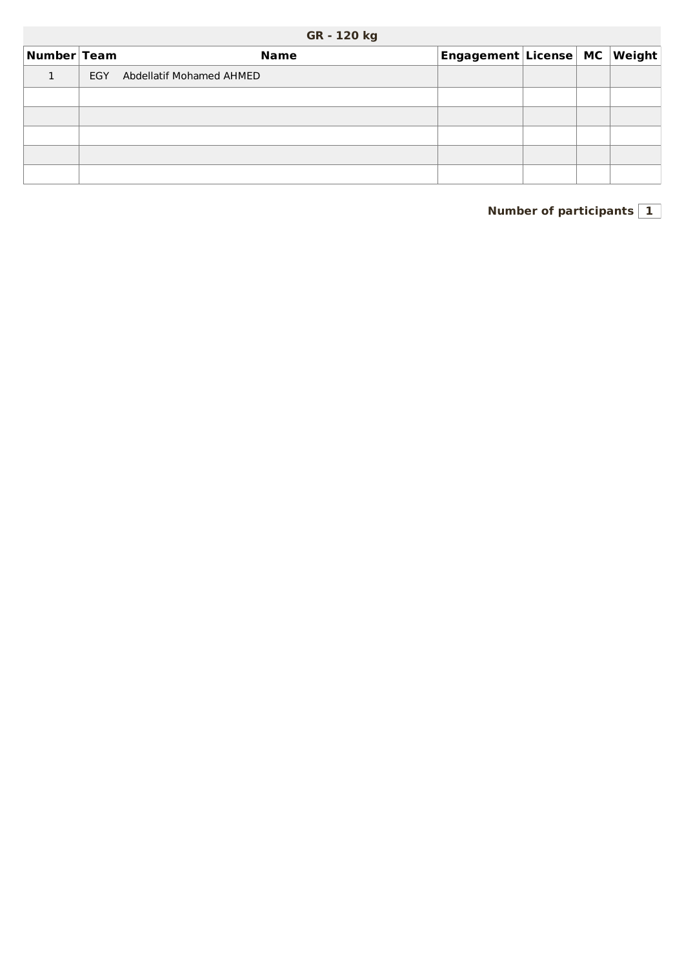# **GR - 120 kg**

| $\vert$ Number $\vert$ Team $\vert$ |            | <b>Name</b>              | Engagement License MC Weight |  |  |
|-------------------------------------|------------|--------------------------|------------------------------|--|--|
|                                     | <b>EGY</b> | Abdellatif Mohamed AHMED |                              |  |  |
|                                     |            |                          |                              |  |  |
|                                     |            |                          |                              |  |  |
|                                     |            |                          |                              |  |  |
|                                     |            |                          |                              |  |  |
|                                     |            |                          |                              |  |  |

**Number of participants 1**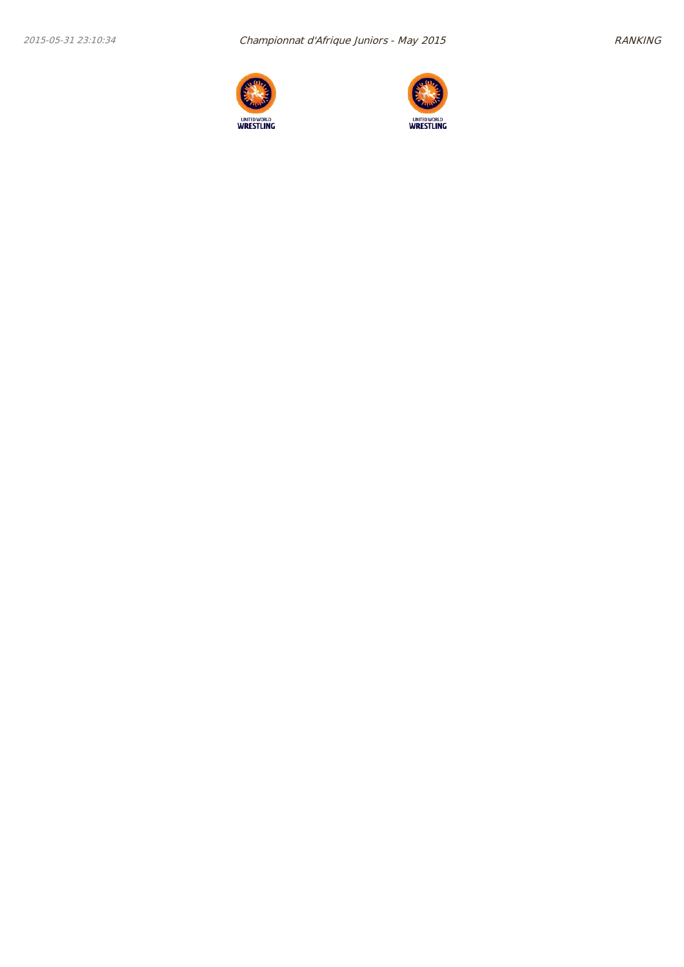

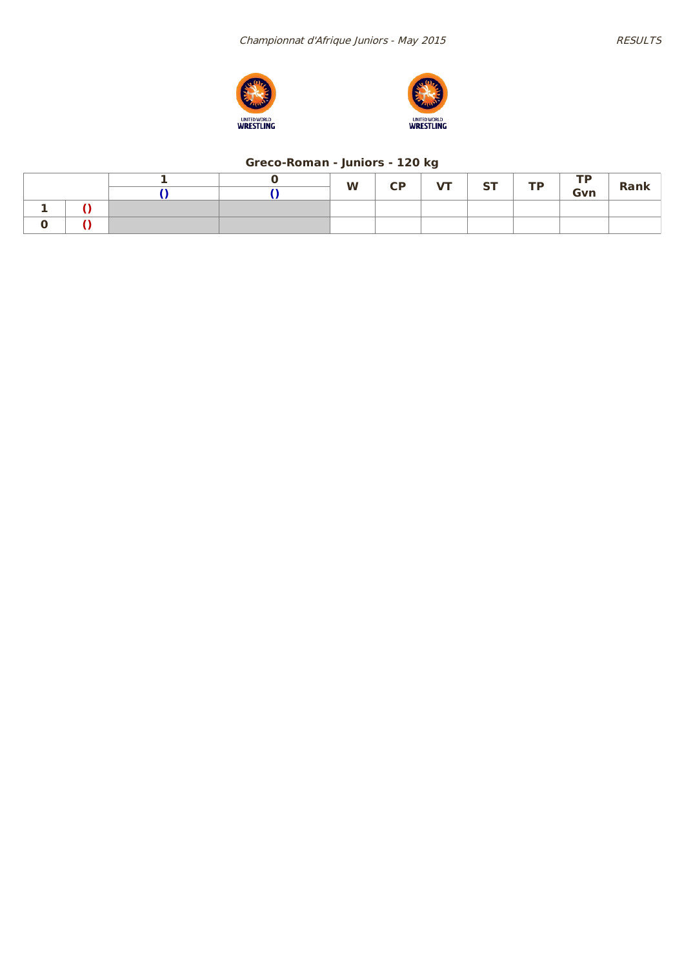



# **Greco-Roman - Juniors - 120 kg**

|  |  | W | <b>CD</b><br>-- | <b>VT</b> | <b>ST</b> | <b>TP</b><br>. . | <b>TD</b><br>Gvn | Rank |
|--|--|---|-----------------|-----------|-----------|------------------|------------------|------|
|  |  |   |                 |           |           |                  |                  |      |
|  |  |   |                 |           |           |                  |                  |      |